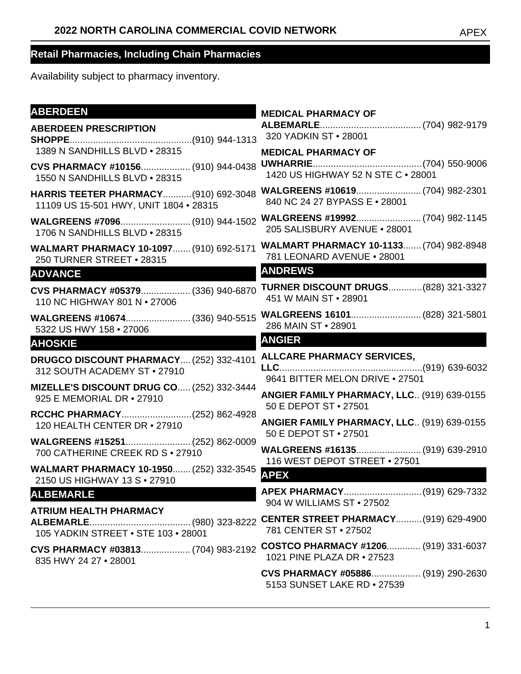| <b>ABERDEEN</b>                                                                | <b>MEDICAL PHARMACY OF</b>                                          |
|--------------------------------------------------------------------------------|---------------------------------------------------------------------|
| <b>ABERDEEN PRESCRIPTION</b>                                                   |                                                                     |
|                                                                                | 320 YADKIN ST . 28001                                               |
| 1389 N SANDHILLS BLVD . 28315                                                  | <b>MEDICAL PHARMACY OF</b>                                          |
| CVS PHARMACY #10156 (910) 944-0438                                             |                                                                     |
| 1550 N SANDHILLS BLVD . 28315                                                  | 1420 US HIGHWAY 52 N STE C . 28001                                  |
| <b>HARRIS TEETER PHARMACY (910) 692-3048</b>                                   |                                                                     |
| 11109 US 15-501 HWY, UNIT 1804 . 28315                                         | 840 NC 24 27 BYPASS E . 28001                                       |
|                                                                                |                                                                     |
| 1706 N SANDHILLS BLVD . 28315                                                  | 205 SALISBURY AVENUE . 28001                                        |
| WALMART PHARMACY 10-1097 (910) 692-5171                                        | <b>WALMART PHARMACY 10-1133 (704) 982-8948</b>                      |
| 250 TURNER STREET . 28315                                                      | 781 LEONARD AVENUE . 28001                                          |
| <b>ADVANCE</b><br><u> 1980 - Johann Barnett, mars eta bizkailar (h. 1980).</u> | <b>ANDREWS</b>                                                      |
| CVS PHARMACY #05379 (336) 940-6870                                             | <b>TURNER DISCOUNT DRUGS (828) 321-3327</b>                         |
| 110 NC HIGHWAY 801 N . 27006                                                   | 451 W MAIN ST . 28901                                               |
| WALGREENS #10674 (336) 940-5515                                                |                                                                     |
| 5322 US HWY 158 . 27006                                                        | 286 MAIN ST . 28901                                                 |
| <b>AHOSKIE</b>                                                                 | <b>ANGIER</b>                                                       |
| DRUGCO DISCOUNT PHARMACY (252) 332-4101                                        | <b>ALLCARE PHARMACY SERVICES,</b>                                   |
| 312 SOUTH ACADEMY ST . 27910                                                   |                                                                     |
| MIZELLE'S DISCOUNT DRUG CO (252) 332-3444                                      | 9641 BITTER MELON DRIVE . 27501                                     |
| 925 E MEMORIAL DR • 27910                                                      | ANGIER FAMILY PHARMACY, LLC (919) 639-0155<br>50 E DEPOT ST • 27501 |
| RCCHC PHARMACY(252) 862-4928                                                   |                                                                     |
| 120 HEALTH CENTER DR . 27910                                                   | ANGIER FAMILY PHARMACY, LLC (919) 639-0155<br>50 E DEPOT ST • 27501 |
| WALGREENS #15251 (252) 862-0009<br>700 CATHERINE CREEK RD S . 27910            | WALGREENS #16135 (919) 639-2910                                     |
| <b>WALMART PHARMACY 10-1950 (252) 332-3545</b>                                 | 116 WEST DEPOT STREET . 27501<br><b>APEX</b>                        |
| 2150 US HIGHWAY 13 S . 27910                                                   |                                                                     |
| <b>ALBEMARLE</b>                                                               | 904 W WILLIAMS ST . 27502                                           |
| <b>ATRIUM HEALTH PHARMACY</b>                                                  |                                                                     |
| 105 YADKIN STREET . STE 103 . 28001                                            | 781 CENTER ST • 27502                                               |
| CVS PHARMACY #03813 (704) 983-2192                                             | COSTCO PHARMACY #1206 (919) 331-6037                                |
| 835 HWY 24 27 . 28001                                                          | 1021 PINE PLAZA DR • 27523                                          |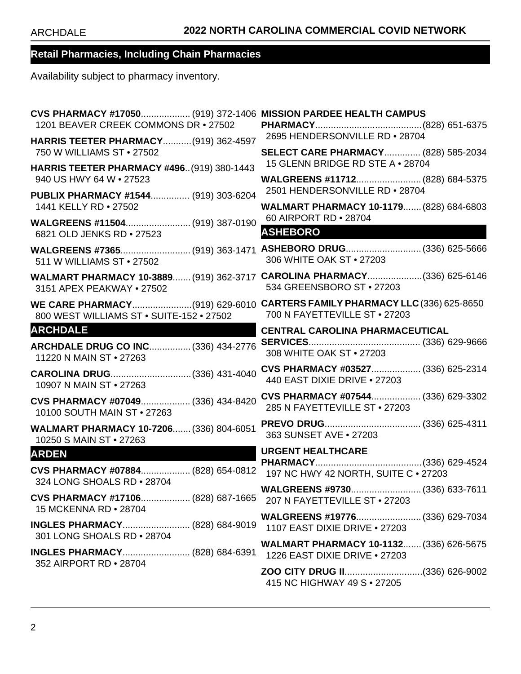| CVS PHARMACY #17050 (919) 372-1406 MISSION PARDEE HEALTH CAMPUS<br>1201 BEAVER CREEK COMMONS DR . 27502 |                                                                                                      |
|---------------------------------------------------------------------------------------------------------|------------------------------------------------------------------------------------------------------|
| HARRIS TEETER PHARMACY (919) 362-4597                                                                   | 2695 HENDERSONVILLE RD . 28704                                                                       |
| 750 W WILLIAMS ST . 27502                                                                               | <b>SELECT CARE PHARMACY (828) 585-2034</b>                                                           |
| <b>HARRIS TEETER PHARMACY #496 (919) 380-1443</b>                                                       | 15 GLENN BRIDGE RD STE A . 28704                                                                     |
| 940 US HWY 64 W • 27523                                                                                 | WALGREENS #11712 (828) 684-5375                                                                      |
| PUBLIX PHARMACY #1544 (919) 303-6204                                                                    | 2501 HENDERSONVILLE RD . 28704                                                                       |
| 1441 KELLY RD . 27502                                                                                   | <b>WALMART PHARMACY 10-1179 (828) 684-6803</b><br>60 AIRPORT RD . 28704                              |
| WALGREENS #11504 (919) 387-0190<br>6821 OLD JENKS RD . 27523                                            | <b>ASHEBORO</b>                                                                                      |
| 511 W WILLIAMS ST • 27502                                                                               | WALGREENS #7365(919) 363-1471 ASHEBORO DRUG (336) 625-5666<br>306 WHITE OAK ST . 27203               |
| 3151 APEX PEAKWAY • 27502                                                                               | WALMART PHARMACY 10-3889 (919) 362-3717 CAROLINA PHARMACY(336) 625-6146<br>534 GREENSBORO ST . 27203 |
| WE CARE PHARMACY(919) 629-6010                                                                          | <b>CARTERS FAMILY PHARMACY LLC (336) 625-8650</b>                                                    |
| 800 WEST WILLIAMS ST . SUITE-152 . 27502                                                                | 700 N FAYETTEVILLE ST . 27203                                                                        |
| <b>ARCHDALE</b>                                                                                         | <b>CENTRAL CAROLINA PHARMACEUTICAL</b>                                                               |
| ARCHDALE DRUG CO INC (336) 434-2776                                                                     |                                                                                                      |
| 11220 N MAIN ST . 27263                                                                                 | 308 WHITE OAK ST . 27203                                                                             |
| CAROLINA DRUG (336) 431-4040                                                                            | CVS PHARMACY #03527 (336) 625-2314                                                                   |
| 10907 N MAIN ST • 27263                                                                                 | 440 EAST DIXIE DRIVE . 27203                                                                         |
| CVS PHARMACY #07049 (336) 434-8420                                                                      | CVS PHARMACY #07544 (336) 629-3302                                                                   |
| 10100 SOUTH MAIN ST . 27263                                                                             | 285 N FAYETTEVILLE ST . 27203                                                                        |
| WALMART PHARMACY 10-7206 (336) 804-6051                                                                 |                                                                                                      |
| 10250 S MAIN ST • 27263                                                                                 | 363 SUNSET AVE . 27203                                                                               |
| <b>ARDEN</b>                                                                                            | <b>URGENT HEALTHCARE</b>                                                                             |
| CVS PHARMACY #07884 (828) 654-0812                                                                      |                                                                                                      |
| 324 LONG SHOALS RD . 28704                                                                              | 197 NC HWY 42 NORTH, SUITE C . 27203                                                                 |
| CVS PHARMACY #17106 (828) 687-1665                                                                      |                                                                                                      |
| 15 MCKENNA RD • 28704                                                                                   | 207 N FAYETTEVILLE ST . 27203                                                                        |
| INGLES PHARMACY (828) 684-9019                                                                          |                                                                                                      |
| 301 LONG SHOALS RD . 28704                                                                              | 1107 EAST DIXIE DRIVE . 27203                                                                        |
| <b>INGLES PHARMACY (828) 684-6391</b>                                                                   | <b>WALMART PHARMACY 10-1132 (336) 626-5675</b><br>1226 EAST DIXIE DRIVE . 27203                      |
| 352 AIRPORT RD . 28704                                                                                  | ZOO CITY DRUG II(336) 626-9002<br>415 NC HIGHWAY 49 S . 27205                                        |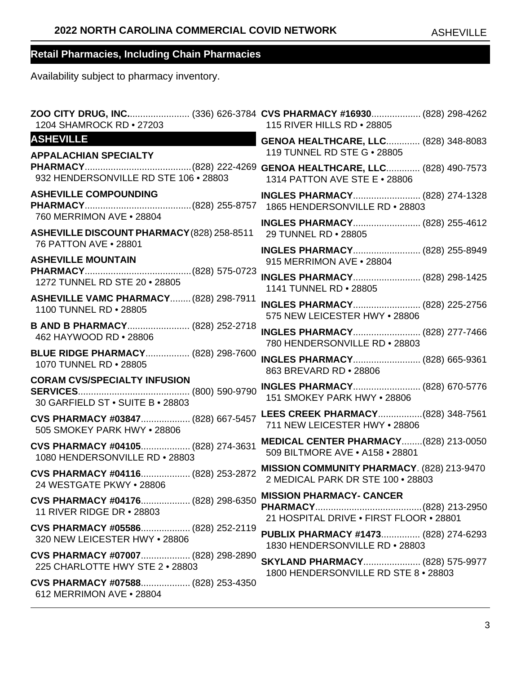| 1204 SHAMROCK RD . 27203                                                | ZOO CITY DRUG, INC (336) 626-3784 CVS PHARMACY #16930 (828) 298-4262<br>115 RIVER HILLS RD . 28805 |
|-------------------------------------------------------------------------|----------------------------------------------------------------------------------------------------|
| <b>ASHEVILLE</b>                                                        | GENOA HEALTHCARE, LLC (828) 348-8083                                                               |
| <b>APPALACHIAN SPECIALTY</b>                                            | 119 TUNNEL RD STE G . 28805                                                                        |
|                                                                         | <b>GENOA HEALTHCARE, LLC (828) 490-7573</b>                                                        |
| 932 HENDERSONVILLE RD STE 106 . 28803                                   | 1314 PATTON AVE STE E . 28806                                                                      |
| <b>ASHEVILLE COMPOUNDING</b><br>760 MERRIMON AVE . 28804                | INGLES PHARMACY (828) 274-1328                                                                     |
| ASHEVILLE DISCOUNT PHARMACY (828) 258-8511                              | INGLES PHARMACY (828) 255-4612                                                                     |
| 76 PATTON AVE . 28801                                                   | 29 TUNNEL RD . 28805                                                                               |
| <b>ASHEVILLE MOUNTAIN</b>                                               | INGLES PHARMACY (828) 255-8949<br>915 MERRIMON AVE . 28804                                         |
|                                                                         | INGLES PHARMACY (828) 298-1425                                                                     |
| 1272 TUNNEL RD STE 20 · 28805                                           | 1141 TUNNEL RD . 28805                                                                             |
| ASHEVILLE VAMC PHARMACY (828) 298-7911                                  | INGLES PHARMACY (828) 225-2756                                                                     |
| 1100 TUNNEL RD . 28805                                                  | 575 NEW LEICESTER HWY . 28806                                                                      |
| B AND B PHARMACY (828) 252-2718                                         | INGLES PHARMACY (828) 277-7466                                                                     |
| 462 HAYWOOD RD . 28806                                                  | 780 HENDERSONVILLE RD . 28803                                                                      |
| <b>BLUE RIDGE PHARMACY (828) 298-7600</b>                               | INGLES PHARMACY (828) 665-9361                                                                     |
| 1070 TUNNEL RD . 28805                                                  | 863 BREVARD RD . 28806                                                                             |
| <b>CORAM CVS/SPECIALTY INFUSION</b><br>30 GARFIELD ST . SUITE B . 28803 | <b>INGLES PHARMACY (828) 670-5776</b><br>151 SMOKEY PARK HWY . 28806                               |
| CVS PHARMACY #03847 (828) 667-5457                                      | LEES CREEK PHARMACY(828) 348-7561                                                                  |
| 505 SMOKEY PARK HWY . 28806                                             | 711 NEW LEICESTER HWY . 28806                                                                      |
| CVS PHARMACY #04105 (828) 274-3631                                      | MEDICAL CENTER PHARMACY(828) 213-0050                                                              |
| 1080 HENDERSONVILLE RD . 28803                                          | 509 BILTMORE AVE . A158 . 28801                                                                    |
| CVS PHARMACY #04116 (828) 253-2872                                      | MISSION COMMUNITY PHARMACY. (828) 213-9470                                                         |
| 24 WESTGATE PKWY • 28806                                                | 2 MEDICAL PARK DR STE 100 · 28803                                                                  |
| CVS PHARMACY #04176 (828) 298-6350<br>11 RIVER RIDGE DR • 28803         | <b>MISSION PHARMACY- CANCER</b><br>21 HOSPITAL DRIVE . FIRST FLOOR . 28801                         |
| CVS PHARMACY #05586 (828) 252-2119                                      | PUBLIX PHARMACY #1473 (828) 274-6293                                                               |
| 320 NEW LEICESTER HWY . 28806                                           | 1830 HENDERSONVILLE RD . 28803                                                                     |
| CVS PHARMACY #07007 (828) 298-2890                                      | <b>SKYLAND PHARMACY (828) 575-9977</b>                                                             |
| 225 CHARLOTTE HWY STE 2 . 28803                                         | 1800 HENDERSONVILLE RD STE 8 . 28803                                                               |
| CVS PHARMACY #07588 (828) 253-4350<br>612 MERRIMON AVE . 28804          |                                                                                                    |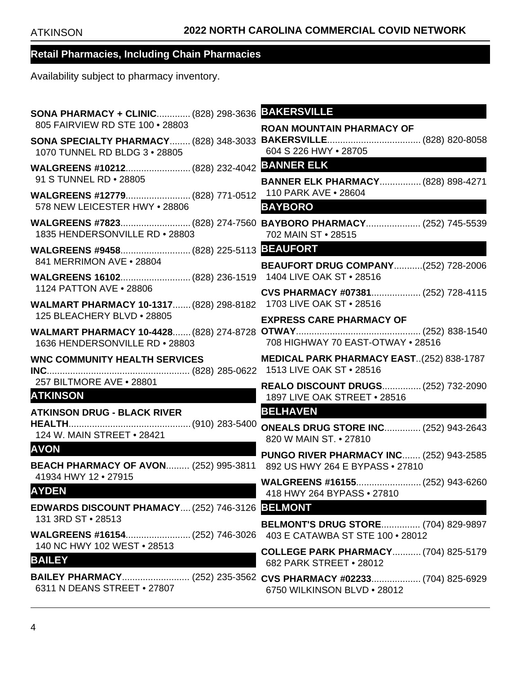| SONA PHARMACY + CLINIC (828) 298-3636 BAKERSVILLE<br>805 FAIRVIEW RD STE 100 . 28803        |                                                                                      |
|---------------------------------------------------------------------------------------------|--------------------------------------------------------------------------------------|
| <b>SONA SPECIALTY PHARMACY (828) 348-3033</b><br>1070 TUNNEL RD BLDG 3 . 28805              | <b>ROAN MOUNTAIN PHARMACY OF</b><br>604 S 226 HWY . 28705                            |
| 91 S TUNNEL RD . 28805                                                                      | <b>BANNER ELK PHARMACY (828) 898-4271</b>                                            |
| WALGREENS #12779 (828) 771-0512<br>578 NEW LEICESTER HWY . 28806                            | 110 PARK AVE . 28604<br><b>BAYBORO</b>                                               |
| 1835 HENDERSONVILLE RD . 28803                                                              | WALGREENS #7823(828) 274-7560 BAYBORO PHARMACY (252) 745-5539<br>702 MAIN ST . 28515 |
| 841 MERRIMON AVE . 28804                                                                    |                                                                                      |
|                                                                                             | <b>BEAUFORT DRUG COMPANY(252) 728-2006</b>                                           |
| 1124 PATTON AVE • 28806<br>WALMART PHARMACY 10-1317 (828) 298-8182 1703 LIVE OAK ST . 28516 | CVS PHARMACY #07381 (252) 728-4115                                                   |
| 125 BLEACHERY BLVD . 28805                                                                  | <b>EXPRESS CARE PHARMACY OF</b>                                                      |
| 1636 HENDERSONVILLE RD . 28803                                                              | 708 HIGHWAY 70 EAST-OTWAY . 28516                                                    |
|                                                                                             |                                                                                      |
| WNC COMMUNITY HEALTH SERVICES                                                               | <b>MEDICAL PARK PHARMACY EAST(252) 838-1787</b>                                      |
| 257 BILTMORE AVE . 28801<br><b>ATKINSON</b>                                                 | REALO DISCOUNT DRUGS (252) 732-2090<br>1897 LIVE OAK STREET . 28516                  |
| <b>ATKINSON DRUG - BLACK RIVER</b>                                                          | <b>BELHAVEN</b>                                                                      |
| 124 W. MAIN STREET . 28421                                                                  | <b>ONEALS DRUG STORE INC (252) 943-2643</b><br>820 W MAIN ST. • 27810                |
| <b>AVON</b><br>BEACH PHARMACY OF AVON (252) 995-3811 892 US HWY 264 E BYPASS . 27810        | <b>PUNGO RIVER PHARMACY INC (252) 943-2585</b>                                       |
| 41934 HWY 12 • 27915<br><b>AYDEN</b>                                                        | 418 HWY 264 BYPASS . 27810                                                           |
| EDWARDS DISCOUNT PHAMACY (252) 746-3126 BELMONT                                             |                                                                                      |
| 131 3RD ST • 28513                                                                          | <b>BELMONT'S DRUG STORE (704) 829-9897</b><br>403 E CATAWBA ST STE 100 • 28012       |
| 140 NC HWY 102 WEST . 28513<br><b>BAILEY</b>                                                | <b>COLLEGE PARK PHARMACY (704) 825-5179</b><br>682 PARK STREET • 28012               |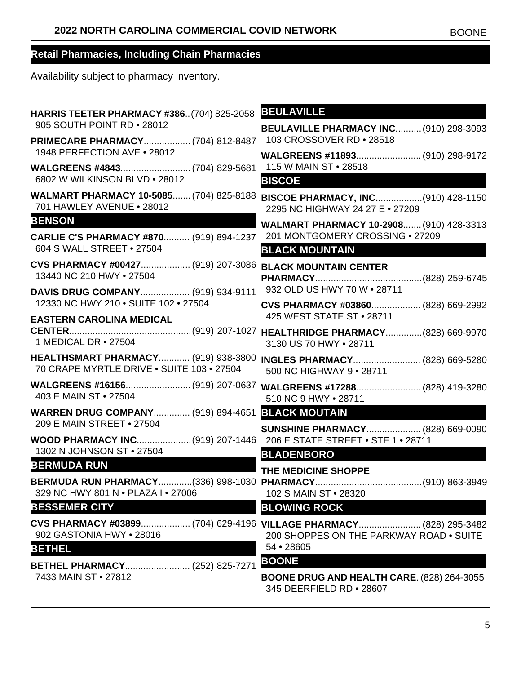| <b>HARRIS TEETER PHARMACY #386(704) 825-2058</b>                                        | <b>BEULAVILLE</b>                                                                      |
|-----------------------------------------------------------------------------------------|----------------------------------------------------------------------------------------|
| 905 SOUTH POINT RD • 28012                                                              | <b>BEULAVILLE PHARMACY INC (910) 298-3093</b>                                          |
| PRIMECARE PHARMACY (704) 812-8487                                                       | 103 CROSSOVER RD . 28518                                                               |
| 1948 PERFECTION AVE . 28012                                                             | WALGREENS #11893 (910) 298-9172                                                        |
| 6802 W WILKINSON BLVD . 28012                                                           | 115 W MAIN ST • 28518<br><b>BISCOE</b>                                                 |
| <b>WALMART PHARMACY 10-5085 (704) 825-8188</b>                                          |                                                                                        |
| 701 HAWLEY AVENUE . 28012                                                               | BISCOE PHARMACY, INC(910) 428-1150<br>2295 NC HIGHWAY 24 27 E . 27209                  |
| <b>BENSON</b>                                                                           | WALMART PHARMACY 10-2908 (910) 428-3313                                                |
| CARLIE C'S PHARMACY #870 (919) 894-1237                                                 | 201 MONTGOMERY CROSSING . 27209                                                        |
| 604 S WALL STREET . 27504                                                               | <b>BLACK MOUNTAIN</b>                                                                  |
| CVS PHARMACY #00427 (919) 207-3086 BLACK MOUNTAIN CENTER<br>13440 NC 210 HWY . 27504    |                                                                                        |
|                                                                                         | 932 OLD US HWY 70 W . 28711                                                            |
| DAVIS DRUG COMPANY (919) 934-9111<br>12330 NC HWY 210 . SUITE 102 . 27504               | CVS PHARMACY #03860 (828) 669-2992                                                     |
| <b>EASTERN CAROLINA MEDICAL</b>                                                         | 425 WEST STATE ST . 28711                                                              |
|                                                                                         |                                                                                        |
| 1 MEDICAL DR • 27504                                                                    | 3130 US 70 HWY . 28711                                                                 |
| <b>HEALTHSMART PHARMACY (919) 938-3800</b><br>70 CRAPE MYRTLE DRIVE . SUITE 103 . 27504 | <b>INGLES PHARMACY (828) 669-5280</b><br>500 NC HIGHWAY 9 . 28711                      |
| 403 E MAIN ST • 27504                                                                   | WALGREENS #16156(919) 207-0637 WALGREENS #17288 (828) 419-3280<br>510 NC 9 HWY • 28711 |
| WARREN DRUG COMPANY (919) 894-4651 BLACK MOUTAIN                                        |                                                                                        |
| 209 E MAIN STREET . 27504                                                               | <b>SUNSHINE PHARMACY (828) 669-0090</b>                                                |
| WOOD PHARMACY INC(919) 207-1446 206 E STATE STREET • STE 1 • 28711                      |                                                                                        |
| 1302 N JOHNSON ST • 27504                                                               | <b>BLADENBORO</b>                                                                      |
| <b>BERMUDA RUN</b>                                                                      | THE MEDICINE SHOPPE                                                                    |
| 329 NC HWY 801 N . PLAZA I . 27006                                                      | 102 S MAIN ST . 28320                                                                  |
| <b>BESSEMER CITY</b>                                                                    | <b>BLOWING ROCK</b>                                                                    |
|                                                                                         | CVS PHARMACY #03899 (704) 629-4196 VILLAGE PHARMACY (828) 295-3482                     |
| 902 GASTONIA HWY . 28016                                                                | 200 SHOPPES ON THE PARKWAY ROAD . SUITE                                                |
| <b>BETHEL</b>                                                                           | 54 • 28605                                                                             |
| BETHEL PHARMACY (252) 825-7271                                                          | <b>BOONE</b>                                                                           |
| 7433 MAIN ST . 27812                                                                    | <b>BOONE DRUG AND HEALTH CARE. (828) 264-3055</b><br>345 DEERFIELD RD . 28607          |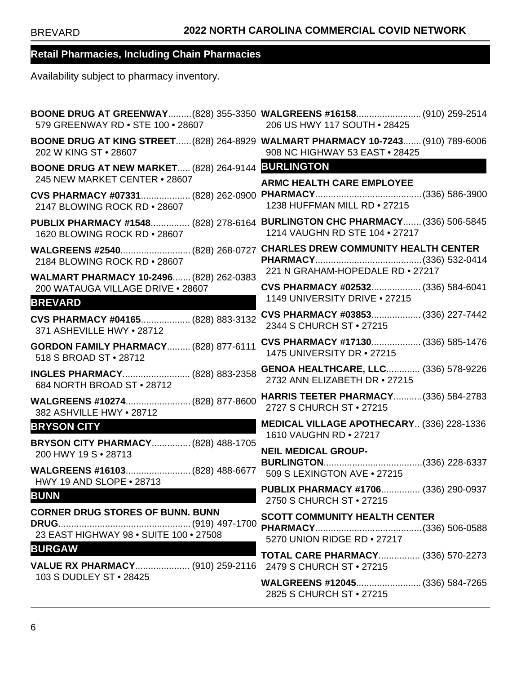| 579 GREENWAY RD . STE 100 . 28607                                                              | BOONE DRUG AT GREENWAY(828) 355-3350 WALGREENS #16158 (910) 259-2514<br>206 US HWY 117 SOUTH . 28425               |
|------------------------------------------------------------------------------------------------|--------------------------------------------------------------------------------------------------------------------|
| 202 W KING ST . 28607                                                                          | BOONE DRUG AT KING STREET (828) 264-8929 WALMART PHARMACY 10-7243 (910) 789-6006<br>908 NC HIGHWAY 53 EAST . 28425 |
| BOONE DRUG AT NEW MARKET (828) 264-9144 BURLINGTON<br>245 NEW MARKET CENTER . 28607            | <b>ARMC HEALTH CARE EMPLOYEE</b>                                                                                   |
| 2147 BLOWING ROCK RD . 28607                                                                   | 1238 HUFFMAN MILL RD . 27215                                                                                       |
| 1620 BLOWING ROCK RD . 28607                                                                   | PUBLIX PHARMACY #1548 (828) 278-6164 BURLINGTON CHC PHARMACY (336) 506-5845<br>1214 VAUGHN RD STE 104 . 27217      |
|                                                                                                |                                                                                                                    |
| 2184 BLOWING ROCK RD . 28607                                                                   | 221 N GRAHAM-HOPEDALE RD . 27217                                                                                   |
| WALMART PHARMACY 10-2496 (828) 262-0383<br>200 WATAUGA VILLAGE DRIVE . 28607<br><b>BREVARD</b> | CVS PHARMACY #02532 (336) 584-6041<br>1149 UNIVERSITY DRIVE . 27215                                                |
| CVS PHARMACY #04165 (828) 883-3132                                                             | CVS PHARMACY #03853 (336) 227-7442                                                                                 |
| 371 ASHEVILLE HWY . 28712                                                                      | 2344 S CHURCH ST • 27215                                                                                           |
| <b>GORDON FAMILY PHARMACY (828) 877-6111</b>                                                   | CVS PHARMACY #17130 (336) 585-1476                                                                                 |
| 518 S BROAD ST • 28712                                                                         | 1475 UNIVERSITY DR . 27215                                                                                         |
| INGLES PHARMACY (828) 883-2358                                                                 | <b>GENOA HEALTHCARE, LLC (336) 578-9226</b>                                                                        |
| 684 NORTH BROAD ST . 28712                                                                     | 2732 ANN ELIZABETH DR • 27215                                                                                      |
| WALGREENS #10274 (828) 877-8600                                                                | <b>HARRIS TEETER PHARMACY (336) 584-2783</b>                                                                       |
| 382 ASHVILLE HWY . 28712                                                                       | 2727 S CHURCH ST . 27215                                                                                           |
| <b>BRYSON CITY</b>                                                                             | MEDICAL VILLAGE APOTHECARY (336) 228-1336                                                                          |
| <b>BRYSON CITY PHARMACY (828) 488-1705</b>                                                     | 1610 VAUGHN RD . 27217                                                                                             |
| 200 HWY 19 S · 28713                                                                           | <b>NEIL MEDICAL GROUP-</b>                                                                                         |
| WALGREENS #16103 (828) 488-6677                                                                | 509 S LEXINGTON AVE . 27215                                                                                        |
| <b>HWY 19 AND SLOPE • 28713</b>                                                                | PUBLIX PHARMACY #1706 (336) 290-0937                                                                               |
| <b>BUNN</b>                                                                                    | 2750 S CHURCH ST • 27215                                                                                           |
| <b>CORNER DRUG STORES OF BUNN. BUNN</b>                                                        | <b>SCOTT COMMUNITY HEALTH CENTER</b>                                                                               |
|                                                                                                |                                                                                                                    |
| 23 EAST HIGHWAY 98 . SUITE 100 . 27508                                                         | 5270 UNION RIDGE RD . 27217                                                                                        |
| <b>BURGAW</b>                                                                                  | <b>TOTAL CARE PHARMACY (336) 570-2273</b>                                                                          |
| VALUE RX PHARMACY (910) 259-2116                                                               | 2479 S CHURCH ST • 27215                                                                                           |
| 103 S DUDLEY ST • 28425                                                                        | WALGREENS #12045 (336) 584-7265<br>2825 S CHURCH ST • 27215                                                        |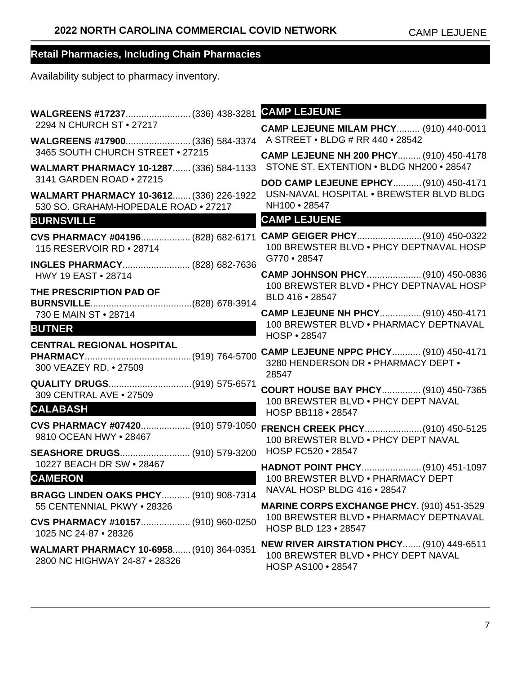| WALGREENS #17237 (336) 438-3281                                                 | <b>CAMP LEJEUNE</b>                                                                                   |
|---------------------------------------------------------------------------------|-------------------------------------------------------------------------------------------------------|
| 2294 N CHURCH ST . 27217                                                        | <b>CAMP LEJEUNE MILAM PHCY (910) 440-0011</b>                                                         |
| WALGREENS #17900 (336) 584-3374<br>3465 SOUTH CHURCH STREET . 27215             | A STREET . BLDG # RR 440 . 28542                                                                      |
| <b>WALMART PHARMACY 10-1287 (336) 584-1133</b>                                  | CAMP LEJEUNE NH 200 PHCY (910) 450-4178<br>STONE ST. EXTENTION . BLDG NH200 . 28547                   |
| 3141 GARDEN ROAD . 27215                                                        | DOD CAMP LEJEUNE EPHCY (910) 450-4171                                                                 |
| WALMART PHARMACY 10-3612 (336) 226-1922<br>530 SO, GRAHAM-HOPEDALE ROAD . 27217 | USN-NAVAL HOSPITAL . BREWSTER BLVD BLDG<br>NH100 · 28547                                              |
| <b>BURNSVILLE</b>                                                               | <b>CAMP LEJUENE</b>                                                                                   |
| CVS PHARMACY #04196 (828) 682-6171<br>115 RESERVOIR RD • 28714                  | CAMP GEIGER PHCY(910) 450-0322<br>100 BREWSTER BLVD . PHCY DEPTNAVAL HOSP<br>G770 • 28547             |
| <b>INGLES PHARMACY (828) 682-7636</b><br>HWY 19 EAST . 28714                    | CAMP JOHNSON PHCY (910) 450-0836                                                                      |
| THE PRESCRIPTION PAD OF                                                         | 100 BREWSTER BLVD . PHCY DEPTNAVAL HOSP                                                               |
|                                                                                 | BLD 416 . 28547                                                                                       |
| 730 E MAIN ST • 28714                                                           | CAMP LEJEUNE NH PHCY (910) 450-4171<br>100 BREWSTER BLVD . PHARMACY DEPTNAVAL                         |
| <b>BUTNER</b>                                                                   | HOSP • 28547                                                                                          |
| <b>CENTRAL REGIONAL HOSPITAL</b><br>300 VEAZEY RD. • 27509                      | CAMP LEJEUNE NPPC PHCY (910) 450-4171<br>3280 HENDERSON DR . PHARMACY DEPT .<br>28547                 |
| QUALITY DRUGS(919) 575-6571<br>309 CENTRAL AVE . 27509                          | <b>COURT HOUSE BAY PHCY (910) 450-7365</b>                                                            |
| <b>CALABASH</b>                                                                 | 100 BREWSTER BLVD . PHCY DEPT NAVAL<br>HOSP BB118 • 28547                                             |
| CVS PHARMACY #07420 (910) 579-1050<br>9810 OCEAN HWY • 28467                    | 100 BREWSTER BLVD . PHCY DEPT NAVAL                                                                   |
| SEASHORE DRUGS (910) 579-3200                                                   | HOSP FC520 • 28547                                                                                    |
| 10227 BEACH DR SW . 28467                                                       | HADNOT POINT PHCY (910) 451-1097                                                                      |
| <b>CAMERON</b>                                                                  | 100 BREWSTER BLVD . PHARMACY DEPT<br>NAVAL HOSP BLDG 416 . 28547                                      |
| BRAGG LINDEN OAKS PHCY (910) 908-7314<br>55 CENTENNIAL PKWY . 28326             | MARINE CORPS EXCHANGE PHCY. (910) 451-3529                                                            |
| CVS PHARMACY #10157 (910) 960-0250<br>1025 NC 24-87 • 28326                     | 100 BREWSTER BLVD . PHARMACY DEPTNAVAL<br>HOSP BLD 123 . 28547                                        |
| WALMART PHARMACY 10-6958 (910) 364-0351<br>2800 NC HIGHWAY 24-87 . 28326        | NEW RIVER AIRSTATION PHCY (910) 449-6511<br>100 BREWSTER BLVD . PHCY DEPT NAVAL<br>HOSP AS100 • 28547 |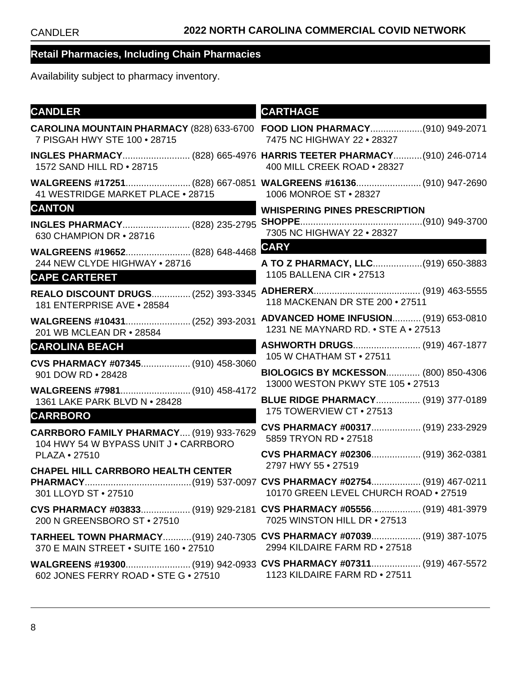| <b>CANDLER</b>                                                                   | <b>CARTHAGE</b>                                                                                          |
|----------------------------------------------------------------------------------|----------------------------------------------------------------------------------------------------------|
| 7 PISGAH HWY STE 100 . 28715                                                     | CAROLINA MOUNTAIN PHARMACY (828) 633-6700 FOOD LION PHARMACY(910) 949-2071<br>7475 NC HIGHWAY 22 . 28327 |
| 1572 SAND HILL RD . 28715                                                        | INGLES PHARMACY (828) 665-4976 HARRIS TEETER PHARMACY (910) 246-0714<br>400 MILL CREEK ROAD . 28327      |
| 41 WESTRIDGE MARKET PLACE . 28715                                                | WALGREENS #17251 (828) 667-0851 WALGREENS #16136 (910) 947-2690<br>1006 MONROE ST • 28327                |
| <b>CANTON</b>                                                                    | <b>WHISPERING PINES PRESCRIPTION</b>                                                                     |
| INGLES PHARMACY (828) 235-2795<br>630 CHAMPION DR • 28716                        | 7305 NC HIGHWAY 22 . 28327                                                                               |
| WALGREENS #19652 (828) 648-4468                                                  | <b>CARY</b>                                                                                              |
| 244 NEW CLYDE HIGHWAY . 28716                                                    | A TO Z PHARMACY, LLC(919) 650-3883                                                                       |
| <b>CAPE CARTERET</b>                                                             | 1105 BALLENA CIR . 27513                                                                                 |
| 181 ENTERPRISE AVE . 28584                                                       | 118 MACKENAN DR STE 200 · 27511                                                                          |
| WALGREENS #10431 (252) 393-2031<br>201 WB MCLEAN DR • 28584                      | <b>ADVANCED HOME INFUSION (919) 653-0810</b><br>1231 NE MAYNARD RD. • STE A • 27513                      |
| <b>CAROLINA BEACH</b>                                                            | ASHWORTH DRUGS (919) 467-1877                                                                            |
| CVS PHARMACY #07345 (910) 458-3060                                               | 105 W CHATHAM ST • 27511                                                                                 |
| 901 DOW RD • 28428                                                               | <b>BIOLOGICS BY MCKESSON (800) 850-4306</b><br>13000 WESTON PKWY STE 105 . 27513                         |
| WALGREENS #7981 (910) 458-4172                                                   | <b>BLUE RIDGE PHARMACY (919) 377-0189</b>                                                                |
| 1361 LAKE PARK BLVD N . 28428                                                    | 175 TOWERVIEW CT • 27513                                                                                 |
| <b>CARRBORO</b>                                                                  | CVS PHARMACY #00317 (919) 233-2929                                                                       |
| CARRBORO FAMILY PHARMACY (919) 933-7629<br>104 HWY 54 W BYPASS UNIT J . CARRBORO | 5859 TRYON RD . 27518                                                                                    |
| <b>PLAZA • 27510</b>                                                             | CVS PHARMACY #02306 (919) 362-0381                                                                       |
| <b>CHAPEL HILL CARRBORO HEALTH CENTER</b>                                        | 2797 HWY 55 . 27519                                                                                      |
|                                                                                  | 10170 GREEN LEVEL CHURCH ROAD . 27519                                                                    |
| 301 LLOYD ST . 27510                                                             |                                                                                                          |
| 200 N GREENSBORO ST . 27510                                                      | CVS PHARMACY #03833 (919) 929-2181 CVS PHARMACY #05556 (919) 481-3979<br>7025 WINSTON HILL DR • 27513    |
| 370 E MAIN STREET . SUITE 160 . 27510                                            | TARHEEL TOWN PHARMACY(919) 240-7305 CVS PHARMACY #07039 (919) 387-1075<br>2994 KILDAIRE FARM RD . 27518  |
| 602 JONES FERRY ROAD . STE G . 27510                                             | 1123 KILDAIRE FARM RD . 27511                                                                            |
|                                                                                  |                                                                                                          |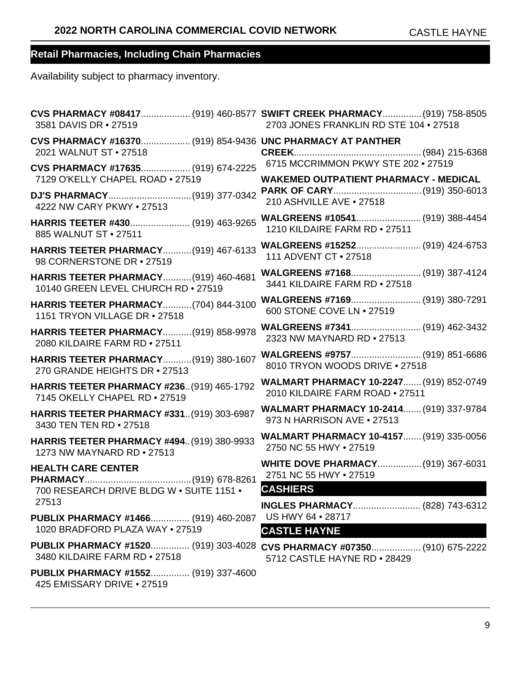| 3581 DAVIS DR • 27519                                                                | CVS PHARMACY #08417 (919) 460-8577 SWIFT CREEK PHARMACY (919) 758-8505<br>2703 JONES FRANKLIN RD STE 104 . 27518 |
|--------------------------------------------------------------------------------------|------------------------------------------------------------------------------------------------------------------|
| CVS PHARMACY #16370 (919) 854-9436 UNC PHARMACY AT PANTHER<br>2021 WALNUT ST . 27518 |                                                                                                                  |
| CVS PHARMACY #17635 (919) 674-2225                                                   | 6715 MCCRIMMON PKWY STE 202 . 27519                                                                              |
| 7129 O'KELLY CHAPEL ROAD . 27519                                                     | <b>WAKEMED OUTPATIENT PHARMACY - MEDICAL</b>                                                                     |
|                                                                                      |                                                                                                                  |
| 4222 NW CARY PKWY . 27513                                                            | 210 ASHVILLE AVE . 27518                                                                                         |
| HARRIS TEETER #430 (919) 463-9265                                                    | WALGREENS #10541 (919) 388-4454                                                                                  |
| 885 WALNUT ST . 27511                                                                | 1210 KILDAIRE FARM RD . 27511                                                                                    |
| HARRIS TEETER PHARMACY(919) 467-6133                                                 | WALGREENS #15252 (919) 424-6753                                                                                  |
| 98 CORNERSTONE DR . 27519                                                            | 111 ADVENT CT • 27518                                                                                            |
| <b>HARRIS TEETER PHARMACY (919) 460-4681</b>                                         | WALGREENS #7168 (919) 387-4124                                                                                   |
| 10140 GREEN LEVEL CHURCH RD . 27519                                                  | 3441 KILDAIRE FARM RD . 27518                                                                                    |
| HARRIS TEETER PHARMACY(704) 844-3100                                                 |                                                                                                                  |
| 1151 TRYON VILLAGE DR . 27518                                                        | 600 STONE COVE LN . 27519                                                                                        |
| HARRIS TEETER PHARMACY (919) 858-9978                                                |                                                                                                                  |
| 2080 KILDAIRE FARM RD . 27511                                                        | 2323 NW MAYNARD RD . 27513                                                                                       |
| <b>HARRIS TEETER PHARMACY (919) 380-1607</b>                                         | WALGREENS #9757 (919) 851-6686                                                                                   |
| 270 GRANDE HEIGHTS DR . 27513                                                        | 8010 TRYON WOODS DRIVE . 27518                                                                                   |
| <b>HARRIS TEETER PHARMACY #236 (919) 465-1792</b>                                    | WALMART PHARMACY 10-2247 (919) 852-0749                                                                          |
| 7145 OKELLY CHAPEL RD . 27519                                                        | 2010 KILDAIRE FARM ROAD . 27511                                                                                  |
| <b>HARRIS TEETER PHARMACY #331 (919) 303-6987</b>                                    | WALMART PHARMACY 10-2414 (919) 337-9784                                                                          |
| 3430 TEN TEN RD . 27518                                                              | 973 N HARRISON AVE . 27513                                                                                       |
| <b>HARRIS TEETER PHARMACY #494 (919) 380-9933</b>                                    | <b>WALMART PHARMACY 10-4157 (919) 335-0056</b>                                                                   |
| 1273 NW MAYNARD RD . 27513                                                           | 2750 NC 55 HWY . 27519                                                                                           |
| <b>HEALTH CARE CENTER</b>                                                            | <b>WHITE DOVE PHARMACY (919) 367-6031</b>                                                                        |
|                                                                                      | 2751 NC 55 HWY . 27519                                                                                           |
| 700 RESEARCH DRIVE BLDG W . SUITE 1151 .                                             | <b>CASHIERS</b>                                                                                                  |
| 27513                                                                                |                                                                                                                  |
| PUBLIX PHARMACY #1466 (919) 460-2087                                                 | US HWY 64 . 28717                                                                                                |
| 1020 BRADFORD PLAZA WAY . 27519                                                      | <b>CASTLE HAYNE</b>                                                                                              |
| 3480 KILDAIRE FARM RD . 27518                                                        | PUBLIX PHARMACY #1520 (919) 303-4028 CVS PHARMACY #07350 (910) 675-2222<br>5712 CASTLE HAYNE RD . 28429          |
| PUBLIX PHARMACY #1552 (919) 337-4600<br>425 EMISSARY DRIVE • 27519                   |                                                                                                                  |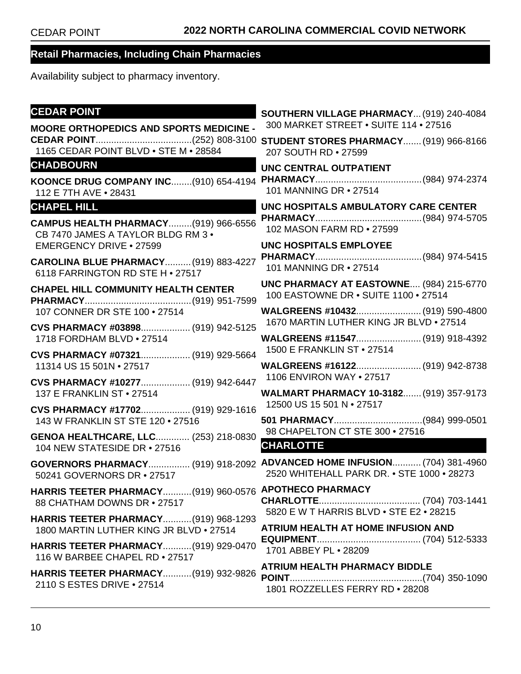**SOUTHERN VILLAGE PHARMACY**...(919) 240-4084

#### **Retail Pharmacies, Including Chain Pharmacies**

Availability subject to pharmacy inventory.

#### **CEDAR POINT**

**MOORE ORTHOPEDICS AND SPORTS MEDICINE - CEDAR POINT**.....................................(252) 808-3100 **STUDENT STORES PHARMACY**.......(919) 966-8166 1165 CEDAR POINT BLVD • STE M • 28584 **CHADBOURN KOONCE DRUG COMPANY INC**........(910) 654-4194 112 E 7TH AVE • 28431 **CHAPEL HILL CAMPUS HEALTH PHARMACY**.........(919) 966-6556 CB 7470 JAMES A TAYLOR BLDG RM 3 • EMERGENCY DRIVE • 27599 **CAROLINA BLUE PHARMACY**..........(919) 883-4227 6118 FARRINGTON RD STE H • 27517 **CHAPEL HILL COMMUNITY HEALTH CENTER PHARMACY**.........................................(919) 951-7599 107 CONNER DR STE 100 • 27514 **CVS PHARMACY #03898**................... (919) 942-5125 1718 FORDHAM BLVD • 27514 **CVS PHARMACY #07321**................... (919) 929-5664 11314 US 15 501N • 27517 **CVS PHARMACY #10277**................... (919) 942-6447 137 E FRANKLIN ST • 27514 **CVS PHARMACY #17702**................... (919) 929-1616 143 W FRANKLIN ST STE 120 • 27516 **GENOA HEALTHCARE, LLC**............. (253) 218-0830 104 NEW STATESIDE DR • 27516 **GOVERNORS PHARMACY**................ (919) 918-2092 **ADVANCED HOME INFUSION**........... (704) 381-4960 50241 GOVERNORS DR • 27517 **HARRIS TEETER PHARMACY**...........(919) 960-0576 **APOTHECO PHARMACY** 88 CHATHAM DOWNS DR • 27517 **HARRIS TEETER PHARMACY**...........(919) 968-1293 1800 MARTIN LUTHER KING JR BLVD • 27514 **HARRIS TEETER PHARMACY**...........(919) 929-0470 116 W BARBEE CHAPEL RD • 27517 **HARRIS TEETER PHARMACY**...........(919) 932-9826 2110 S ESTES DRIVE • 27514 300 MARKET STREET • SUITE 114 • 27516 207 SOUTH RD • 27599 **UNC CENTRAL OUTPATIENT PHARMACY**.........................................(984) 974-2374 101 MANNING DR • 27514 **UNC HOSPITALS AMBULATORY CARE CENTER PHARMACY**.........................................(984) 974-5705 102 MASON FARM RD • 27599 **UNC HOSPITALS EMPLOYEE PHARMACY**.........................................(984) 974-5415 101 MANNING DR • 27514 **UNC PHARMACY AT EASTOWNE**.... (984) 215-6770 100 EASTOWNE DR • SUITE 1100 • 27514 **WALGREENS #10432**.........................(919) 590-4800 1670 MARTIN LUTHER KING JR BLVD • 27514 **WALGREENS #11547**.........................(919) 918-4392 1500 E FRANKLIN ST • 27514 **WALGREENS #16122**.........................(919) 942-8738 1106 ENVIRON WAY • 27517 **WALMART PHARMACY 10-3182**.......(919) 357-9173 12500 US 15 501 N • 27517 **501 PHARMACY**..................................(984) 999-0501 98 CHAPELTON CT STE 300 • 27516 **CHARLOTTE** 2520 WHITEHALL PARK DR. • STE 1000 • 28273 **CHARLOTTE**....................................... (704) 703-1441 5820 E W T HARRIS BLVD • STE E2 • 28215 **ATRIUM HEALTH AT HOME INFUSION AND EQUIPMENT**........................................ (704) 512-5333 1701 ABBEY PL • 28209 **ATRIUM HEALTH PHARMACY BIDDLE POINT**...................................................(704) 350-1090 1801 ROZZELLES FERRY RD • 28208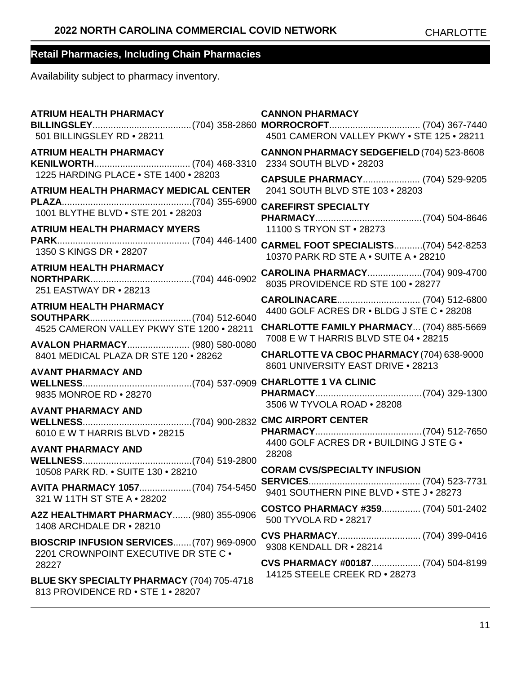| <b>ATRIUM HEALTH PHARMACY</b><br>501 BILLINGSLEY RD . 28211                      | <b>CANNON PHARMACY</b><br>4501 CAMERON VALLEY PKWY . STE 125 . 28211              |
|----------------------------------------------------------------------------------|-----------------------------------------------------------------------------------|
| <b>ATRIUM HEALTH PHARMACY</b><br>1225 HARDING PLACE . STE 1400 . 28203           | <b>CANNON PHARMACY SEDGEFIELD (704) 523-8608</b>                                  |
| <b>ATRIUM HEALTH PHARMACY MEDICAL CENTER</b>                                     | CAPSULE PHARMACY (704) 529-9205<br>2041 SOUTH BLVD STE 103 . 28203                |
| 1001 BLYTHE BLVD . STE 201 . 28203                                               | <b>CAREFIRST SPECIALTY</b>                                                        |
| <b>ATRIUM HEALTH PHARMACY MYERS</b>                                              | 11100 S TRYON ST . 28273<br><b>CARMEL FOOT SPECIALISTS(704) 542-8253</b>          |
| 1350 S KINGS DR . 28207                                                          | 10370 PARK RD STE A . SUITE A . 28210                                             |
| <b>ATRIUM HEALTH PHARMACY</b><br>251 EASTWAY DR . 28213                          | 8035 PROVIDENCE RD STE 100 . 28277                                                |
| <b>ATRIUM HEALTH PHARMACY</b>                                                    | 4400 GOLF ACRES DR . BLDG J STE C . 28208                                         |
| 4525 CAMERON VALLEY PKWY STE 1200 . 28211                                        | CHARLOTTE FAMILY PHARMACY (704) 885-5669<br>7008 E W T HARRIS BLVD STE 04 . 28215 |
| AVALON PHARMACY (980) 580-0080<br>8401 MEDICAL PLAZA DR STE 120 · 28262          | CHARLOTTE VA CBOC PHARMACY (704) 638-9000<br>8601 UNIVERSITY EAST DRIVE . 28213   |
| <b>AVANT PHARMACY AND</b><br>9835 MONROE RD . 28270                              | 3506 W TYVOLA ROAD . 28208                                                        |
| <b>AVANT PHARMACY AND</b><br>6010 E W T HARRIS BLVD . 28215                      | 4400 GOLF ACRES DR . BUILDING J STE G .                                           |
| <b>AVANT PHARMACY AND</b><br>10508 PARK RD. • SUITE 130 • 28210                  | 28208<br><b>CORAM CVS/SPECIALTY INFUSION</b>                                      |
| 321 W 11TH ST STE A . 28202                                                      |                                                                                   |
| A2Z HEALTHMART PHARMACY (980) 355-0906<br>1408 ARCHDALE DR • 28210               | COSTCO PHARMACY #359 (704) 501-2402<br>500 TYVOLA RD . 28217                      |
| BIOSCRIP INFUSION SERVICES(707) 969-0900<br>2201 CROWNPOINT EXECUTIVE DR STE C . | 9308 KENDALL DR . 28214                                                           |
| 28227                                                                            | CVS PHARMACY #00187 (704) 504-8199<br>14125 STEELE CREEK RD . 28273               |
| BLUE SKY SPECIALTY PHARMACY (704) 705-4718<br>813 PROVIDENCE RD . STE 1 . 28207  |                                                                                   |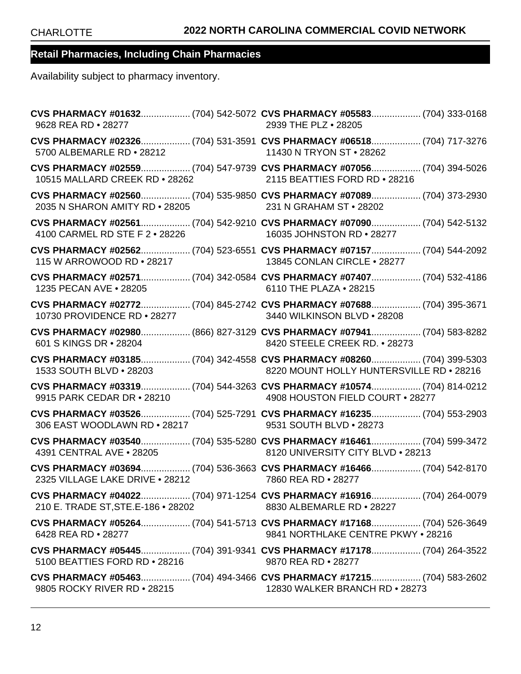| CVS PHARMACY #01632 (704) 542-5072 CVS PHARMACY #05583 (704) 333-0168<br>9628 REA RD . 28277                                          | 2939 THE PLZ • 28205                     |  |
|---------------------------------------------------------------------------------------------------------------------------------------|------------------------------------------|--|
| CVS PHARMACY #02326 (704) 531-3591 CVS PHARMACY #06518 (704) 717-3276<br>5700 ALBEMARLE RD . 28212                                    | 11430 N TRYON ST . 28262                 |  |
| CVS PHARMACY #02559 (704) 547-9739 CVS PHARMACY #07056 (704) 394-5026<br>10515 MALLARD CREEK RD · 28262 2115 BEATTIES FORD RD · 28216 |                                          |  |
| CVS PHARMACY #02560 (704) 535-9850 CVS PHARMACY #07089 (704) 373-2930<br>2035 N SHARON AMITY RD . 28205                               | 231 N GRAHAM ST · 28202                  |  |
| CVS PHARMACY #02561 (704) 542-9210 CVS PHARMACY #07090 (704) 542-5132<br>4100 CARMEL RD STE F 2 . 28226                               | 16035 JOHNSTON RD . 28277                |  |
| CVS PHARMACY #02562 (704) 523-6551 CVS PHARMACY #07157 (704) 544-2092<br>115 W ARROWOOD RD . 28217                                    | 13845 CONLAN CIRCLE . 28277              |  |
| 1235 PECAN AVE . 28205                                                                                                                | 6110 THE PLAZA . 28215                   |  |
| CVS PHARMACY #02772 (704) 845-2742 CVS PHARMACY #07688 (704) 395-3671<br>10730 PROVIDENCE RD . 28277                                  | 3440 WILKINSON BLVD . 28208              |  |
| CVS PHARMACY #02980 (866) 827-3129 CVS PHARMACY #07941 (704) 583-8282<br>601 S KINGS DR • 28204                                       | 8420 STEELE CREEK RD. • 28273            |  |
| CVS PHARMACY #03185 (704) 342-4558 CVS PHARMACY #08260 (704) 399-5303<br>1533 SOUTH BLVD . 28203                                      | 8220 MOUNT HOLLY HUNTERSVILLE RD . 28216 |  |
| CVS PHARMACY #03319 (704) 544-3263 CVS PHARMACY #10574 (704) 814-0212<br>9915 PARK CEDAR DR • 28210                                   | 4908 HOUSTON FIELD COURT . 28277         |  |
| CVS PHARMACY #03526 (704) 525-7291 CVS PHARMACY #16235 (704) 553-2903<br>306 EAST WOODLAWN RD • 28217 9531 SOUTH BLVD • 28273         |                                          |  |
| CVS PHARMACY #03540 (704) 535-5280 CVS PHARMACY #16461 (704) 599-3472<br>4391 CENTRAL AVE . 28205                                     | 8120 UNIVERSITY CITY BLVD . 28213        |  |
| CVS PHARMACY #03694 (704) 536-3663 CVS PHARMACY #16466 (704) 542-8170<br>2325 VILLAGE LAKE DRIVE . 28212 7860 REA RD . 28277          |                                          |  |
| 210 E. TRADE ST, STE. E-186 . 28202                                                                                                   | 8830 ALBEMARLE RD • 28227                |  |
| 6428 REA RD • 28277                                                                                                                   | 9841 NORTHLAKE CENTRE PKWY . 28216       |  |
| 5100 BEATTIES FORD RD . 28216                                                                                                         | 9870 REA RD • 28277                      |  |
| 9805 ROCKY RIVER RD • 28215                                                                                                           | 12830 WALKER BRANCH RD • 28273           |  |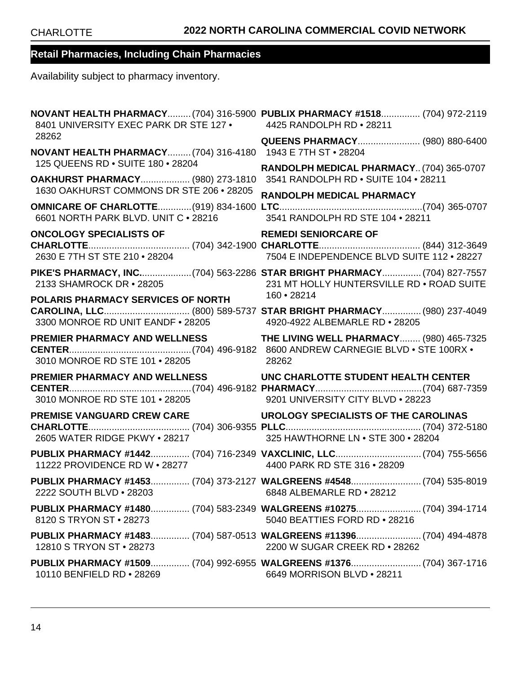| 8401 UNIVERSITY EXEC PARK DR STE 127 .                                       | NOVANT HEALTH PHARMACY (704) 316-5900 PUBLIX PHARMACY #1518 (704) 972-2119<br>4425 RANDOLPH RD . 28211              |
|------------------------------------------------------------------------------|---------------------------------------------------------------------------------------------------------------------|
| 28262<br>NOVANT HEALTH PHARMACY (704) 316-4180                               | <b>QUEENS PHARMACY (980) 880-6400</b><br>1943 E 7TH ST · 28204                                                      |
| 125 QUEENS RD . SUITE 180 . 28204                                            | RANDOLPH MEDICAL PHARMACY (704) 365-0707                                                                            |
| OAKHURST PHARMACY (980) 273-1810<br>1630 OAKHURST COMMONS DR STE 206 . 28205 | 3541 RANDOLPH RD . SUITE 104 . 28211                                                                                |
| 6601 NORTH PARK BLVD. UNIT C . 28216                                         | RANDOLPH MEDICAL PHARMACY<br>3541 RANDOLPH RD STE 104 . 28211                                                       |
| <b>ONCOLOGY SPECIALISTS OF</b><br>2630 E 7TH ST STE 210 • 28204              | <b>REMEDI SENIORCARE OF</b><br>7504 E INDEPENDENCE BLVD SUITE 112 . 28227                                           |
| 2133 SHAMROCK DR · 28205                                                     | PIKE'S PHARMACY, INC(704) 563-2286 STAR BRIGHT PHARMACY (704) 827-7557<br>231 MT HOLLY HUNTERSVILLE RD . ROAD SUITE |
| POLARIS PHARMACY SERVICES OF NORTH<br>3300 MONROE RD UNIT EANDF . 28205      | 160 • 28214<br>4920-4922 ALBEMARLE RD . 28205                                                                       |
| <b>PREMIER PHARMACY AND WELLNESS</b><br>3010 MONROE RD STE 101 . 28205       | <b>THE LIVING WELL PHARMACY (980) 465-7325</b><br>8600 ANDREW CARNEGIE BLVD . STE 100RX .<br>28262                  |
| <b>PREMIER PHARMACY AND WELLNESS</b><br>3010 MONROE RD STE 101 . 28205       | UNC CHARLOTTE STUDENT HEALTH CENTER<br>9201 UNIVERSITY CITY BLVD . 28223                                            |
| <b>PREMISE VANGUARD CREW CARE</b><br>2605 WATER RIDGE PKWY . 28217           | UROLOGY SPECIALISTS OF THE CAROLINAS<br>325 HAWTHORNE LN . STE 300 . 28204                                          |
| 11222 PROVIDENCE RD W . 28277                                                | PUBLIX PHARMACY #1442 (704) 716-2349 VAXCLINIC, LLC (704) 755-5656<br>4400 PARK RD STE 316 . 28209                  |
| 2222 SOUTH BLVD • 28203                                                      | PUBLIX PHARMACY #1453 (704) 373-2127 WALGREENS #4548 (704) 535-8019<br>6848 ALBEMARLE RD . 28212                    |
| 8120 S TRYON ST • 28273                                                      | PUBLIX PHARMACY #1480 (704) 583-2349 WALGREENS #10275 (704) 394-1714<br>5040 BEATTIES FORD RD • 28216               |
| 12810 S TRYON ST • 28273                                                     | PUBLIX PHARMACY #1483 (704) 587-0513 WALGREENS #11396 (704) 494-4878<br>2200 W SUGAR CREEK RD . 28262               |
| 10110 BENFIELD RD • 28269                                                    | PUBLIX PHARMACY #1509 (704) 992-6955 WALGREENS #1376 (704) 367-1716<br>6649 MORRISON BLVD . 28211                   |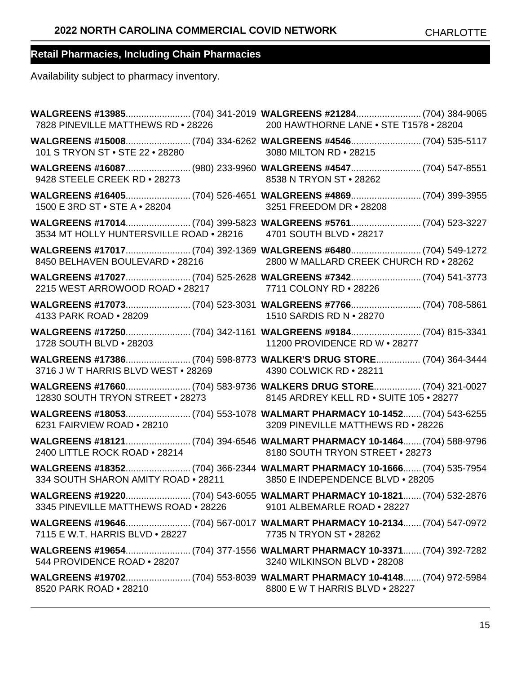| 7828 PINEVILLE MATTHEWS RD . 28226 200 HAWTHORNE LANE . STE T1578 . 28204                     |                                                                                                 |
|-----------------------------------------------------------------------------------------------|-------------------------------------------------------------------------------------------------|
| 101 S TRYON ST . STE 22 . 28280                                                               | 3080 MILTON RD . 28215                                                                          |
| WALGREENS #16087(980) 233-9960 WALGREENS #4547 (704) 547-8551<br>9428 STEELE CREEK RD • 28273 | 8538 N TRYON ST . 28262                                                                         |
| 1500 E 3RD ST • STE A • 28204                                                                 | 3251 FREEDOM DR . 28208                                                                         |
| 3534 MT HOLLY HUNTERSVILLE ROAD . 28216 4701 SOUTH BLVD . 28217                               |                                                                                                 |
| 8450 BELHAVEN BOULEVARD . 28216                                                               | 2800 W MALLARD CREEK CHURCH RD . 28262                                                          |
| 2215 WEST ARROWOOD ROAD . 28217 7711 COLONY RD . 28226                                        |                                                                                                 |
| 4133 PARK ROAD . 28209                                                                        | 1510 SARDIS RD N . 28270                                                                        |
| 1728 SOUTH BLVD . 28203                                                                       | WALGREENS #17250 (704) 342-1161 WALGREENS #9184 (704) 815-3341<br>11200 PROVIDENCE RD W . 28277 |
| 3716 J W T HARRIS BLVD WEST . 28269 4390 COLWICK RD . 28211                                   | WALGREENS #17386 (704) 598-8773 WALKER'S DRUG STORE (704) 364-3444                              |
| 12830 SOUTH TRYON STREET . 28273 8145 ARDREY KELL RD . SUITE 105 . 28277                      |                                                                                                 |
| 6231 FAIRVIEW ROAD . 28210                                                                    | 3209 PINEVILLE MATTHEWS RD . 28226                                                              |
| 2400 LITTLE ROCK ROAD . 28214                                                                 | 8180 SOUTH TRYON STREET . 28273                                                                 |
| 334 SOUTH SHARON AMITY ROAD . 28211 3850 E INDEPENDENCE BLVD . 28205                          |                                                                                                 |
| 3345 PINEVILLE MATTHEWS ROAD . 28226                                                          | 9101 ALBEMARLE ROAD • 28227                                                                     |
| 7115 E W.T. HARRIS BLVD . 28227                                                               | 7735 N TRYON ST • 28262                                                                         |
| 544 PROVIDENCE ROAD . 28207                                                                   | 3240 WILKINSON BLVD . 28208                                                                     |
| 8520 PARK ROAD . 28210                                                                        | 8800 E W T HARRIS BLVD . 28227                                                                  |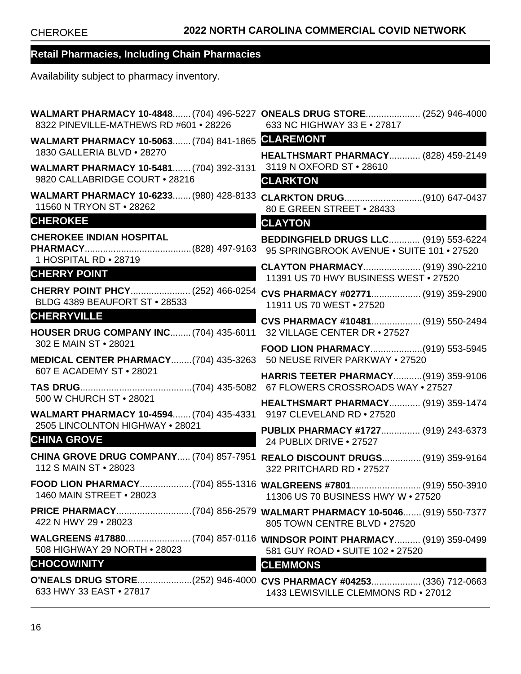| <b>WALMART PHARMACY 10-4848 (704) 496-5227</b><br>8322 PINEVILLE-MATHEWS RD #601 . 28226 | <b>ONEALS DRUG STORE (252) 946-4000</b><br>633 NC HIGHWAY 33 E . 27817                                     |
|------------------------------------------------------------------------------------------|------------------------------------------------------------------------------------------------------------|
| WALMART PHARMACY 10-5063 (704) 841-1865                                                  | <b>CLAREMONT</b>                                                                                           |
| 1830 GALLERIA BLVD . 28270                                                               | <b>HEALTHSMART PHARMACY (828) 459-2149</b>                                                                 |
| WALMART PHARMACY 10-5481 (704) 392-3131<br>9820 CALLABRIDGE COURT . 28216                | 3119 N OXFORD ST . 28610<br><b>CLARKTON</b>                                                                |
| WALMART PHARMACY 10-6233 (980) 428-8133                                                  |                                                                                                            |
| 11560 N TRYON ST . 28262                                                                 | 80 E GREEN STREET . 28433                                                                                  |
| <b>CHEROKEE</b>                                                                          | <b>CLAYTON</b>                                                                                             |
| <b>CHEROKEE INDIAN HOSPITAL</b><br>1 HOSPITAL RD . 28719                                 | BEDDINGFIELD DRUGS LLC (919) 553-6224<br>95 SPRINGBROOK AVENUE . SUITE 101 . 27520                         |
| <b>CHERRY POINT</b>                                                                      | CLAYTON PHARMACY (919) 390-2210<br>11391 US 70 HWY BUSINESS WEST . 27520                                   |
| CHERRY POINT PHCY (252) 466-0254<br>BLDG 4389 BEAUFORT ST . 28533                        | CVS PHARMACY #02771 (919) 359-2900<br>11911 US 70 WEST . 27520                                             |
| <b>CHERRYVILLE</b><br><u> Martin Barbara</u><br>HOUSER DRUG COMPANY INC (704) 435-6011   | CVS PHARMACY #10481 (919) 550-2494<br>32 VILLAGE CENTER DR . 27527                                         |
| 302 E MAIN ST . 28021                                                                    | FOOD LION PHARMACY(919) 553-5945                                                                           |
| MEDICAL CENTER PHARMACY(704) 435-3263                                                    | 50 NEUSE RIVER PARKWAY . 27520                                                                             |
| 607 E ACADEMY ST • 28021                                                                 | <b>HARRIS TEETER PHARMACY (919) 359-9106</b>                                                               |
| 500 W CHURCH ST • 28021                                                                  | <b>HEALTHSMART PHARMACY (919) 359-1474</b>                                                                 |
| WALMART PHARMACY 10-4594 (704) 435-4331<br>2505 LINCOLNTON HIGHWAY . 28021               | 9197 CLEVELAND RD . 27520                                                                                  |
| <b>CHINA GROVE</b>                                                                       | PUBLIX PHARMACY #1727 (919) 243-6373<br>24 PUBLIX DRIVE $\cdot$ 27527                                      |
| 112 S MAIN ST • 28023                                                                    | CHINA GROVE DRUG COMPANY (704) 857-7951 REALO DISCOUNT DRUGS (919) 359-9164<br>322 PRITCHARD RD . 27527    |
| 1460 MAIN STREET . 28023                                                                 | FOOD LION PHARMACY(704) 855-1316 WALGREENS #7801 (919) 550-3910<br>11306 US 70 BUSINESS HWY W . 27520      |
| 422 N HWY 29 • 28023                                                                     | PRICE PHARMACY(704) 856-2579 WALMART PHARMACY 10-5046 (919) 550-7377<br>805 TOWN CENTRE BLVD . 27520       |
| 508 HIGHWAY 29 NORTH . 28023                                                             | 581 GUY ROAD . SUITE 102 . 27520                                                                           |
| <b>CHOCOWINITY</b>                                                                       | <b>CLEMMONS</b>                                                                                            |
| 633 HWY 33 EAST • 27817                                                                  | O'NEALS DRUG STORE(252) 946-4000 CVS PHARMACY #04253 (336) 712-0663<br>1433 LEWISVILLE CLEMMONS RD . 27012 |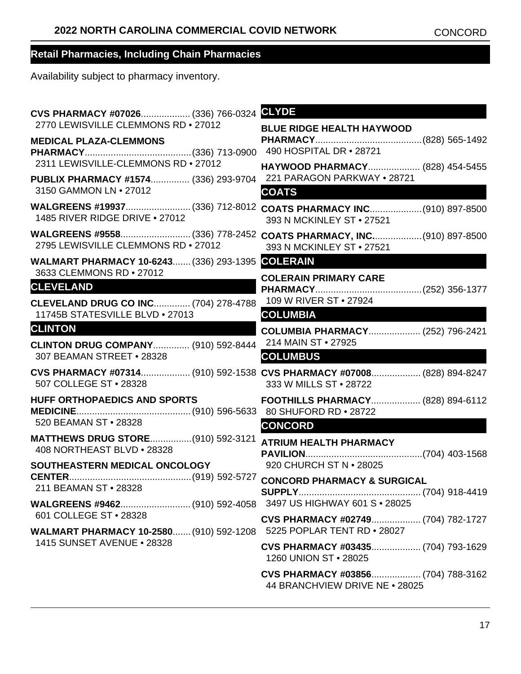| CVS PHARMACY #07026 (336) 766-0324                                                            | <b>CLYDE</b>                                                                                    |
|-----------------------------------------------------------------------------------------------|-------------------------------------------------------------------------------------------------|
| 2770 LEWISVILLE CLEMMONS RD . 27012                                                           | <b>BLUE RIDGE HEALTH HAYWOOD</b>                                                                |
| <b>MEDICAL PLAZA-CLEMMONS</b>                                                                 | 490 HOSPITAL DR • 28721                                                                         |
| 2311 LEWISVILLE-CLEMMONS RD . 27012                                                           |                                                                                                 |
| PUBLIX PHARMACY #1574 (336) 293-9704                                                          | HAYWOOD PHARMACY (828) 454-5455<br>221 PARAGON PARKWAY . 28721                                  |
| 3150 GAMMON LN . 27012                                                                        | <b>COATS</b>                                                                                    |
| WALGREENS #19937 (336) 712-8012<br>1485 RIVER RIDGE DRIVE . 27012                             | COATS PHARMACY INC(910) 897-8500<br>393 N MCKINLEY ST . 27521                                   |
| 2795 LEWISVILLE CLEMMONS RD . 27012                                                           | WALGREENS #9558(336) 778-2452 COATS PHARMACY, INC(910) 897-8500<br>393 N MCKINLEY ST . 27521    |
| <b>WALMART PHARMACY 10-6243 (336) 293-1395</b>                                                | <b>COLERAIN</b>                                                                                 |
| 3633 CLEMMONS RD . 27012                                                                      | <b>COLERAIN PRIMARY CARE</b>                                                                    |
| <b>CLEVELAND</b>                                                                              | 109 W RIVER ST • 27924                                                                          |
| <b>CLEVELAND DRUG CO INC (704) 278-4788</b><br>11745B STATESVILLE BLVD . 27013                | <b>COLUMBIA</b>                                                                                 |
| <b>CLINTON</b>                                                                                | COLUMBIA PHARMACY (252) 796-2421                                                                |
| <b>CLINTON DRUG COMPANY (910) 592-8444</b>                                                    | 214 MAIN ST . 27925                                                                             |
| 307 BEAMAN STREET . 28328                                                                     | <b>COLUMBUS</b>                                                                                 |
| 507 COLLEGE ST . 28328                                                                        | CVS PHARMACY #07314 (910) 592-1538 CVS PHARMACY #07008 (828) 894-8247<br>333 W MILLS ST . 28722 |
| <b>HUFF ORTHOPAEDICS AND SPORTS</b>                                                           | FOOTHILLS PHARMACY (828) 894-6112                                                               |
| 520 BEAMAN ST • 28328                                                                         |                                                                                                 |
| <b>MATTHEWS DRUG STORE(910) 592-3121</b>                                                      | <b>CONCORD</b>                                                                                  |
| 408 NORTHEAST BLVD . 28328                                                                    | <b>ATRIUM HEALTH PHARMACY</b>                                                                   |
| SOUTHEASTERN MEDICAL ONCOLOGY                                                                 | 920 CHURCH ST N • 28025                                                                         |
| 211 BEAMAN ST • 28328                                                                         | <b>CONCORD PHARMACY &amp; SURGICAL</b>                                                          |
|                                                                                               |                                                                                                 |
| 601 COLLEGE ST • 28328<br>WALMART PHARMACY 10-2580 (910) 592-1208 5225 POPLAR TENT RD . 28027 | CVS PHARMACY #02749 (704) 782-1727                                                              |
| 1415 SUNSET AVENUE . 28328                                                                    | CVS PHARMACY #03435 (704) 793-1629<br>1260 UNION ST • 28025                                     |
|                                                                                               | CVS PHARMACY #03856 (704) 788-3162<br>44 BRANCHVIEW DRIVE NE . 28025                            |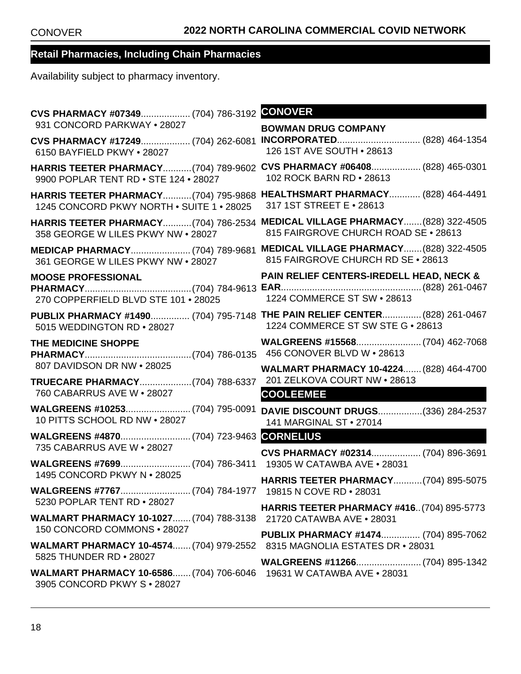| CVS PHARMACY #07349 (704) 786-3192                                                                 | <b>CONOVER</b>                                                                                                  |
|----------------------------------------------------------------------------------------------------|-----------------------------------------------------------------------------------------------------------------|
| 931 CONCORD PARKWAY . 28027                                                                        | <b>BOWMAN DRUG COMPANY</b>                                                                                      |
| CVS PHARMACY #17249 (704) 262-6081<br>6150 BAYFIELD PKWY . 28027                                   | INCORPORATED (828) 464-1354<br>126 1ST AVE SOUTH . 28613                                                        |
| <b>HARRIS TEETER PHARMACY (704) 789-9602</b><br>9900 POPLAR TENT RD . STE 124 . 28027              | CVS PHARMACY #06408 (828) 465-0301<br>102 ROCK BARN RD . 28613                                                  |
| HARRIS TEETER PHARMACY(704) 795-9868<br>1245 CONCORD PKWY NORTH . SUITE 1 . 28025                  | <b>HEALTHSMART PHARMACY (828) 464-4491</b><br>317 1ST STREET E • 28613                                          |
| <b>HARRIS TEETER PHARMACY (704) 786-2534</b><br>358 GEORGE W LILES PKWY NW . 28027                 | MEDICAL VILLAGE PHARMACY (828) 322-4505<br>815 FAIRGROVE CHURCH ROAD SE . 28613                                 |
| MEDICAP PHARMACY (704) 789-9681<br>361 GEORGE W LILES PKWY NW . 28027                              | MEDICAL VILLAGE PHARMACY (828) 322-4505<br>815 FAIRGROVE CHURCH RD SE . 28613                                   |
| <b>MOOSE PROFESSIONAL</b><br>270 COPPERFIELD BLVD STE 101 . 28025                                  | <b>PAIN RELIEF CENTERS-IREDELL HEAD, NECK &amp;</b><br>1224 COMMERCE ST SW . 28613                              |
| 5015 WEDDINGTON RD . 28027                                                                         | PUBLIX PHARMACY #1490 (704) 795-7148 THE PAIN RELIEF CENTER (828) 261-0467<br>1224 COMMERCE ST SW STE G . 28613 |
| THE MEDICINE SHOPPE                                                                                | 456 CONOVER BLVD W . 28613                                                                                      |
| 807 DAVIDSON DR NW • 28025                                                                         | WALMART PHARMACY 10-4224 (828) 464-4700                                                                         |
| TRUECARE PHARMACY(704) 788-6337<br>760 CABARRUS AVE W . 28027                                      | 201 ZELKOVA COURT NW . 28613<br><b>COOLEEMEE</b>                                                                |
| 10 PITTS SCHOOL RD NW . 28027                                                                      | DAVIE DISCOUNT DRUGS(336) 284-2537<br>141 MARGINAL ST . 27014                                                   |
| 735 CABARRUS AVE W . 28027                                                                         |                                                                                                                 |
|                                                                                                    | CVS PHARMACY #02314 (704) 896-3691<br>19305 W CATAWBA AVE . 28031                                               |
| 1495 CONCORD PKWY N . 28025                                                                        | HARRIS TEETER PHARMACY(704) 895-5075                                                                            |
| 5230 POPLAR TENT RD . 28027                                                                        |                                                                                                                 |
| <b>WALMART PHARMACY 10-1027 (704) 788-3138</b>                                                     | <b>HARRIS TEETER PHARMACY #416(704) 895-5773</b><br>21720 CATAWBA AVE . 28031                                   |
| 150 CONCORD COMMONS . 28027                                                                        | <b>PUBLIX PHARMACY #1474 (704) 895-7062</b>                                                                     |
| <b>WALMART PHARMACY 10-4574 (704) 979-2552</b><br>5825 THUNDER RD . 28027                          | 8315 MAGNOLIA ESTATES DR • 28031                                                                                |
| WALMART PHARMACY 10-6586 (704) 706-6046 19631 W CATAWBA AVE . 28031<br>3905 CONCORD PKWY S . 28027 |                                                                                                                 |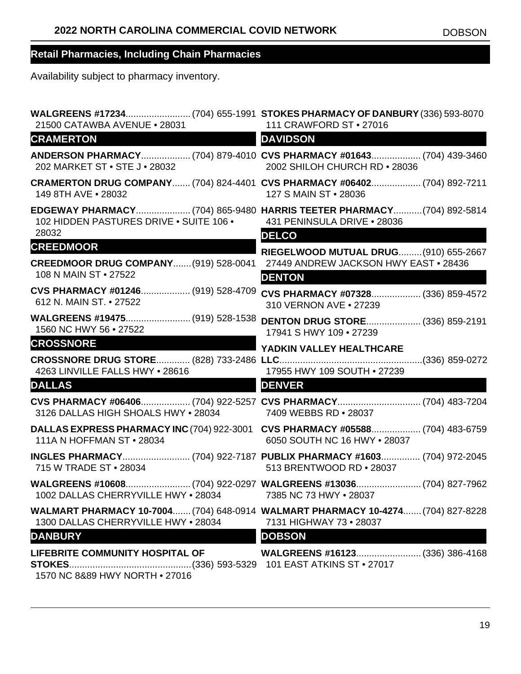| WALGREENS #17234(704) 655-1991 STOKES PHARMACY OF DANBURY (336) 593-8070<br>21500 CATAWBA AVENUE • 28031 | 111 CRAWFORD ST • 27016                                                                                       |
|----------------------------------------------------------------------------------------------------------|---------------------------------------------------------------------------------------------------------------|
| <b>CRAMERTON</b>                                                                                         | <b>DAVIDSON</b>                                                                                               |
| 202 MARKET ST . STE J . 28032                                                                            | ANDERSON PHARMACY (704) 879-4010 CVS PHARMACY #01643 (704) 439-3460<br>2002 SHILOH CHURCH RD . 28036          |
| 149 8TH AVE . 28032                                                                                      | CRAMERTON DRUG COMPANY (704) 824-4401 CVS PHARMACY #06402 (704) 892-7211<br>127 S MAIN ST . 28036             |
| 102 HIDDEN PASTURES DRIVE . SUITE 106 .                                                                  | EDGEWAY PHARMACY (704) 865-9480 HARRIS TEETER PHARMACY (704) 892-5814<br>431 PENINSULA DRIVE . 28036          |
| 28032                                                                                                    | <b>DELCO</b>                                                                                                  |
| <b>CREEDMOOR CREEDMOOR</b>                                                                               | RIEGELWOOD MUTUAL DRUG (910) 655-2667                                                                         |
| <b>CREEDMOOR DRUG COMPANY (919) 528-0041</b><br>108 N MAIN ST . 27522                                    | 27449 ANDREW JACKSON HWY EAST . 28436<br><b>DENTON</b>                                                        |
| CVS PHARMACY #01246 (919) 528-4709<br>612 N. MAIN ST. • 27522                                            | CVS PHARMACY #07328 (336) 859-4572<br>310 VERNON AVE . 27239                                                  |
| WALGREENS #19475 (919) 528-1538<br>1560 NC HWY 56 . 27522                                                | <b>DENTON DRUG STORE (336) 859-2191</b><br>17941 S HWY 109 . 27239                                            |
| <b>CROSSNORE</b>                                                                                         | YADKIN VALLEY HEALTHCARE                                                                                      |
| 4263 LINVILLE FALLS HWY . 28616                                                                          | 17955 HWY 109 SOUTH . 27239                                                                                   |
| <b>DALLAS</b>                                                                                            | <b>DENVER</b>                                                                                                 |
| 3126 DALLAS HIGH SHOALS HWY . 28034 7409 WEBBS RD . 28037                                                | CVS PHARMACY #06406 (704) 922-5257 CVS PHARMACY (704) 483-7204                                                |
| 111A N HOFFMAN ST • 28034                                                                                | DALLAS EXPRESS PHARMACY INC (704) 922-3001 CVS PHARMACY #05588 (704) 483-6759<br>6050 SOUTH NC 16 HWY . 28037 |
| 715 W TRADE ST • 28034                                                                                   | INGLES PHARMACY (704) 922-7187 PUBLIX PHARMACY #1603 (704) 972-2045<br>513 BRENTWOOD RD . 28037               |
| 1002 DALLAS CHERRYVILLE HWY . 28034                                                                      | 7385 NC 73 HWY . 28037                                                                                        |
| 1300 DALLAS CHERRYVILLE HWY . 28034                                                                      | WALMART PHARMACY 10-7004 (704) 648-0914 WALMART PHARMACY 10-4274 (704) 827-8228<br>7131 HIGHWAY 73 . 28037    |
| <b>DANBURY</b>                                                                                           | <b>DOBSON</b>                                                                                                 |
| <b>LIFEBRITE COMMUNITY HOSPITAL OF</b><br>1570 NC 8&89 HWY NORTH . 27016                                 |                                                                                                               |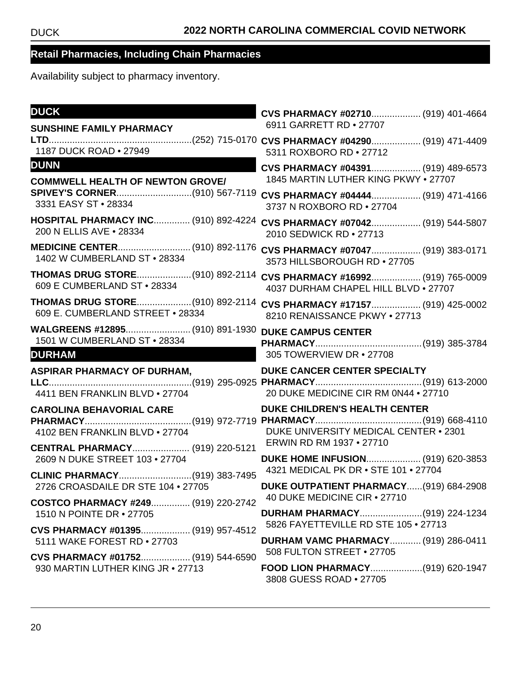| <b>DUCK</b>                                                             | CVS PHARMACY #02710 (919) 401-4664<br>6911 GARRETT RD . 27707              |
|-------------------------------------------------------------------------|----------------------------------------------------------------------------|
| <b>SUNSHINE FAMILY PHARMACY</b>                                         |                                                                            |
| 1187 DUCK ROAD . 27949                                                  | 5311 ROXBORO RD . 27712                                                    |
| <b>DUNN</b>                                                             | CVS PHARMACY #04391 (919) 489-6573                                         |
| <b>COMMWELL HEALTH OF NEWTON GROVE/</b>                                 | 1845 MARTIN LUTHER KING PKWY . 27707                                       |
| 3331 EASY ST . 28334                                                    | CVS PHARMACY #04444 (919) 471-4166<br>3737 N ROXBORO RD . 27704            |
| HOSPITAL PHARMACY INC (910) 892-4224<br>200 N ELLIS AVE . 28334         | CVS PHARMACY #07042 (919) 544-5807<br>2010 SEDWICK RD • 27713              |
| 1402 W CUMBERLAND ST . 28334                                            | CVS PHARMACY #07047 (919) 383-0171<br>3573 HILLSBOROUGH RD . 27705         |
| THOMAS DRUG STORE(910) 892-2114<br>609 E CUMBERLAND ST . 28334          | CVS PHARMACY #16992 (919) 765-0009<br>4037 DURHAM CHAPEL HILL BLVD . 27707 |
| THOMAS DRUG STORE(910) 892-2114<br>609 E. CUMBERLAND STREET . 28334     | CVS PHARMACY #17157 (919) 425-0002<br>8210 RENAISSANCE PKWY . 27713        |
| WALGREENS #12895 (910) 891-1930                                         | <b>DUKE CAMPUS CENTER</b>                                                  |
| 1501 W CUMBERLAND ST . 28334                                            |                                                                            |
|                                                                         |                                                                            |
| <b>DURHAM</b>                                                           | 305 TOWERVIEW DR . 27708                                                   |
| <b>ASPIRAR PHARMACY OF DURHAM,</b>                                      | DUKE CANCER CENTER SPECIALTY                                               |
| 4411 BEN FRANKLIN BLVD . 27704                                          | 20 DUKE MEDICINE CIR RM 0N44 . 27710                                       |
| <b>CAROLINA BEHAVORIAL CARE</b>                                         | <b>DUKE CHILDREN'S HEALTH CENTER</b>                                       |
|                                                                         |                                                                            |
| 4102 BEN FRANKLIN BLVD . 27704                                          | DUKE UNIVERSITY MEDICAL CENTER . 2301                                      |
| CENTRAL PHARMACY (919) 220-5121                                         | ERWIN RD RM 1937 . 27710                                                   |
| 2609 N DUKE STREET 103 . 27704                                          | DUKE HOME INFUSION (919) 620-3853<br>4321 MEDICAL PK DR . STE 101 . 27704  |
| CLINIC PHARMACY(919) 383-7495                                           |                                                                            |
| 2726 CROASDAILE DR STE 104 . 27705                                      | DUKE OUTPATIENT PHARMACY(919) 684-2908<br>40 DUKE MEDICINE CIR . 27710     |
| COSTCO PHARMACY #249 (919) 220-2742<br>1510 N POINTE DR • 27705         |                                                                            |
| CVS PHARMACY #01395 (919) 957-4512                                      | 5826 FAYETTEVILLE RD STE 105 . 27713                                       |
| 5111 WAKE FOREST RD . 27703                                             | <b>DURHAM VAMC PHARMACY (919) 286-0411</b>                                 |
| CVS PHARMACY #01752 (919) 544-6590<br>930 MARTIN LUTHER KING JR . 27713 | 508 FULTON STREET • 27705<br>FOOD LION PHARMACY(919) 620-1947              |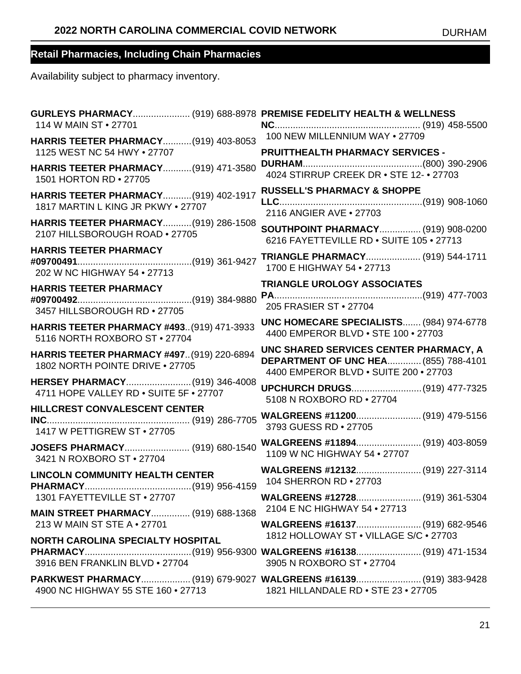| GURLEYS PHARMACY (919) 688-8978 PREMISE FEDELITY HEALTH & WELLNESS<br>114 W MAIN ST • 27701 |                                                                                                                                |
|---------------------------------------------------------------------------------------------|--------------------------------------------------------------------------------------------------------------------------------|
| HARRIS TEETER PHARMACY (919) 403-8053<br>1125 WEST NC 54 HWY . 27707                        | 100 NEW MILLENNIUM WAY . 27709<br>PRUITTHEALTH PHARMACY SERVICES -                                                             |
| <b>HARRIS TEETER PHARMACY (919) 471-3580</b><br>1501 HORTON RD . 27705                      |                                                                                                                                |
| <b>HARRIS TEETER PHARMACY (919) 402-1917</b><br>1817 MARTIN L KING JR PKWY . 27707          | <b>RUSSELL'S PHARMACY &amp; SHOPPE</b><br>2116 ANGIER AVE . 27703                                                              |
| HARRIS TEETER PHARMACY(919) 286-1508<br>2107 HILLSBOROUGH ROAD . 27705                      | <b>SOUTHPOINT PHARMACY (919) 908-0200</b><br>6216 FAYETTEVILLE RD . SUITE 105 . 27713                                          |
| <b>HARRIS TEETER PHARMACY</b><br>202 W NC HIGHWAY 54 . 27713                                | TRIANGLE PHARMACY (919) 544-1711<br>1700 E HIGHWAY 54 . 27713                                                                  |
| <b>HARRIS TEETER PHARMACY</b><br>3457 HILLSBOROUGH RD . 27705                               | <b>TRIANGLE UROLOGY ASSOCIATES</b><br>205 FRASIER ST • 27704                                                                   |
| <b>HARRIS TEETER PHARMACY #493 (919) 471-3933</b><br>5116 NORTH ROXBORO ST . 27704          | UNC HOMECARE SPECIALISTS (984) 974-6778<br>4400 EMPEROR BLVD . STE 100 . 27703                                                 |
| <b>HARRIS TEETER PHARMACY #497 (919) 220-6894</b><br>1802 NORTH POINTE DRIVE . 27705        | UNC SHARED SERVICES CENTER PHARMACY, A<br><b>DEPARTMENT OF UNC HEA (855) 788-4101</b><br>4400 EMPEROR BLVD . SUITE 200 . 27703 |
| HERSEY PHARMACY(919) 346-4008<br>4711 HOPE VALLEY RD . SUITE 5F . 27707                     | UPCHURCH DRUGS(919) 477-7325<br>5108 N ROXBORO RD . 27704                                                                      |
| HILLCREST CONVALESCENT CENTER<br>1417 W PETTIGREW ST • 27705                                | WALGREENS #11200 (919) 479-5156<br>3793 GUESS RD . 27705                                                                       |
| JOSEFS PHARMACY (919) 680-1540<br>3421 N ROXBORO ST . 27704                                 | WALGREENS #11894 (919) 403-8059<br>1109 W NC HIGHWAY 54 . 27707                                                                |
| <b>LINCOLN COMMUNITY HEALTH CENTER</b>                                                      | WALGREENS #12132 (919) 227-3114<br>104 SHERRON RD . 27703                                                                      |
| 1301 FAYETTEVILLE ST . 27707                                                                | WALGREENS #12728 (919) 361-5304<br>2104 E NC HIGHWAY 54 . 27713                                                                |
| <b>MAIN STREET PHARMACY (919) 688-1368</b><br>213 W MAIN ST STE A • 27701                   |                                                                                                                                |
| NORTH CAROLINA SPECIALTY HOSPITAL<br>3916 BEN FRANKLIN BLVD . 27704                         | 1812 HOLLOWAY ST . VILLAGE S/C . 27703<br>3905 N ROXBORO ST . 27704                                                            |
| 4900 NC HIGHWAY 55 STE 160 . 27713 1821 HILLANDALE RD . STE 23 . 27705                      | PARKWEST PHARMACY (919) 679-9027 WALGREENS #16139 (919) 383-9428                                                               |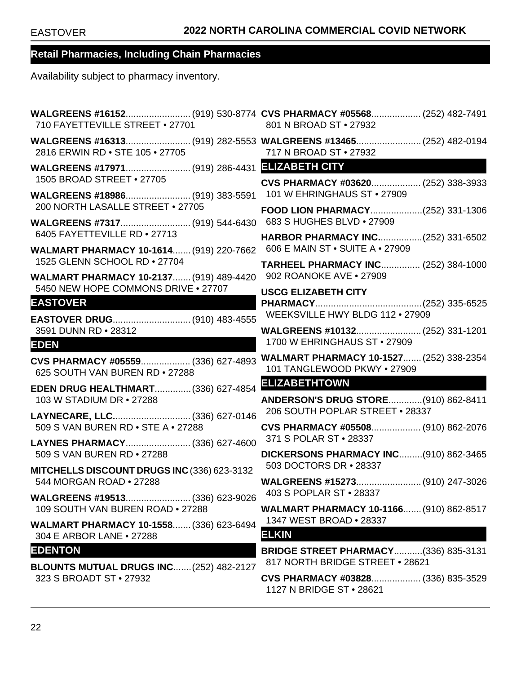| 710 FAYETTEVILLE STREET . 27701                                                | WALGREENS #16152(919) 530-8774 CVS PHARMACY #05568 (252) 482-7491<br>801 N BROAD ST • 27932 |
|--------------------------------------------------------------------------------|---------------------------------------------------------------------------------------------|
| 2816 ERWIN RD . STE 105 . 27705                                                | 717 N BROAD ST • 27932                                                                      |
|                                                                                |                                                                                             |
| 1505 BROAD STREET . 27705<br>WALGREENS #18986 (919) 383-5591                   | CVS PHARMACY #03620 (252) 338-3933<br>101 W EHRINGHAUS ST • 27909                           |
| 200 NORTH LASALLE STREET . 27705                                               | FOOD LION PHARMACY(252) 331-1306                                                            |
| 6405 FAYETTEVILLE RD . 27713                                                   | 683 S HUGHES BLVD . 27909<br><b>HARBOR PHARMACY INC(252) 331-6502</b>                       |
| WALMART PHARMACY 10-1614 (919) 220-7662                                        | 606 E MAIN ST . SUITE A . 27909                                                             |
| 1525 GLENN SCHOOL RD . 27704<br><b>WALMART PHARMACY 10-2137 (919) 489-4420</b> | <b>TARHEEL PHARMACY INC (252) 384-1000</b><br>902 ROANOKE AVE . 27909                       |
| 5450 NEW HOPE COMMONS DRIVE . 27707<br><b>EASTOVER</b>                         | <b>USCG ELIZABETH CITY</b><br>WEEKSVILLE HWY BLDG 112 . 27909                               |
| EASTOVER DRUG (910) 483-4555<br>3591 DUNN RD . 28312                           | WALGREENS #10132 (252) 331-1201                                                             |
| <b>EDEN</b>                                                                    | 1700 W EHRINGHAUS ST . 27909                                                                |
| CVS PHARMACY #05559 (336) 627-4893<br>625 SOUTH VAN BUREN RD . 27288           | <b>WALMART PHARMACY 10-1527 (252) 338-2354</b><br>101 TANGLEWOOD PKWY . 27909               |
| <b>EDEN DRUG HEALTHMART (336) 627-4854</b><br>103 W STADIUM DR • 27288         | <b>ELIZABETHTOWN</b><br>ANDERSON'S DRUG STORE(910) 862-8411                                 |
| LAYNECARE, LLC (336) 627-0146<br>509 S VAN BUREN RD . STE A . 27288            | 206 SOUTH POPLAR STREET . 28337<br>CVS PHARMACY #05508 (910) 862-2076                       |
| LAYNES PHARMACY (336) 627-4600                                                 | 371 S POLAR ST . 28337                                                                      |
| 509 S VAN BUREN RD . 27288                                                     | DICKERSONS PHARMACY INC(910) 862-3465<br>503 DOCTORS DR . 28337                             |
| MITCHELLS DISCOUNT DRUGS INC (336) 623-3132<br>544 MORGAN ROAD • 27288         | WALGREENS #15273 (910) 247-3026                                                             |
| WALGREENS #19513 (336) 623-9026                                                | 403 S POPLAR ST . 28337                                                                     |
| 109 SOUTH VAN BUREN ROAD . 27288                                               | <b>WALMART PHARMACY 10-1166 (910) 862-8517</b><br>1347 WEST BROAD . 28337                   |
| WALMART PHARMACY 10-1558 (336) 623-6494<br>304 E ARBOR LANE • 27288            | <b>ELKIN</b>                                                                                |
| <b>EDENTON</b><br><b>BLOUNTS MUTUAL DRUGS INC (252) 482-2127</b>               | <b>BRIDGE STREET PHARMACY(336) 835-3131</b><br>817 NORTH BRIDGE STREET . 28621              |
| 323 S BROADT ST • 27932                                                        | CVS PHARMACY #03828 (336) 835-3529<br>1127 N BRIDGE ST • 28621                              |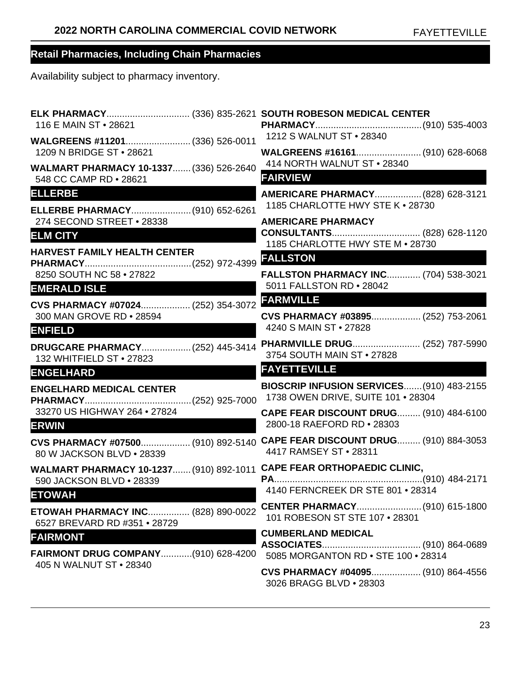| 116 E MAIN ST • 28621                                                     | ELK PHARMACY (336) 835-2621 SOUTH ROBESON MEDICAL CENTER                                            |
|---------------------------------------------------------------------------|-----------------------------------------------------------------------------------------------------|
| WALGREENS #11201 (336) 526-0011                                           | 1212 S WALNUT ST • 28340                                                                            |
| 1209 N BRIDGE ST . 28621                                                  | WALGREENS #16161 (910) 628-6068<br>414 NORTH WALNUT ST . 28340                                      |
| WALMART PHARMACY 10-1337 (336) 526-2640<br>548 CC CAMP RD . 28621         | <b>FAIRVIEW</b>                                                                                     |
| <b>ELLERBE</b>                                                            | AMERICARE PHARMACY (828) 628-3121                                                                   |
| ELLERBE PHARMACY (910) 652-6261                                           | 1185 CHARLOTTE HWY STE K . 28730                                                                    |
| 274 SECOND STREET . 28338<br><b>ELM CITY</b>                              | <b>AMERICARE PHARMACY</b>                                                                           |
| <b>HARVEST FAMILY HEALTH CENTER</b>                                       | 1185 CHARLOTTE HWY STE M . 28730                                                                    |
|                                                                           | <b>FALLSTON</b>                                                                                     |
| 8250 SOUTH NC 58 . 27822                                                  | <b>FALLSTON PHARMACY INC (704) 538-3021</b><br>5011 FALLSTON RD . 28042                             |
| <b>EMERALD ISLE</b>                                                       | <b>FARMVILLE</b>                                                                                    |
| CVS PHARMACY #07024 (252) 354-3072<br>300 MAN GROVE RD . 28594            | CVS PHARMACY #03895 (252) 753-2061                                                                  |
| <b>ENFIELD</b>                                                            | 4240 S MAIN ST • 27828                                                                              |
| DRUGCARE PHARMACY (252) 445-3414<br>132 WHITFIELD ST . 27823              | PHARMVILLE DRUG (252) 787-5990<br>3754 SOUTH MAIN ST . 27828                                        |
| <b>ENGELHARD</b>                                                          | <b>FAYETTEVILLE</b>                                                                                 |
| <b>ENGELHARD MEDICAL CENTER</b>                                           | BIOSCRIP INFUSION SERVICES (910) 483-2155<br>1738 OWEN DRIVE, SUITE 101 . 28304                     |
| 33270 US HIGHWAY 264 . 27824<br><b>ERWIN</b>                              | <b>CAPE FEAR DISCOUNT DRUG (910) 484-6100</b><br>2800-18 RAEFORD RD . 28303                         |
| 80 W JACKSON BLVD . 28339                                                 | CVS PHARMACY #07500 (910) 892-5140 CAPE FEAR DISCOUNT DRUG (910) 884-3053<br>4417 RAMSEY ST . 28311 |
| 590 JACKSON BLVD . 28339                                                  | WALMART PHARMACY 10-1237 (910) 892-1011 CAPE FEAR ORTHOPAEDIC CLINIC,                               |
| <b>ETOWAH</b>                                                             |                                                                                                     |
| <b>ETOWAH PHARMACY INC (828) 890-0022</b><br>6527 BREVARD RD #351 . 28729 | 101 ROBESON ST STE 107 · 28301                                                                      |
| <b>FAIRMONT</b>                                                           | <b>CUMBERLAND MEDICAL</b>                                                                           |
| FAIRMONT DRUG COMPANY(910) 628-4200                                       | 5085 MORGANTON RD . STE 100 . 28314                                                                 |
| 405 N WALNUT ST • 28340                                                   | CVS PHARMACY #04095 (910) 864-4556<br>3026 BRAGG BLVD . 28303                                       |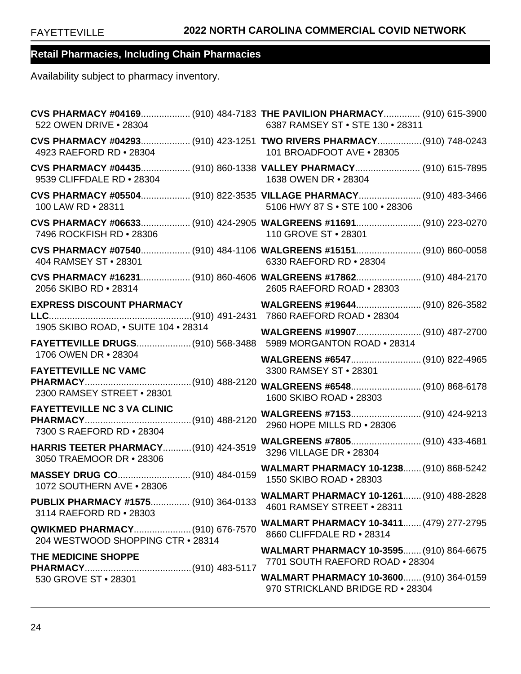| 522 OWEN DRIVE . 28304                                                   | CVS PHARMACY #04169 (910) 484-7183 THE PAVILION PHARMACY (910) 615-3900<br>6387 RAMSEY ST . STE 130 . 28311 |
|--------------------------------------------------------------------------|-------------------------------------------------------------------------------------------------------------|
| 4923 RAEFORD RD . 28304                                                  | CVS PHARMACY #04293 (910) 423-1251 TWO RIVERS PHARMACY (910) 748-0243<br>101 BROADFOOT AVE . 28305          |
| 9539 CLIFFDALE RD . 28304                                                | CVS PHARMACY #04435 (910) 860-1338 VALLEY PHARMACY (910) 615-7895<br>1638 OWEN DR • 28304                   |
| 100 LAW RD . 28311                                                       | CVS PHARMACY #05504 (910) 822-3535 VILLAGE PHARMACY (910) 483-3466<br>5106 HWY 87 S . STE 100 . 28306       |
| 7496 ROCKFISH RD . 28306                                                 | CVS PHARMACY #06633 (910) 424-2905 WALGREENS #11691 (910) 223-0270<br>110 GROVE ST • 28301                  |
| 404 RAMSEY ST . 28301                                                    | CVS PHARMACY #07540 (910) 484-1106 WALGREENS #15151 (910) 860-0058<br>6330 RAEFORD RD . 28304               |
| 2056 SKIBO RD . 28314                                                    | CVS PHARMACY #16231 (910) 860-4606 WALGREENS #17862 (910) 484-2170<br>2605 RAEFORD ROAD . 28303             |
| <b>EXPRESS DISCOUNT PHARMACY</b>                                         | WALGREENS #19644 (910) 826-3582                                                                             |
| 1905 SKIBO ROAD, . SUITE 104 . 28314                                     | WALGREENS #19907 (910) 487-2700                                                                             |
| 1706 OWEN DR • 28304<br><b>FAYETTEVILLE NC VAMC</b>                      | WALGREENS #6547 (910) 822-4965<br>3300 RAMSEY ST . 28301                                                    |
| 2300 RAMSEY STREET . 28301                                               | 1600 SKIBO ROAD . 28303                                                                                     |
| <b>FAYETTEVILLE NC 3 VA CLINIC</b><br>7300 S RAEFORD RD . 28304          | 2960 HOPE MILLS RD . 28306                                                                                  |
| <b>HARRIS TEETER PHARMACY (910) 424-3519</b><br>3050 TRAEMOOR DR • 28306 | WALGREENS #7805 (910) 433-4681<br>3296 VILLAGE DR . 28304                                                   |
| MASSEY DRUG CO (910) 484-0159<br>1072 SOUTHERN AVE . 28306               | <b>WALMART PHARMACY 10-1238 (910) 868-5242</b><br>1550 SKIBO ROAD . 28303                                   |
| PUBLIX PHARMACY #1575 (910) 364-0133<br>3114 RAEFORD RD . 28303          | <b>WALMART PHARMACY 10-1261 (910) 488-2828</b><br>4601 RAMSEY STREET . 28311                                |
| 204 WESTWOOD SHOPPING CTR . 28314                                        | <b>WALMART PHARMACY 10-3411 (479) 277-2795</b><br>8660 CLIFFDALE RD . 28314                                 |
| THE MEDICINE SHOPPE                                                      | WALMART PHARMACY 10-3595 (910) 864-6675<br>7701 SOUTH RAEFORD ROAD . 28304                                  |
| 530 GROVE ST . 28301                                                     | <b>WALMART PHARMACY 10-3600 (910) 364-0159</b><br>970 STRICKLAND BRIDGE RD . 28304                          |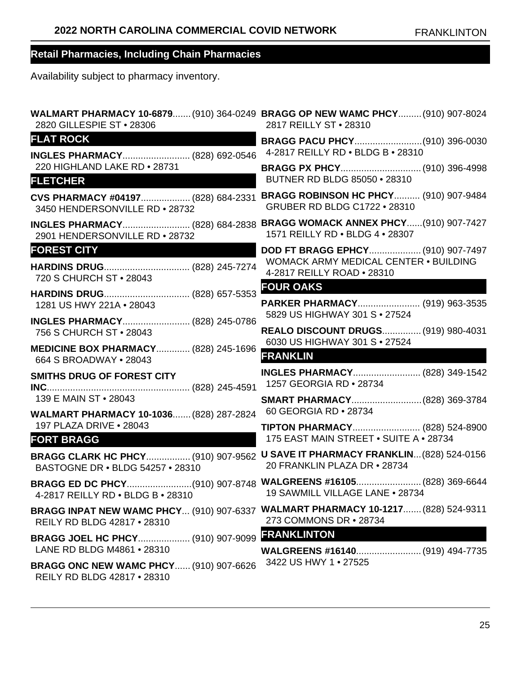| 2820 GILLESPIE ST . 28306                                                    | WALMART PHARMACY 10-6879 (910) 364-0249 BRAGG OP NEW WAMC PHCY (910) 907-8024<br>2817 REILLY ST . 28310       |
|------------------------------------------------------------------------------|---------------------------------------------------------------------------------------------------------------|
| <b>FLAT ROCK</b>                                                             |                                                                                                               |
| INGLES PHARMACY (828) 692-0546                                               | 4-2817 REILLY RD . BLDG B . 28310                                                                             |
| 220 HIGHLAND LAKE RD . 28731                                                 |                                                                                                               |
| <b>FLETCHER</b>                                                              | BUTNER RD BLDG 85050 . 28310                                                                                  |
| CVS PHARMACY #04197 (828) 684-2331                                           | <b>BRAGG ROBINSON HC PHCY (910) 907-9484</b>                                                                  |
| 3450 HENDERSONVILLE RD . 28732                                               | <b>GRUBER RD BLDG C1722 • 28310</b>                                                                           |
| <b>INGLES PHARMACY (828) 684-2838</b>                                        | <b>BRAGG WOMACK ANNEX PHCY(910) 907-7427</b>                                                                  |
| 2901 HENDERSONVILLE RD . 28732                                               | 1571 REILLY RD . BLDG 4 . 28307                                                                               |
| <b>FOREST CITY</b>                                                           | DOD FT BRAGG EPHCY (910) 907-7497                                                                             |
| HARDINS DRUG (828) 245-7274                                                  | WOMACK ARMY MEDICAL CENTER . BUILDING                                                                         |
| 720 S CHURCH ST . 28043                                                      | 4-2817 REILLY ROAD . 28310                                                                                    |
| HARDINS DRUG (828) 657-5353                                                  | <b>FOUR OAKS</b>                                                                                              |
| 1281 US HWY 221A . 28043                                                     | PARKER PHARMACY (919) 963-3535                                                                                |
| INGLES PHARMACY (828) 245-0786<br>756 S CHURCH ST • 28043                    | 5829 US HIGHWAY 301 S · 27524<br>REALO DISCOUNT DRUGS (919) 980-4031<br>6030 US HIGHWAY 301 S . 27524         |
| <b>MEDICINE BOX PHARMACY (828) 245-1696</b><br>664 S BROADWAY • 28043        | <b>FRANKLIN</b>                                                                                               |
| <b>SMITHS DRUG OF FOREST CITY</b>                                            | INGLES PHARMACY (828) 349-1542                                                                                |
|                                                                              | 1257 GEORGIA RD . 28734                                                                                       |
| 139 E MAIN ST • 28043                                                        | SMART PHARMACY (828) 369-3784                                                                                 |
| WALMART PHARMACY 10-1036 (828) 287-2824                                      | 60 GEORGIA RD . 28734                                                                                         |
| 197 PLAZA DRIVE . 28043                                                      | TIPTON PHARMACY (828) 524-8900                                                                                |
| <b>FORT BRAGG</b>                                                            | 175 EAST MAIN STREET . SUITE A . 28734                                                                        |
| <b>BASTOGNE DR . BLDG 54257 . 28310</b>                                      | BRAGG CLARK HC PHCY (910) 907-9562 U SAVE IT PHARMACY FRANKLIN (828) 524-0156<br>20 FRANKLIN PLAZA DR . 28734 |
| 4-2817 REILLY RD . BLDG B . 28310                                            | BRAGG ED DC PHCY(910) 907-8748 WALGREENS #16105 (828) 369-6644<br>19 SAWMILL VILLAGE LANE . 28734             |
| <b>BRAGG INPAT NEW WAMC PHCY (910) 907-6337</b>                              | <b>WALMART PHARMACY 10-1217 (828) 524-9311</b>                                                                |
| REILY RD BLDG 42817 • 28310                                                  | 273 COMMONS DR • 28734                                                                                        |
| BRAGG JOEL HC PHCY (910) 907-9099<br>LANE RD BLDG M4861 . 28310              | <b>FRANKLINTON</b><br>3422 US HWY 1 . 27525                                                                   |
| <b>BRAGG ONC NEW WAMC PHCY (910) 907-6626</b><br>REILY RD BLDG 42817 . 28310 |                                                                                                               |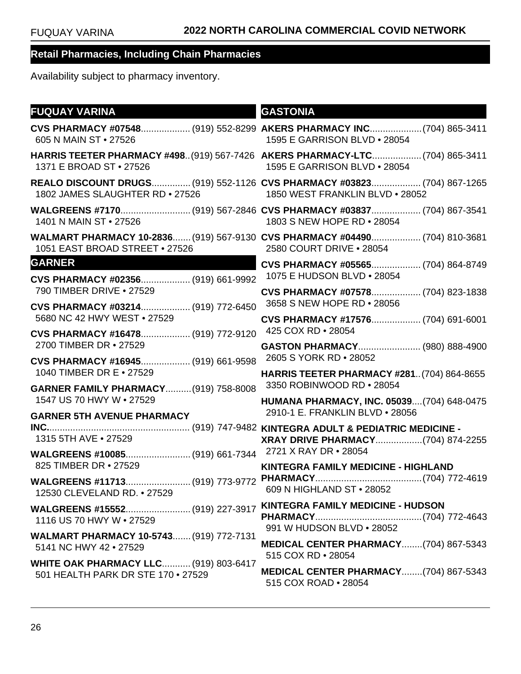| <b>FUQUAY VARINA</b>                                                                                  | <b>GASTONIA</b>                                                                                           |
|-------------------------------------------------------------------------------------------------------|-----------------------------------------------------------------------------------------------------------|
| 605 N MAIN ST • 27526                                                                                 | CVS PHARMACY #07548 (919) 552-8299 AKERS PHARMACY INC (704) 865-3411<br>1595 E GARRISON BLVD . 28054      |
| HARRIS TEETER PHARMACY #498(919) 567-7426 AKERS PHARMACY-LTC(704) 865-3411<br>1371 E BROAD ST • 27526 | 1595 E GARRISON BLVD . 28054                                                                              |
| 1802 JAMES SLAUGHTER RD . 27526                                                                       | REALO DISCOUNT DRUGS (919) 552-1126 CVS PHARMACY #03823 (704) 867-1265<br>1850 WEST FRANKLIN BLVD . 28052 |
| 1401 N MAIN ST • 27526                                                                                | 1803 S NEW HOPE RD . 28054                                                                                |
| 1051 EAST BROAD STREET . 27526                                                                        | WALMART PHARMACY 10-2836 (919) 567-9130 CVS PHARMACY #04490 (704) 810-3681<br>2580 COURT DRIVE . 28054    |
| <b>GARNER</b>                                                                                         | CVS PHARMACY #05565 (704) 864-8749                                                                        |
| CVS PHARMACY #02356 (919) 661-9992<br>790 TIMBER DRIVE . 27529                                        | 1075 E HUDSON BLVD . 28054                                                                                |
| CVS PHARMACY #03214 (919) 772-6450                                                                    | CVS PHARMACY #07578 (704) 823-1838<br>3658 S NEW HOPE RD • 28056                                          |
| 5680 NC 42 HWY WEST . 27529                                                                           | CVS PHARMACY #17576 (704) 691-6001                                                                        |
| CVS PHARMACY #16478 (919) 772-9120                                                                    | 425 COX RD . 28054                                                                                        |
| 2700 TIMBER DR • 27529                                                                                | GASTON PHARMACY (980) 888-4900<br>2605 S YORK RD . 28052                                                  |
| CVS PHARMACY #16945 (919) 661-9598<br>1040 TIMBER DR E . 27529                                        | <b>HARRIS TEETER PHARMACY #281 (704) 864-8655</b>                                                         |
| <b>GARNER FAMILY PHARMACY (919) 758-8008</b>                                                          | 3350 ROBINWOOD RD . 28054                                                                                 |
| 1547 US 70 HWY W . 27529                                                                              | HUMANA PHARMACY, INC. 05039(704) 648-0475<br>2910-1 E. FRANKLIN BLVD . 28056                              |
| <b>GARNER 5TH AVENUE PHARMACY</b>                                                                     |                                                                                                           |
| 1315 5TH AVE . 27529                                                                                  | XRAY DRIVE PHARMACY(704) 874-2255                                                                         |
|                                                                                                       |                                                                                                           |
| 825 TIMBER DR • 27529                                                                                 | KINTEGRA FAMILY MEDICINE - HIGHLAND                                                                       |
| 12530 CLEVELAND RD. • 27529                                                                           |                                                                                                           |
|                                                                                                       | KINTEGRA FAMILY MEDICINE - HUDSON                                                                         |
| 1116 US 70 HWY W • 27529                                                                              | 991 W HUDSON BLVD . 28052                                                                                 |
| <b>WALMART PHARMACY 10-5743 (919) 772-7131</b><br>5141 NC HWY 42 • 27529                              | MEDICAL CENTER PHARMACY(704) 867-5343                                                                     |
| <b>WHITE OAK PHARMACY LLC (919) 803-6417</b>                                                          | 515 COX RD • 28054                                                                                        |
| 501 HEALTH PARK DR STE 170 . 27529                                                                    | MEDICAL CENTER PHARMACY(704) 867-5343<br>515 COX ROAD . 28054                                             |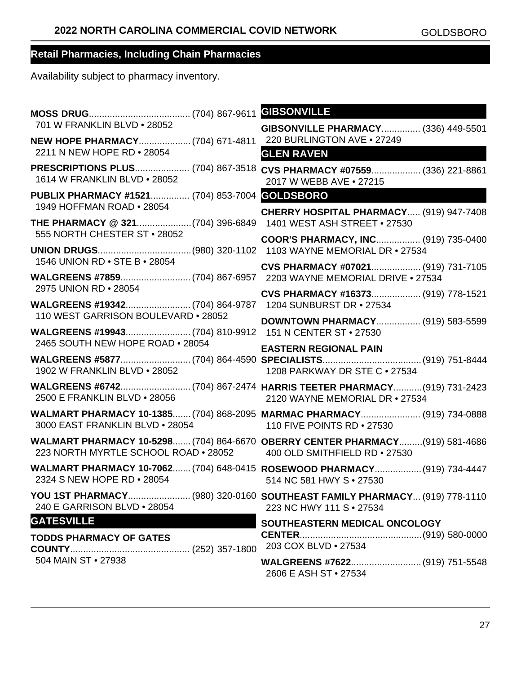| 701 W FRANKLIN BLVD . 28052                                                 | GIBSONVILLE PHARMACY (336) 449-5501                                                                            |
|-----------------------------------------------------------------------------|----------------------------------------------------------------------------------------------------------------|
| NEW HOPE PHARMACY (704) 671-4811<br>2211 N NEW HOPE RD . 28054              | 220 BURLINGTON AVE . 27249<br><b>GLEN RAVEN</b>                                                                |
| 1614 W FRANKLIN BLVD . 28052                                                | PRESCRIPTIONS PLUS (704) 867-3518 CVS PHARMACY #07559 (336) 221-8861<br>2017 W WEBB AVE . 27215                |
| PUBLIX PHARMACY #1521 (704) 853-7004 GOLDSBORO<br>1949 HOFFMAN ROAD . 28054 |                                                                                                                |
| 555 NORTH CHESTER ST . 28052                                                | CHERRY HOSPITAL PHARMACY (919) 947-7408                                                                        |
|                                                                             | COOR'S PHARMACY, INC (919) 735-0400                                                                            |
| 1546 UNION RD • STE B • 28054                                               | CVS PHARMACY #07021 (919) 731-7105                                                                             |
| 2975 UNION RD . 28054                                                       | CVS PHARMACY #16373 (919) 778-1521                                                                             |
| 110 WEST GARRISON BOULEVARD . 28052                                         | <b>DOWNTOWN PHARMACY (919) 583-5599</b>                                                                        |
| 2465 SOUTH NEW HOPE ROAD . 28054                                            |                                                                                                                |
|                                                                             |                                                                                                                |
| 1902 W FRANKLIN BLVD . 28052                                                | <b>EASTERN REGIONAL PAIN</b><br>1208 PARKWAY DR STE C . 27534                                                  |
| 2500 E FRANKLIN BLVD . 28056                                                | 2120 WAYNE MEMORIAL DR . 27534                                                                                 |
| 3000 EAST FRANKLIN BLVD . 28054                                             | WALMART PHARMACY 10-1385 (704) 868-2095 MARMAC PHARMACY (919) 734-0888<br>110 FIVE POINTS RD . 27530           |
| 223 NORTH MYRTLE SCHOOL ROAD . 28052                                        | WALMART PHARMACY 10-5298 (704) 864-6670 OBERRY CENTER PHARMACY (919) 581-4686<br>400 OLD SMITHFIELD RD . 27530 |
| 2324 S NEW HOPE RD . 28054                                                  | WALMART PHARMACY 10-7062 (704) 648-0415 ROSEWOOD PHARMACY (919) 734-4447<br>514 NC 581 HWY S . 27530           |
| 240 E GARRISON BLVD . 28054                                                 | YOU 1ST PHARMACY (980) 320-0160 SOUTHEAST FAMILY PHARMACY (919) 778-1110<br>223 NC HWY 111 S . 27534           |
| <b>GATESVILLE</b><br><b>TODDS PHARMACY OF GATES</b>                         | SOUTHEASTERN MEDICAL ONCOLOGY<br>203 COX BLVD . 27534                                                          |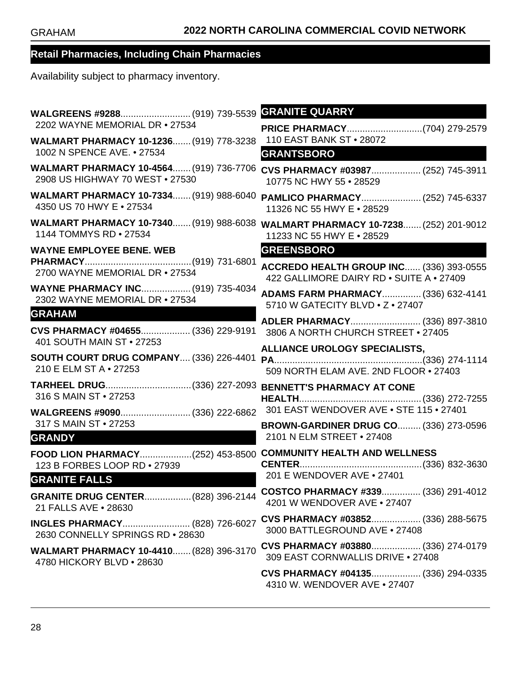| WALGREENS #9288 (919) 739-5539                                                                                         | <b>GRANITE QUARRY</b>                                                                                        |
|------------------------------------------------------------------------------------------------------------------------|--------------------------------------------------------------------------------------------------------------|
| 2202 WAYNE MEMORIAL DR . 27534                                                                                         |                                                                                                              |
| WALMART PHARMACY 10-1236 (919) 778-3238                                                                                | 110 EAST BANK ST . 28072                                                                                     |
| 1002 N SPENCE AVE. • 27534                                                                                             | <b>GRANTSBORO</b>                                                                                            |
| 2908 US HIGHWAY 70 WEST . 27530                                                                                        | WALMART PHARMACY 10-4564 (919) 736-7706 CVS PHARMACY #03987 (252) 745-3911<br>10775 NC HWY 55 . 28529        |
| <b>WALMART PHARMACY 10-7334 (919) 988-6040</b>                                                                         | PAMLICO PHARMACY (252) 745-6337                                                                              |
| 4350 US 70 HWY E . 27534                                                                                               | 11326 NC 55 HWY E . 28529                                                                                    |
| 1144 TOMMYS RD • 27534                                                                                                 | WALMART PHARMACY 10-7340 (919) 988-6038 WALMART PHARMACY 10-7238 (252) 201-9012<br>11233 NC 55 HWY E . 28529 |
| <b>WAYNE EMPLOYEE BENE. WEB</b>                                                                                        | <b>GREENSBORO</b>                                                                                            |
|                                                                                                                        | ACCREDO HEALTH GROUP INC (336) 393-0555                                                                      |
| 2700 WAYNE MEMORIAL DR . 27534                                                                                         | 422 GALLIMORE DAIRY RD . SUITE A . 27409                                                                     |
| <b>WAYNE PHARMACY INC (919) 735-4034</b>                                                                               | ADAMS FARM PHARMACY (336) 632-4141                                                                           |
| 2302 WAYNE MEMORIAL DR . 27534                                                                                         | 5710 W GATECITY BLVD . Z . 27407                                                                             |
| <b>GRAHAM</b>                                                                                                          | ADLER PHARMACY (336) 897-3810                                                                                |
| CVS PHARMACY #04655 (336) 229-9191<br>401 SOUTH MAIN ST • 27253                                                        | 3806 A NORTH CHURCH STREET . 27405                                                                           |
|                                                                                                                        | ALLIANCE UROLOGY SPECIALISTS,                                                                                |
| SOUTH COURT DRUG COMPANY (336) 226-4401                                                                                |                                                                                                              |
| 210 E ELM ST A . 27253                                                                                                 | 509 NORTH ELAM AVE. 2ND FLOOR . 27403                                                                        |
| 316 S MAIN ST • 27253                                                                                                  |                                                                                                              |
|                                                                                                                        | 301 EAST WENDOVER AVE . STE 115 . 27401                                                                      |
| 317 S MAIN ST • 27253                                                                                                  | <b>BROWN-GARDINER DRUG CO (336) 273-0596</b>                                                                 |
| <b>GRANDY</b>                                                                                                          | 2101 N ELM STREET . 27408                                                                                    |
| FOOD LION PHARMACY(252) 453-8500 COMMUNITY HEALTH AND WELLNESS<br>123 B FORBES LOOP RD . 27939<br><b>GRANITE FALLS</b> | 201 E WENDOVER AVE . 27401                                                                                   |
| <b>GRANITE DRUG CENTER (828) 396-2144</b>                                                                              | COSTCO PHARMACY #339 (336) 291-4012                                                                          |
| 21 FALLS AVE . 28630                                                                                                   | 4201 W WENDOVER AVE • 27407                                                                                  |
| <b>INGLES PHARMACY (828) 726-6027</b>                                                                                  | CVS PHARMACY #03852 (336) 288-5675                                                                           |
| 2630 CONNELLY SPRINGS RD . 28630                                                                                       | 3000 BATTLEGROUND AVE . 27408                                                                                |
| WALMART PHARMACY 10-4410 (828) 396-3170                                                                                | CVS PHARMACY #03880 (336) 274-0179                                                                           |
| 4780 HICKORY BLVD . 28630                                                                                              | 309 EAST CORNWALLIS DRIVE . 27408                                                                            |
|                                                                                                                        | CVS PHARMACY #04135 (336) 294-0335<br>4310 W. WENDOVER AVE . 27407                                           |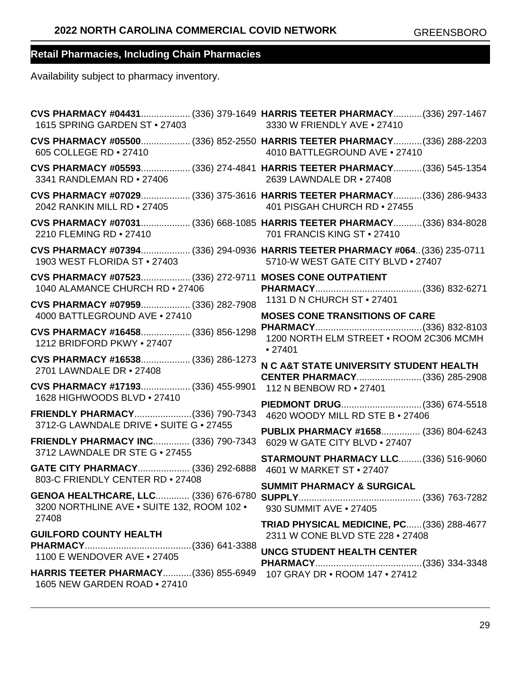| 1615 SPRING GARDEN ST . 27403                                                                      | CVS PHARMACY #04431 (336) 379-1649 HARRIS TEETER PHARMACY (336) 297-1467<br>3330 W FRIENDLY AVE . 27410             |
|----------------------------------------------------------------------------------------------------|---------------------------------------------------------------------------------------------------------------------|
| 605 COLLEGE RD . 27410                                                                             | CVS PHARMACY #05500 (336) 852-2550 HARRIS TEETER PHARMACY (336) 288-2203<br>4010 BATTLEGROUND AVE . 27410           |
| 3341 RANDLEMAN RD . 27406                                                                          | CVS PHARMACY #05593 (336) 274-4841 HARRIS TEETER PHARMACY (336) 545-1354<br>2639 LAWNDALE DR • 27408                |
| 2042 RANKIN MILL RD . 27405                                                                        | CVS PHARMACY #07029 (336) 375-3616 HARRIS TEETER PHARMACY (336) 286-9433<br>401 PISGAH CHURCH RD • 27455            |
| 2210 FLEMING RD . 27410                                                                            | CVS PHARMACY #07031 (336) 668-1085 HARRIS TEETER PHARMACY (336) 834-8028<br>701 FRANCIS KING ST . 27410             |
| 1903 WEST FLORIDA ST . 27403                                                                       | CVS PHARMACY #07394 (336) 294-0936 HARRIS TEETER PHARMACY #064 (336) 235-0711<br>5710-W WEST GATE CITY BLVD . 27407 |
| CVS PHARMACY #07523 (336) 272-9711 MOSES CONE OUTPATIENT<br>1040 ALAMANCE CHURCH RD . 27406        |                                                                                                                     |
| CVS PHARMACY #07959 (336) 282-7908<br>4000 BATTLEGROUND AVE . 27410                                | 1131 D N CHURCH ST • 27401<br><b>MOSES CONE TRANSITIONS OF CARE</b>                                                 |
| CVS PHARMACY #16458 (336) 856-1298<br>1212 BRIDFORD PKWY . 27407                                   | 1200 NORTH ELM STREET . ROOM 2C306 MCMH<br>•27401                                                                   |
| CVS PHARMACY #16538 (336) 286-1273<br>2701 LAWNDALE DR • 27408                                     | N C A&T STATE UNIVERSITY STUDENT HEALTH                                                                             |
| CVS PHARMACY #17193 (336) 455-9901<br>1628 HIGHWOODS BLVD . 27410                                  | 112 N BENBOW RD . 27401<br>PIEDMONT DRUG(336) 674-5518                                                              |
| FRIENDLY PHARMACY(336) 790-7343<br>3712-G LAWNDALE DRIVE . SUITE G . 27455                         | 4620 WOODY MILL RD STE B . 27406                                                                                    |
| FRIENDLY PHARMACY INC (336) 790-7343<br>3712 LAWNDALE DR STE G . 27455                             | PUBLIX PHARMACY #1658 (336) 804-6243<br>6029 W GATE CITY BLVD . 27407                                               |
| GATE CITY PHARMACY (336) 292-6888<br>803-C FRIENDLY CENTER RD . 27408                              | <b>STARMOUNT PHARMACY LLC (336) 516-9060</b><br>4601 W MARKET ST • 27407                                            |
| 3200 NORTHLINE AVE . SUITE 132, ROOM 102 .<br>27408                                                | <b>SUMMIT PHARMACY &amp; SURGICAL</b><br>930 SUMMIT AVE . 27405                                                     |
| <b>GUILFORD COUNTY HEALTH</b>                                                                      | TRIAD PHYSICAL MEDICINE, PC (336) 288-4677<br>2311 W CONE BLVD STE 228 . 27408                                      |
| 1100 E WENDOVER AVE . 27405<br>HARRIS TEETER PHARMACY(336) 855-6949 107 GRAY DR · ROOM 147 · 27412 | <b>UNCG STUDENT HEALTH CENTER</b>                                                                                   |
| 1605 NEW GARDEN ROAD . 27410                                                                       |                                                                                                                     |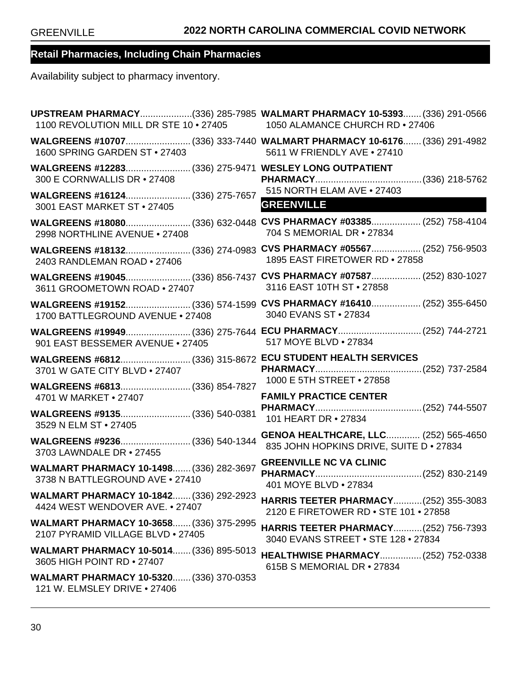| 1100 REVOLUTION MILL DR STE 10 · 27405 1050 ALAMANCE CHURCH RD · 27406         | UPSTREAM PHARMACY(336) 285-7985 WALMART PHARMACY 10-5393 (336) 291-0566                               |
|--------------------------------------------------------------------------------|-------------------------------------------------------------------------------------------------------|
| 1600 SPRING GARDEN ST . 27403                                                  | WALGREENS #10707(336) 333-7440 WALMART PHARMACY 10-6176 (336) 291-4982<br>5611 W FRIENDLY AVE . 27410 |
| 300 E CORNWALLIS DR • 27408                                                    |                                                                                                       |
| 3001 EAST MARKET ST • 27405                                                    | <b>GREENVILLE</b>                                                                                     |
| 2998 NORTHLINE AVENUE . 27408                                                  | WALGREENS #18080(336) 632-0448 CVS PHARMACY #03385 (252) 758-4104<br>704 S MEMORIAL DR • 27834        |
| 2403 RANDLEMAN ROAD . 27406                                                    | WALGREENS #18132(336) 274-0983 CVS PHARMACY #05567 (252) 756-9503<br>1895 EAST FIRETOWER RD . 27858   |
| 3611 GROOMETOWN ROAD . 27407                                                   | WALGREENS #19045(336) 856-7437 CVS PHARMACY #07587 (252) 830-1027<br>3116 EAST 10TH ST . 27858        |
| 1700 BATTLEGROUND AVENUE . 27408                                               | WALGREENS #19152(336) 574-1599 CVS PHARMACY #16410 (252) 355-6450<br>3040 EVANS ST . 27834            |
| 901 EAST BESSEMER AVENUE . 27405                                               | WALGREENS #19949(336) 275-7644 ECU PHARMACY(252) 744-2721<br>517 MOYE BLVD . 27834                    |
| 3701 W GATE CITY BLVD . 27407                                                  |                                                                                                       |
| WALGREENS #6813 (336) 854-7827<br>4701 W MARKET • 27407                        | 1000 E 5TH STREET . 27858<br><b>FAMILY PRACTICE CENTER</b>                                            |
| WALGREENS #9135 (336) 540-0381<br>3529 N ELM ST • 27405                        | 101 HEART DR • 27834                                                                                  |
| WALGREENS #9236 (336) 540-1344<br>3703 LAWNDALE DR • 27455                     | <b>GENOA HEALTHCARE, LLC (252) 565-4650</b><br>835 JOHN HOPKINS DRIVE, SUITE D · 27834                |
| WALMART PHARMACY 10-1498 (336) 282-3697<br>3738 N BATTLEGROUND AVE . 27410     | <b>GREENVILLE NC VA CLINIC</b><br>401 MOYE BLVD . 27834                                               |
| WALMART PHARMACY 10-1842 (336) 292-2923<br>4424 WEST WENDOVER AVE. • 27407     | <b>HARRIS TEETER PHARMACY (252) 355-3083</b><br>2120 E FIRETOWER RD . STE 101 . 27858                 |
| WALMART PHARMACY 10-3658 (336) 375-2995<br>2107 PYRAMID VILLAGE BLVD . 27405   | <b>HARRIS TEETER PHARMACY (252) 756-7393</b><br>3040 EVANS STREET . STE 128 . 27834                   |
| <b>WALMART PHARMACY 10-5014 (336) 895-5013</b><br>3605 HIGH POINT RD . 27407   | HEALTHWISE PHARMACY (252) 752-0338<br>615B S MEMORIAL DR • 27834                                      |
| <b>WALMART PHARMACY 10-5320 (336) 370-0353</b><br>121 W. ELMSLEY DRIVE . 27406 |                                                                                                       |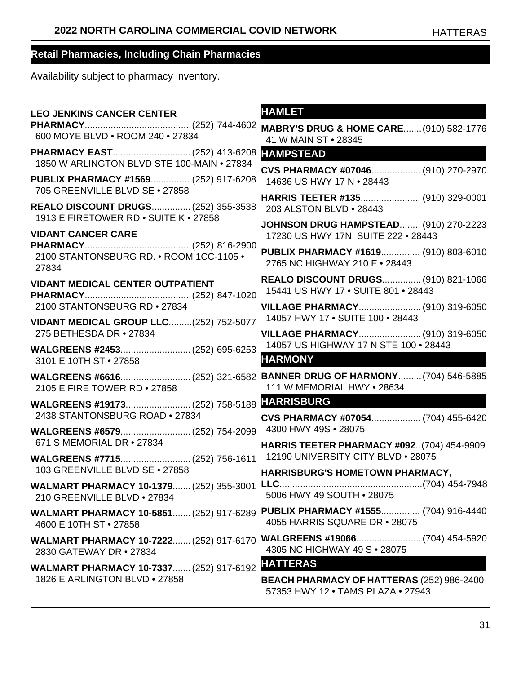Availability subject to pharmacy inventory.

**LEO JENKINS CANCER CENTER PHARMACY**.........................................(252) 744-4602 600 MOYE BLVD • ROOM 240 • 27834 **PHARMACY EAST**..............................(252) 413-6208 1850 W ARLINGTON BLVD STE 100-MAIN • 27834 **PUBLIX PHARMACY #1569**............... (252) 917-6208 705 GREENVILLE BLVD SE • 27858 **REALO DISCOUNT DRUGS**...............(252) 355-3538 1913 E FIRETOWER RD • SUITE K • 27858 **VIDANT CANCER CARE PHARMACY**.........................................(252) 816-2900 2100 STANTONSBURG RD. • ROOM 1CC-1105 • 27834 **VIDANT MEDICAL CENTER OUTPATIENT PHARMACY**.........................................(252) 847-1020 2100 STANTONSBURG RD • 27834 **VIDANT MEDICAL GROUP LLC**.........(252) 752-5077 275 BETHESDA DR • 27834 **WALGREENS #2453**...........................(252) 695-6253 3101 E 10TH ST • 27858 **WALGREENS #6616**...........................(252) 321-6582 **BANNER DRUG OF HARMONY**.........(704) 546-5885 2105 E FIRE TOWER RD • 27858 **WALGREENS #19173**.........................(252) 758-5188 2438 STANTONSBURG ROAD • 27834 **WALGREENS #6579**...........................(252) 754-2099 671 S MEMORIAL DR • 27834 **WALGREENS #7715**...........................(252) 756-1611 103 GREENVILLE BLVD SE • 27858 **WALMART PHARMACY 10-1379**.......(252) 355-3001 210 GREENVILLE BLVD • 27834 **WALMART PHARMACY 10-5851**.......(252) 917-6289 **PUBLIX PHARMACY #1555**............... (704) 916-4440 4600 E 10TH ST • 27858 **WALMART PHARMACY 10-7222**.......(252) 917-6170 **WALGREENS #19066**.........................(704) 454-5920 2830 GATEWAY DR • 27834 **WALMART PHARMACY 10-7337**.......(252) 917-6192 **HATTERAS** 1826 E ARLINGTON BLVD • 27858

#### **HAMLET**

| <b>MABRY'S DRUG &amp; HOME CARE (910) 582-1776</b> |  |
|----------------------------------------------------|--|
| 41 W MAIN ST • 28345                               |  |
| .                                                  |  |

#### **HAMPSTEAD**

**CVS PHARMACY #07046**................... (910) 270-2970 14636 US HWY 17 N • 28443

**HARRIS TEETER #135**....................... (910) 329-0001 203 ALSTON BLVD • 28443

**JOHNSON DRUG HAMPSTEAD**........ (910) 270-2223 17230 US HWY 17N, SUITE 222 • 28443

**PUBLIX PHARMACY #1619**............... (910) 803-6010 2765 NC HIGHWAY 210 E • 28443

**REALO DISCOUNT DRUGS**...............(910) 821-1066 15441 US HWY 17 • SUITE 801 • 28443

**VILLAGE PHARMACY**........................(910) 319-6050 14057 HWY 17 • SUITE 100 • 28443

**VILLAGE PHARMACY**........................(910) 319-6050 14057 US HIGHWAY 17 N STE 100 • 28443

#### **HARMONY**

111 W MEMORIAL HWY • 28634

#### **HARRISBURG**

**CVS PHARMACY #07054**................... (704) 455-6420 4300 HWY 49S • 28075

**HARRIS TEETER PHARMACY #092**..(704) 454-9909 12190 UNIVERSITY CITY BLVD • 28075

**HARRISBURG'S HOMETOWN PHARMACY, LLC**.......................................................(704) 454-7948 5006 HWY 49 SOUTH • 28075

4055 HARRIS SQUARE DR • 28075

4305 NC HIGHWAY 49 S • 28075

**BEACH PHARMACY OF HATTERAS** (252) 986-2400 57353 HWY 12 • TAMS PLAZA • 27943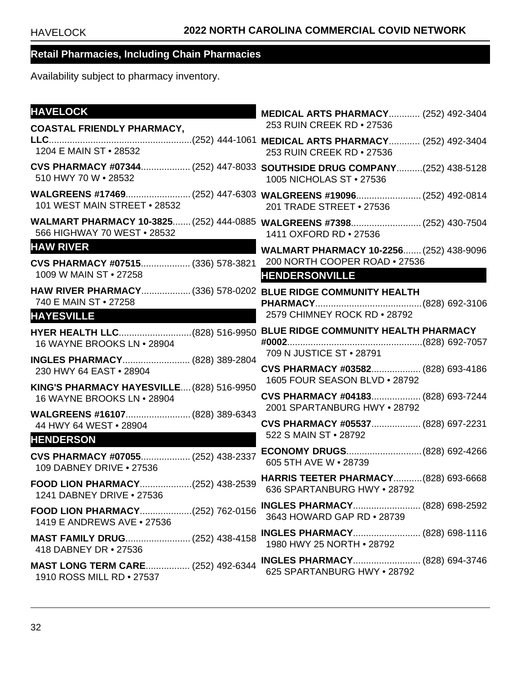| <b>HAVELOCK</b>                                                                                  | <b>MEDICAL ARTS PHARMACY (252) 492-3404</b>                                                         |
|--------------------------------------------------------------------------------------------------|-----------------------------------------------------------------------------------------------------|
| <b>COASTAL FRIENDLY PHARMACY,</b>                                                                | 253 RUIN CREEK RD . 27536                                                                           |
| 1204 E MAIN ST • 28532                                                                           | 253 RUIN CREEK RD . 27536                                                                           |
| 510 HWY 70 W . 28532                                                                             | CVS PHARMACY #07344 (252) 447-8033 SOUTHSIDE DRUG COMPANY(252) 438-5128<br>1005 NICHOLAS ST • 27536 |
| 101 WEST MAIN STREET . 28532                                                                     | 201 TRADE STREET . 27536                                                                            |
| 566 HIGHWAY 70 WEST . 28532                                                                      | WALMART PHARMACY 10-3825 (252) 444-0885 WALGREENS #7398 (252) 430-7504<br>1411 OXFORD RD • 27536    |
| <b>HAW RIVER</b>                                                                                 | WALMART PHARMACY 10-2256 (252) 438-9096                                                             |
| CVS PHARMACY #07515 (336) 578-3821                                                               | 200 NORTH COOPER ROAD . 27536                                                                       |
| 1009 W MAIN ST • 27258                                                                           | <b>HENDERSONVILLE</b>                                                                               |
| HAW RIVER PHARMACY (336) 578-0202 BLUE RIDGE COMMUNITY HEALTH<br>740 E MAIN ST • 27258           |                                                                                                     |
| <b>HAYESVILLE</b>                                                                                | 2579 CHIMNEY ROCK RD . 28792                                                                        |
| HYER HEALTH LLC(828) 516-9950 BLUE RIDGE COMMUNITY HEALTH PHARMACY<br>16 WAYNE BROOKS LN . 28904 |                                                                                                     |
| INGLES PHARMACY (828) 389-2804<br>230 HWY 64 EAST . 28904                                        | 709 N JUSTICE ST • 28791<br>CVS PHARMACY #03582 (828) 693-4186                                      |
| KING'S PHARMACY HAYESVILLE (828) 516-9950                                                        | 1605 FOUR SEASON BLVD . 28792                                                                       |
| 16 WAYNE BROOKS LN . 28904                                                                       | CVS PHARMACY #04183 (828) 693-7244<br>2001 SPARTANBURG HWY . 28792                                  |
| WALGREENS #16107 (828) 389-6343<br>44 HWY 64 WEST . 28904                                        | CVS PHARMACY #05537 (828) 697-2231                                                                  |
| <b>HENDERSON</b>                                                                                 | 522 S MAIN ST • 28792                                                                               |
| CVS PHARMACY #07055 (252) 438-2337<br>109 DABNEY DRIVE . 27536                                   | ECONOMY DRUGS(828) 692-4266<br>605 5TH AVE W . 28739                                                |
| 1241 DABNEY DRIVE . 27536                                                                        |                                                                                                     |
| FOOD LION PHARMACY(252) 762-0156<br>1419 E ANDREWS AVE • 27536                                   | INGLES PHARMACY (828) 698-2592<br>3643 HOWARD GAP RD • 28739                                        |
| MAST FAMILY DRUG (252) 438-4158<br>418 DABNEY DR • 27536                                         | <b>INGLES PHARMACY (828) 698-1116</b><br>1980 HWY 25 NORTH . 28792                                  |
| <b>MAST LONG TERM CARE (252) 492-6344</b><br>1910 ROSS MILL RD • 27537                           | 625 SPARTANBURG HWY . 28792                                                                         |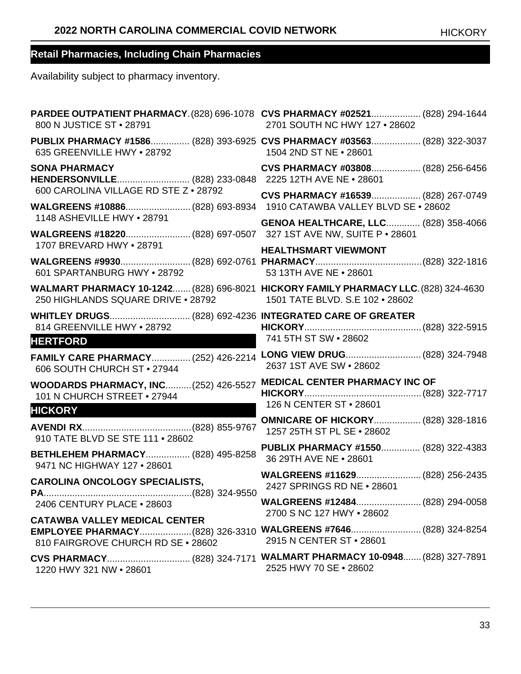| 800 N JUSTICE ST • 28791                                                                                                                  | PARDEE OUTPATIENT PHARMACY. (828) 696-1078 CVS PHARMACY #02521 (828) 294-1644<br>2701 SOUTH NC HWY 127 . 28602 |
|-------------------------------------------------------------------------------------------------------------------------------------------|----------------------------------------------------------------------------------------------------------------|
| 635 GREENVILLE HWY . 28792                                                                                                                | PUBLIX PHARMACY #1586 (828) 393-6925 CVS PHARMACY #03563 (828) 322-3037<br>1504 2ND ST NE . 28601              |
| <b>SONA PHARMACY</b>                                                                                                                      | CVS PHARMACY #03808 (828) 256-6456                                                                             |
| 600 CAROLINA VILLAGE RD STE Z . 28792<br>WALGREENS #10886(828) 693-8934 1910 CATAWBA VALLEY BLVD SE . 28602<br>1148 ASHEVILLE HWY . 28791 | CVS PHARMACY #16539 (828) 267-0749                                                                             |
| 1707 BREVARD HWY . 28791                                                                                                                  | <b>GENOA HEALTHCARE, LLC (828) 358-4066</b>                                                                    |
| 601 SPARTANBURG HWY • 28792                                                                                                               | <b>HEALTHSMART VIEWMONT</b><br>53 13TH AVE NE . 28601                                                          |
| WALMART PHARMACY 10-1242 (828) 696-8021 HICKORY FAMILY PHARMACY LLC. (828) 324-4630<br>250 HIGHLANDS SQUARE DRIVE . 28792                 | 1501 TATE BLVD. S.E 102 • 28602                                                                                |
| 814 GREENVILLE HWY . 28792<br><b>HERTFORD</b>                                                                                             | 741 5TH ST SW • 28602                                                                                          |
| 606 SOUTH CHURCH ST . 27944                                                                                                               | FAMILY CARE PHARMACY (252) 426-2214 LONG VIEW DRUG (828) 324-7948<br>2637 1ST AVE SW . 28602                   |
| <b>WOODARDS PHARMACY, INC (252) 426-5527</b><br>101 N CHURCH STREET . 27944<br><b>HICKORY</b>                                             | <b>MEDICAL CENTER PHARMACY INC OF</b><br>126 N CENTER ST · 28601                                               |
| 910 TATE BLVD SE STE 111 . 28602                                                                                                          | <b>OMNICARE OF HICKORY (828) 328-1816</b><br>1257 25TH ST PL SE . 28602                                        |
| BETHLEHEM PHARMACY (828) 495-8258<br>9471 NC HIGHWAY 127 . 28601                                                                          | PUBLIX PHARMACY #1550 (828) 322-4383<br>36 29TH AVE NE . 28601                                                 |
| <b>CAROLINA ONCOLOGY SPECIALISTS,</b>                                                                                                     | WALGREENS #11629 (828) 256-2435<br>2427 SPRINGS RD NE . 28601                                                  |
| 2406 CENTURY PLACE . 28603<br><b>CATAWBA VALLEY MEDICAL CENTER</b>                                                                        | 2700 S NC 127 HWY . 28602                                                                                      |
| 810 FAIRGROVE CHURCH RD SE . 28602                                                                                                        | EMPLOYEE PHARMACY(828) 326-3310 WALGREENS #7646 (828) 324-8254<br>2915 N CENTER ST • 28601                     |
| 1220 HWY 321 NW . 28601                                                                                                                   | 2525 HWY 70 SE . 28602                                                                                         |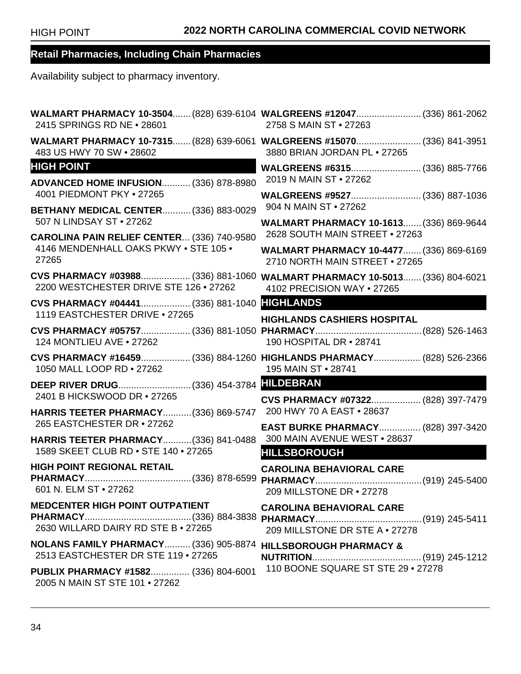| 2415 SPRINGS RD NE . 28601                                                          | WALMART PHARMACY 10-3504 (828) 639-6104 WALGREENS #12047 (336) 861-2062<br>2758 S MAIN ST • 27263        |
|-------------------------------------------------------------------------------------|----------------------------------------------------------------------------------------------------------|
| 483 US HWY 70 SW . 28602                                                            | WALMART PHARMACY 10-7315 (828) 639-6061 WALGREENS #15070 (336) 841-3951<br>3880 BRIAN JORDAN PL . 27265  |
| <b>HIGH POINT</b>                                                                   | WALGREENS #6315 (336) 885-7766                                                                           |
| <b>ADVANCED HOME INFUSION (336) 878-8980</b><br>4001 PIEDMONT PKY . 27265           | 2019 N MAIN ST • 27262                                                                                   |
| <b>BETHANY MEDICAL CENTER (336) 883-0029</b><br>507 N LINDSAY ST . 27262            | 904 N MAIN ST • 27262                                                                                    |
| CAROLINA PAIN RELIEF CENTER (336) 740-9580                                          | WALMART PHARMACY 10-1613 (336) 869-9644<br>2628 SOUTH MAIN STREET . 27263                                |
| 4146 MENDENHALL OAKS PKWY . STE 105 .<br>27265                                      | WALMART PHARMACY 10-4477 (336) 869-6169<br>2710 NORTH MAIN STREET . 27265                                |
| 2200 WESTCHESTER DRIVE STE 126 . 27262                                              | CVS PHARMACY #03988 (336) 881-1060 WALMART PHARMACY 10-5013 (336) 804-6021<br>4102 PRECISION WAY . 27265 |
| CVS PHARMACY #04441 (336) 881-1040 HIGHLANDS<br>1119 EASTCHESTER DRIVE . 27265      |                                                                                                          |
| 124 MONTLIEU AVE . 27262                                                            | <b>HIGHLANDS CASHIERS HOSPITAL</b><br>190 HOSPITAL DR . 28741                                            |
| 1050 MALL LOOP RD . 27262                                                           | CVS PHARMACY #16459 (336) 884-1260 HIGHLANDS PHARMACY (828) 526-2366<br>195 MAIN ST . 28741              |
| 2401 B HICKSWOOD DR • 27265                                                         | CVS PHARMACY #07322 (828) 397-7479                                                                       |
| HARRIS TEETER PHARMACY (336) 869-5747                                               | 200 HWY 70 A EAST . 28637                                                                                |
| 265 EASTCHESTER DR · 27262<br><b>HARRIS TEETER PHARMACY (336) 841-0488</b>          | <b>EAST BURKE PHARMACY (828) 397-3420</b><br>300 MAIN AVENUE WEST . 28637                                |
| 1589 SKEET CLUB RD . STE 140 . 27265                                                | <b>HILLSBOROUGH</b>                                                                                      |
| <b>HIGH POINT REGIONAL RETAIL</b><br>601 N. ELM ST • 27262                          | <b>CAROLINA BEHAVIORAL CARE</b><br>209 MILLSTONE DR . 27278                                              |
| <b>MEDCENTER HIGH POINT OUTPATIENT</b>                                              | <b>CAROLINA BEHAVIORAL CARE</b>                                                                          |
| 2630 WILLARD DAIRY RD STE B . 27265                                                 | 209 MILLSTONE DR STE A . 27278                                                                           |
| <b>NOLANS FAMILY PHARMACY (336) 905-8874</b><br>2513 EASTCHESTER DR STE 119 • 27265 | <b>HILLSBOROUGH PHARMACY &amp;</b>                                                                       |
| <b>PUBLIX PHARMACY #1582 (336) 804-6001</b><br>2005 N MAIN ST STE 101 . 27262       | 110 BOONE SQUARE ST STE 29 . 27278                                                                       |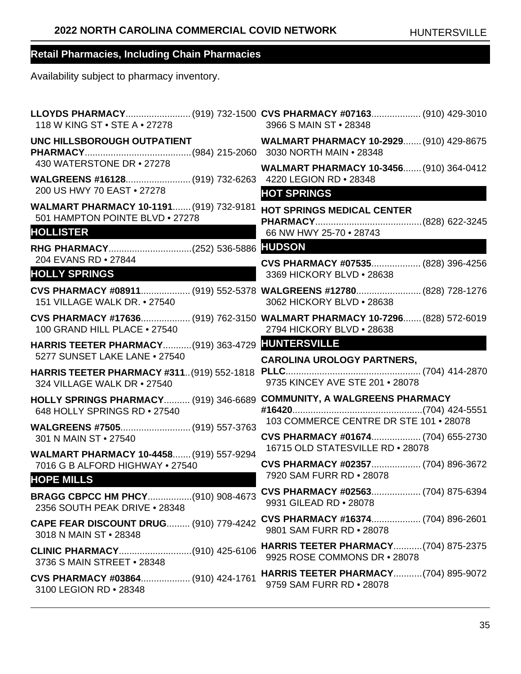| 118 W KING ST • STE A • 27278                                                                         | LLOYDS PHARMACY (919) 732-1500 CVS PHARMACY #07163 (910) 429-3010<br>3966 S MAIN ST • 28348             |
|-------------------------------------------------------------------------------------------------------|---------------------------------------------------------------------------------------------------------|
|                                                                                                       | UNC HILLSBOROUGH OUTPATIENT WALMART PHARMACY 10-2929 (910) 429-8675                                     |
| 430 WATERSTONE DR • 27278                                                                             | <b>WALMART PHARMACY 10-3456 (910) 364-0412</b>                                                          |
| 200 US HWY 70 EAST . 27278<br>WALMART PHARMACY 10-1191 (919) 732-9181                                 | <b>HOT SPRINGS</b>                                                                                      |
| 501 HAMPTON POINTE BLVD . 27278<br><b>HOLLISTER</b>                                                   | <b>HOT SPRINGS MEDICAL CENTER</b><br>66 NW HWY 25-70 • 28743                                            |
|                                                                                                       |                                                                                                         |
| 204 EVANS RD . 27844<br><b>HOLLY SPRINGS</b>                                                          | CVS PHARMACY #07535 (828) 396-4256<br>3369 HICKORY BLVD . 28638                                         |
| 151 VILLAGE WALK DR. • 27540                                                                          | CVS PHARMACY #08911 (919) 552-5378 WALGREENS #12780 (828) 728-1276<br>3062 HICKORY BLVD . 28638         |
| 100 GRAND HILL PLACE . 27540                                                                          | CVS PHARMACY #17636 (919) 762-3150 WALMART PHARMACY 10-7296 (828) 572-6019<br>2794 HICKORY BLVD . 28638 |
| HARRIS TEETER PHARMACY(919) 363-4729 HUNTERSVILLE<br>5277 SUNSET LAKE LANE . 27540                    | <b>CAROLINA UROLOGY PARTNERS,</b>                                                                       |
| HARRIS TEETER PHARMACY #311 (919) 552-1818<br>324 VILLAGE WALK DR . 27540                             | 9735 KINCEY AVE STE 201 . 28078                                                                         |
| HOLLY SPRINGS PHARMACY (919) 346-6689 COMMUNITY, A WALGREENS PHARMACY<br>648 HOLLY SPRINGS RD . 27540 |                                                                                                         |
|                                                                                                       |                                                                                                         |
| WALGREENS #7505 (919) 557-3763<br>301 N MAIN ST • 27540                                               | 103 COMMERCE CENTRE DR STE 101 . 28078<br>CVS PHARMACY #01674 (704) 655-2730                            |
| WALMART PHARMACY 10-4458 (919) 557-9294                                                               | 16715 OLD STATESVILLE RD . 28078                                                                        |
| 7016 G B ALFORD HIGHWAY . 27540                                                                       | CVS PHARMACY #02357 (704) 896-3672<br>7920 SAM FURR RD . 28078                                          |
| <b>HOPE MILLS</b><br>BRAGG CBPCC HM PHCY(910) 908-4673<br>2356 SOUTH PEAK DRIVE . 28348               | CVS PHARMACY #02563 (704) 875-6394<br>9931 GILEAD RD . 28078                                            |
| <b>CAPE FEAR DISCOUNT DRUG (910) 779-4242</b><br>3018 N MAIN ST • 28348                               | 9801 SAM FURR RD . 28078                                                                                |
| CLINIC PHARMACY(910) 425-6106<br>3736 S MAIN STREET . 28348                                           | <b>HARRIS TEETER PHARMACY (704) 875-2375</b><br>9925 ROSE COMMONS DR . 28078                            |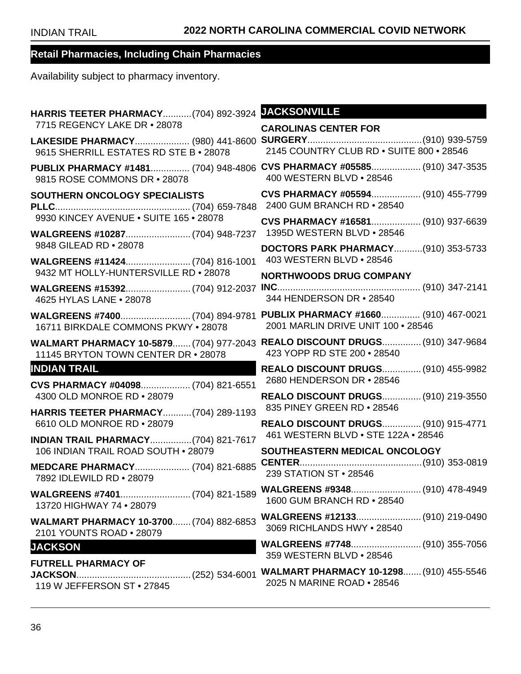| <b>HARRIS TEETER PHARMACY (704) 892-3924</b>                                   | <b>JACKSONVILLE</b>                                                        |
|--------------------------------------------------------------------------------|----------------------------------------------------------------------------|
| 7715 REGENCY LAKE DR . 28078                                                   | <b>CAROLINAS CENTER FOR</b>                                                |
| LAKESIDE PHARMACY (980) 441-8600<br>9615 SHERRILL ESTATES RD STE B . 28078     | 2145 COUNTRY CLUB RD . SUITE 800 . 28546                                   |
| PUBLIX PHARMACY #1481 (704) 948-4806<br>9815 ROSE COMMONS DR • 28078           | CVS PHARMACY #05585 (910) 347-3535<br>400 WESTERN BLVD . 28546             |
| SOUTHERN ONCOLOGY SPECIALISTS                                                  | CVS PHARMACY #05594 (910) 455-7799<br>2400 GUM BRANCH RD . 28540           |
| 9930 KINCEY AVENUE . SUITE 165 . 28078                                         | CVS PHARMACY #16581 (910) 937-6639                                         |
|                                                                                | 1395D WESTERN BLVD • 28546                                                 |
| 9848 GILEAD RD . 28078                                                         | <b>DOCTORS PARK PHARMACY(910) 353-5733</b><br>403 WESTERN BLVD . 28546     |
| 9432 MT HOLLY-HUNTERSVILLE RD . 28078                                          | <b>NORTHWOODS DRUG COMPANY</b>                                             |
| 4625 HYLAS LANE . 28078                                                        | 344 HENDERSON DR · 28540                                                   |
| 16711 BIRKDALE COMMONS PKWY . 28078                                            | PUBLIX PHARMACY #1660 (910) 467-0021<br>2001 MARLIN DRIVE UNIT 100 . 28546 |
| WALMART PHARMACY 10-5879 (704) 977-2043<br>11145 BRYTON TOWN CENTER DR • 28078 | <b>REALO DISCOUNT DRUGS (910) 347-9684</b><br>423 YOPP RD STE 200 . 28540  |
| <b>INDIAN TRAIL</b>                                                            | <b>REALO DISCOUNT DRUGS (910) 455-9982</b>                                 |
| CVS PHARMACY #04098 (704) 821-6551<br>4300 OLD MONROE RD . 28079               | 2680 HENDERSON DR • 28546<br>REALO DISCOUNT DRUGS (910) 219-3550           |
| <b>HARRIS TEETER PHARMACY (704) 289-1193</b>                                   | 835 PINEY GREEN RD . 28546                                                 |
| 6610 OLD MONROE RD . 28079                                                     | REALO DISCOUNT DRUGS (910) 915-4771                                        |
| <b>INDIAN TRAIL PHARMACY(704) 821-7617</b>                                     | 461 WESTERN BLVD . STE 122A . 28546                                        |
| 106 INDIAN TRAIL ROAD SOUTH . 28079                                            | SOUTHEASTERN MEDICAL ONCOLOGY                                              |
| MEDCARE PHARMACY (704) 821-6885<br>7892 IDLEWILD RD . 28079                    | 239 STATION ST • 28546                                                     |
| 13720 HIGHWAY 74 . 28079                                                       | 1600 GUM BRANCH RD . 28540                                                 |
| WALMART PHARMACY 10-3700 (704) 882-6853<br>2101 YOUNTS ROAD . 28079            | WALGREENS #12133 (910) 219-0490<br>3069 RICHLANDS HWY • 28540              |
| <b>JACKSON</b>                                                                 | 359 WESTERN BLVD • 28546                                                   |
| <b>FUTRELL PHARMACY OF</b><br>119 W JEFFERSON ST • 27845                       | 2025 N MARINE ROAD . 28546                                                 |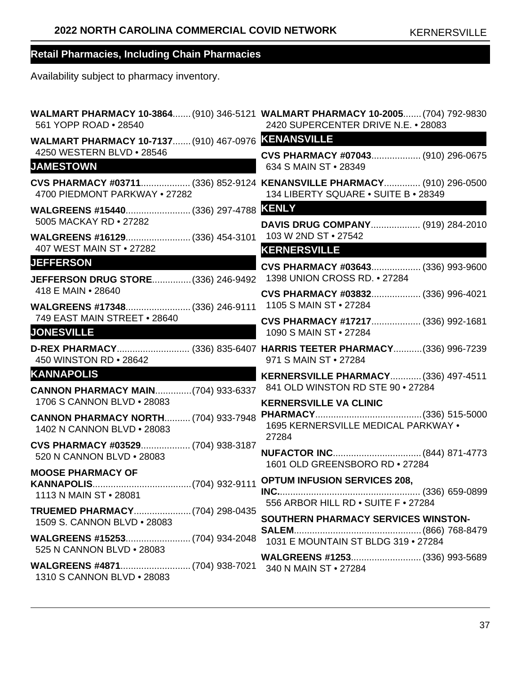| 561 YOPP ROAD . 28540                                                     | WALMART PHARMACY 10-3864 (910) 346-5121 WALMART PHARMACY 10-2005 (704) 792-9830<br>2420 SUPERCENTER DRIVE N.E. • 28083 |
|---------------------------------------------------------------------------|------------------------------------------------------------------------------------------------------------------------|
| WALMART PHARMACY 10-7137 (910) 467-0976 KENANSVILLE                       |                                                                                                                        |
| 4250 WESTERN BLVD . 28546<br><b>JAMESTOWN</b>                             | CVS PHARMACY #07043 (910) 296-0675<br>634 S MAIN ST • 28349                                                            |
| 4700 PIEDMONT PARKWAY . 27282                                             | CVS PHARMACY #03711 (336) 852-9124 KENANSVILLE PHARMACY (910) 296-0500<br>134 LIBERTY SQUARE . SUITE B . 28349         |
| 5005 MACKAY RD . 27282                                                    | DAVIS DRUG COMPANY (919) 284-2010                                                                                      |
| WALGREENS #16129 (336) 454-3101<br>407 WEST MAIN ST . 27282               | 103 W 2ND ST • 27542<br><b>KERNERSVILLE</b>                                                                            |
| <b>JEFFERSON</b><br>JEFFERSON DRUG STORE (336) 246-9492                   | CVS PHARMACY #03643 (336) 993-9600<br>1398 UNION CROSS RD. • 27284                                                     |
| 418 E MAIN • 28640<br>WALGREENS #17348 (336) 246-9111                     | CVS PHARMACY #03832 (336) 996-4021<br>1105 S MAIN ST • 27284                                                           |
| 749 EAST MAIN STREET . 28640<br><b>JONESVILLE</b>                         | CVS PHARMACY #17217 (336) 992-1681<br>1090 S MAIN ST • 27284                                                           |
| 450 WINSTON RD . 28642                                                    | D-REX PHARMACY (336) 835-6407 HARRIS TEETER PHARMACY (336) 996-7239<br>971 S MAIN ST • 27284                           |
| <b>KANNAPOLIS</b>                                                         | KERNERSVILLE PHARMACY (336) 497-4511                                                                                   |
| <b>CANNON PHARMACY MAIN (704) 933-6337</b><br>1706 S CANNON BLVD . 28083  | 841 OLD WINSTON RD STE 90 . 27284<br><b>KERNERSVILLE VA CLINIC</b>                                                     |
| <b>CANNON PHARMACY NORTH (704) 933-7948</b><br>1402 N CANNON BLVD . 28083 | 1695 KERNERSVILLE MEDICAL PARKWAY .<br>27284                                                                           |
| CVS PHARMACY #03529 (704) 938-3187<br>520 N CANNON BLVD . 28083           | NUFACTOR INC (844) 871-4773<br>1601 OLD GREENSBORO RD . 27284                                                          |
| <b>MOOSE PHARMACY OF</b><br>1113 N MAIN ST • 28081                        | 556 ARBOR HILL RD . SUITE F . 27284                                                                                    |
| TRUEMED PHARMACY(704) 298-0435<br>1509 S. CANNON BLVD • 28083             | SOUTHERN PHARMACY SERVICES WINSTON-                                                                                    |
| 525 N CANNON BLVD • 28083                                                 | 1031 E MOUNTAIN ST BLDG 319 . 27284                                                                                    |
|                                                                           | 340 N MAIN ST • 27284                                                                                                  |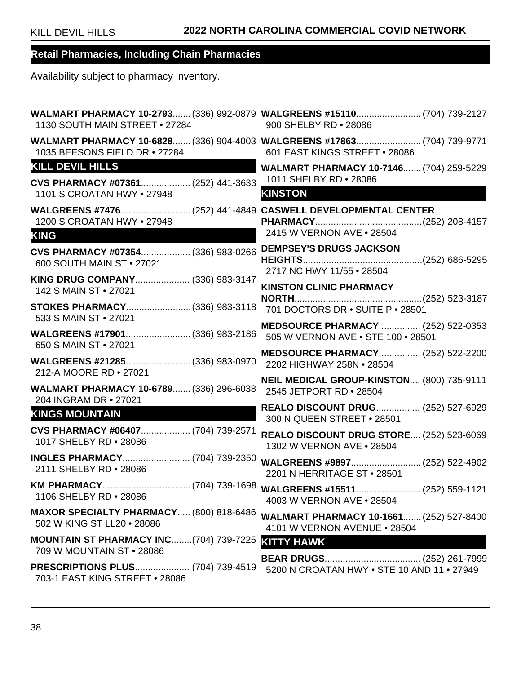| 1130 SOUTH MAIN STREET . 27284                                                    | WALMART PHARMACY 10-2793 (336) 992-0879 WALGREENS #15110 (704) 739-2127<br>900 SHELBY RD . 28086         |
|-----------------------------------------------------------------------------------|----------------------------------------------------------------------------------------------------------|
| 1035 BEESONS FIELD DR . 27284                                                     | WALMART PHARMACY 10-6828 (336) 904-4003 WALGREENS #17863 (704) 739-9771<br>601 EAST KINGS STREET . 28086 |
| <b>KILL DEVIL HILLS</b>                                                           | <b>WALMART PHARMACY 10-7146 (704) 259-5229</b>                                                           |
| CVS PHARMACY #07361 (252) 441-3633<br>1101 S CROATAN HWY • 27948                  | 1011 SHELBY RD . 28086<br><b>KINSTON</b><br><u> Andrew Armenydd</u>                                      |
| 1200 S CROATAN HWY • 27948<br><b>KING</b>                                         | 2415 W VERNON AVE . 28504                                                                                |
|                                                                                   | <b>DEMPSEY'S DRUGS JACKSON</b>                                                                           |
| CVS PHARMACY #07354 (336) 983-0266<br>600 SOUTH MAIN ST . 27021                   | 2717 NC HWY 11/55 . 28504                                                                                |
| KING DRUG COMPANY (336) 983-3147<br>142 S MAIN ST • 27021                         | <b>KINSTON CLINIC PHARMACY</b>                                                                           |
| STOKES PHARMACY(336) 983-3118                                                     | 701 DOCTORS DR . SUITE P . 28501                                                                         |
| 533 S MAIN ST • 27021<br>WALGREENS #17901 (336) 983-2186<br>650 S MAIN ST • 27021 | <b>MEDSOURCE PHARMACY (252) 522-0353</b><br>505 W VERNON AVE . STE 100 . 28501                           |
| WALGREENS #21285 (336) 983-0970<br>212-A MOORE RD . 27021                         | <b>MEDSOURCE PHARMACY (252) 522-2200</b><br>2202 HIGHWAY 258N . 28504                                    |
| WALMART PHARMACY 10-6789 (336) 296-6038<br>204 INGRAM DR • 27021                  | NEIL MEDICAL GROUP-KINSTON (800) 735-9111<br>2545 JETPORT RD . 28504                                     |
| <b>KINGS MOUNTAIN</b>                                                             | REALO DISCOUNT DRUG (252) 527-6929<br>300 N QUEEN STREET . 28501                                         |
| CVS PHARMACY #06407 (704) 739-2571<br>1017 SHELBY RD . 28086                      | <b>REALO DISCOUNT DRUG STORE (252) 523-6069</b><br>1302 W VERNON AVE . 28504                             |
| INGLES PHARMACY (704) 739-2350<br>2111 SHELBY RD . 28086                          | WALGREENS #9897 (252) 522-4902<br>2201 N HERRITAGE ST . 28501                                            |
| 1106 SHELBY RD . 28086                                                            | 4003 W VERNON AVE . 28504                                                                                |
| MAXOR SPECIALTY PHARMACY (800) 818-6486<br>502 W KING ST LL20 . 28086             | <b>WALMART PHARMACY 10-1661 (252) 527-8400</b><br>4101 W VERNON AVENUE • 28504                           |
| <b>MOUNTAIN ST PHARMACY INC(704) 739-7225</b><br>709 W MOUNTAIN ST • 28086        | <b>KITTY HAWK</b>                                                                                        |
| PRESCRIPTIONS PLUS (704) 739-4519<br>703-1 EAST KING STREET . 28086               | 5200 N CROATAN HWY . STE 10 AND 11 . 27949                                                               |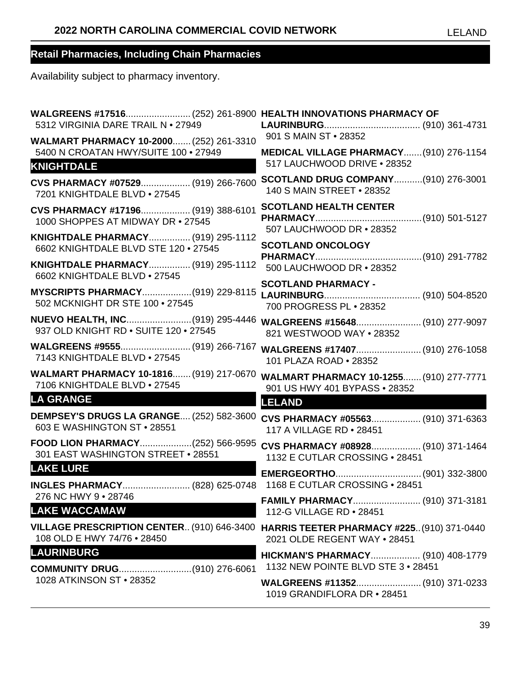| 901 S MAIN ST . 28352<br>MEDICAL VILLAGE PHARMACY (910) 276-1154                  |
|-----------------------------------------------------------------------------------|
| 517 LAUCHWOOD DRIVE . 28352                                                       |
| <b>SCOTLAND DRUG COMPANY(910) 276-3001</b><br>140 S MAIN STREET . 28352           |
| <b>SCOTLAND HEALTH CENTER</b><br>507 LAUCHWOOD DR . 28352                         |
| <b>SCOTLAND ONCOLOGY</b>                                                          |
| 500 LAUCHWOOD DR . 28352                                                          |
| <b>SCOTLAND PHARMACY -</b><br>700 PROGRESS PL · 28352                             |
| WALGREENS #15648 (910) 277-9097<br>821 WESTWOOD WAY . 28352                       |
| 101 PLAZA ROAD . 28352                                                            |
| WALMART PHARMACY 10-1255 (910) 277-7771<br>901 US HWY 401 BYPASS . 28352          |
| <b>LELAND</b>                                                                     |
| CVS PHARMACY #05563 (910) 371-6363<br>117 A VILLAGE RD . 28451                    |
| CVS PHARMACY #08928 (910) 371-1464<br>1132 E CUTLAR CROSSING . 28451              |
|                                                                                   |
| 1168 E CUTLAR CROSSING . 28451                                                    |
| 112-G VILLAGE RD . 28451                                                          |
| <b>HARRIS TEETER PHARMACY #225 (910) 371-0440</b><br>2021 OLDE REGENT WAY . 28451 |
| HICKMAN'S PHARMACY (910) 408-1779<br>1132 NEW POINTE BLVD STE 3 . 28451           |
| WALGREENS #11352 (910) 371-0233<br>1019 GRANDIFLORA DR • 28451                    |
|                                                                                   |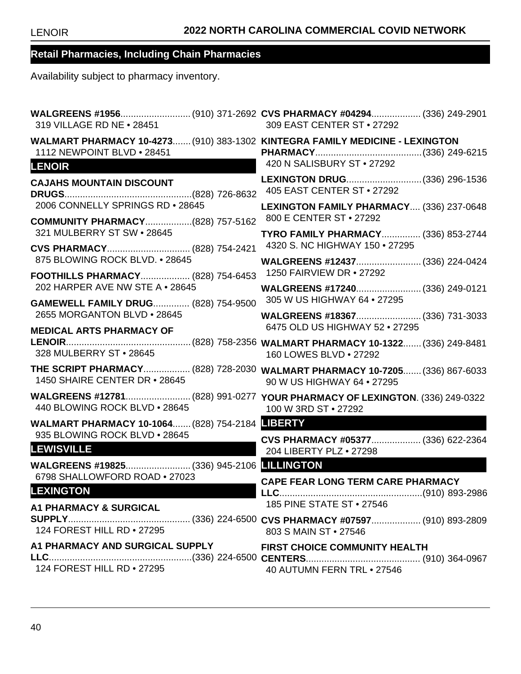| 319 VILLAGE RD NE . 28451                                                                                                   | WALGREENS #1956(910) 371-2692 CVS PHARMACY #04294 (336) 249-2901<br>309 EAST CENTER ST . 27292           |
|-----------------------------------------------------------------------------------------------------------------------------|----------------------------------------------------------------------------------------------------------|
| WALMART PHARMACY 10-4273 (910) 383-1302 KINTEGRA FAMILY MEDICINE - LEXINGTON<br>1112 NEWPOINT BLVD . 28451<br><b>LENOIR</b> | 420 N SALISBURY ST . 27292                                                                               |
| <b>CAJAHS MOUNTAIN DISCOUNT</b>                                                                                             | LEXINGTON DRUG(336) 296-1536<br>405 EAST CENTER ST • 27292                                               |
| 2006 CONNELLY SPRINGS RD . 28645                                                                                            | LEXINGTON FAMILY PHARMACY (336) 237-0648<br>800 E CENTER ST • 27292                                      |
| <b>COMMUNITY PHARMACY(828) 757-5162</b><br>321 MULBERRY ST SW . 28645                                                       | TYRO FAMILY PHARMACY (336) 853-2744                                                                      |
| CVS PHARMACY (828) 754-2421<br>875 BLOWING ROCK BLVD. • 28645                                                               | 4320 S. NC HIGHWAY 150 . 27295                                                                           |
| FOOTHILLS PHARMACY (828) 754-6453                                                                                           | 1250 FAIRVIEW DR • 27292                                                                                 |
| 202 HARPER AVE NW STE A . 28645                                                                                             | WALGREENS #17240 (336) 249-0121<br>305 W US HIGHWAY 64 . 27295                                           |
| <b>GAMEWELL FAMILY DRUG (828) 754-9500</b><br>2655 MORGANTON BLVD . 28645                                                   | WALGREENS #18367 (336) 731-3033                                                                          |
| <b>MEDICAL ARTS PHARMACY OF</b>                                                                                             | 6475 OLD US HIGHWAY 52 . 27295                                                                           |
| 328 MULBERRY ST . 28645                                                                                                     | 160 LOWES BLVD . 27292                                                                                   |
| 1450 SHAIRE CENTER DR • 28645                                                                                               | THE SCRIPT PHARMACY (828) 728-2030 WALMART PHARMACY 10-7205 (336) 867-6033<br>90 W US HIGHWAY 64 . 27295 |
| 440 BLOWING ROCK BLVD . 28645                                                                                               | WALGREENS #12781(828) 991-0277 YOUR PHARMACY OF LEXINGTON. (336) 249-0322<br>100 W 3RD ST • 27292        |
| WALMART PHARMACY 10-1064 (828) 754-2184 EBERTY<br>935 BLOWING ROCK BLVD . 28645                                             |                                                                                                          |
| <b>LEWISVILLE</b>                                                                                                           | CVS PHARMACY #05377 (336) 622-2364<br>204 LIBERTY PLZ . 27298                                            |
|                                                                                                                             |                                                                                                          |
| 6798 SHALLOWFORD ROAD . 27023<br><b>LEXINGTON</b>                                                                           | <b>CAPE FEAR LONG TERM CARE PHARMACY</b>                                                                 |
| <b>A1 PHARMACY &amp; SURGICAL</b>                                                                                           | 185 PINE STATE ST • 27546                                                                                |
| 124 FOREST HILL RD . 27295                                                                                                  | 803 S MAIN ST • 27546                                                                                    |
| A1 PHARMACY AND SURGICAL SUPPLY                                                                                             | FIRST CHOICE COMMUNITY HEALTH                                                                            |
| 124 FOREST HILL RD . 27295                                                                                                  | 40 AUTUMN FERN TRL . 27546                                                                               |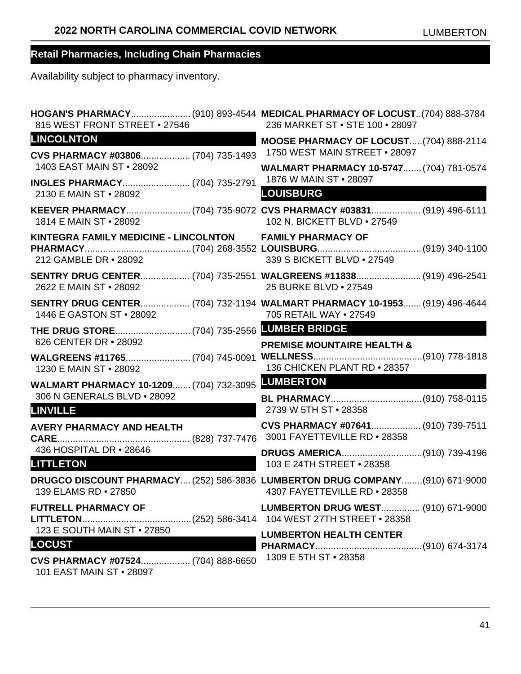| 815 WEST FRONT STREET . 27546                                                     | HOGAN'S PHARMACY(910) 893-4544 MEDICAL PHARMACY OF LOCUST(704) 888-3784<br>236 MARKET ST . STE 100 . 28097    |
|-----------------------------------------------------------------------------------|---------------------------------------------------------------------------------------------------------------|
| <b>LINCOLNTON</b><br>CVS PHARMACY #03806 (704) 735-1493                           | MOOSE PHARMACY OF LOCUST(704) 888-2114<br>1750 WEST MAIN STREET . 28097                                       |
| 1403 EAST MAIN ST . 28092                                                         | WALMART PHARMACY 10-5747 (704) 781-0574                                                                       |
| 2130 E MAIN ST • 28092                                                            | 1876 W MAIN ST . 28097<br><b>LOUISBURG</b>                                                                    |
| 1814 E MAIN ST • 28092                                                            | KEEVER PHARMACY(704) 735-9072 CVS PHARMACY #03831 (919) 496-6111<br>102 N. BICKETT BLVD . 27549               |
| KINTEGRA FAMILY MEDICINE - LINCOLNTON FAMILY PHARMACY OF<br>212 GAMBLE DR . 28092 | 339 S BICKETT BLVD . 27549                                                                                    |
| 2622 E MAIN ST • 28092                                                            | SENTRY DRUG CENTER (704) 735-2551 WALGREENS #11838 (919) 496-2541<br>25 BURKE BLVD . 27549                    |
| 1446 E GASTON ST . 28092                                                          | SENTRY DRUG CENTER (704) 732-1194 WALMART PHARMACY 10-1953 (919) 496-4644<br>705 RETAIL WAY . 27549           |
| 626 CENTER DR • 28092                                                             | <b>PREMISE MOUNTAIRE HEALTH &amp;</b>                                                                         |
| 1230 E MAIN ST • 28092                                                            | 136 CHICKEN PLANT RD . 28357                                                                                  |
| WALMART PHARMACY 10-1209 (704) 732-3095 LUMBERTON<br>306 N GENERALS BLVD . 28092  |                                                                                                               |
| <b>LINVILLE</b>                                                                   | 2739 W 5TH ST . 28358                                                                                         |
| <b>AVERY PHARMACY AND HEALTH</b>                                                  | CVS PHARMACY #07641 (910) 739-7511                                                                            |
| 436 HOSPITAL DR • 28646<br><b>LITTLETON</b>                                       | 103 E 24TH STREET . 28358                                                                                     |
| 139 ELAMS RD . 27850                                                              | DRUGCO DISCOUNT PHARMACY (252) 586-3836 LUMBERTON DRUG COMPANY (910) 671-9000<br>4307 FAYETTEVILLE RD • 28358 |
| <b>FUTRELL PHARMACY OF</b>                                                        | <b>LUMBERTON DRUG WEST (910) 671-9000</b>                                                                     |
| 123 E SOUTH MAIN ST • 27850<br><b>LOCUST</b>                                      | <b>LUMBERTON HEALTH CENTER</b>                                                                                |
| CVS PHARMACY #07524 (704) 888-6650<br>101 EAST MAIN ST • 28097                    | 1309 E 5TH ST · 28358                                                                                         |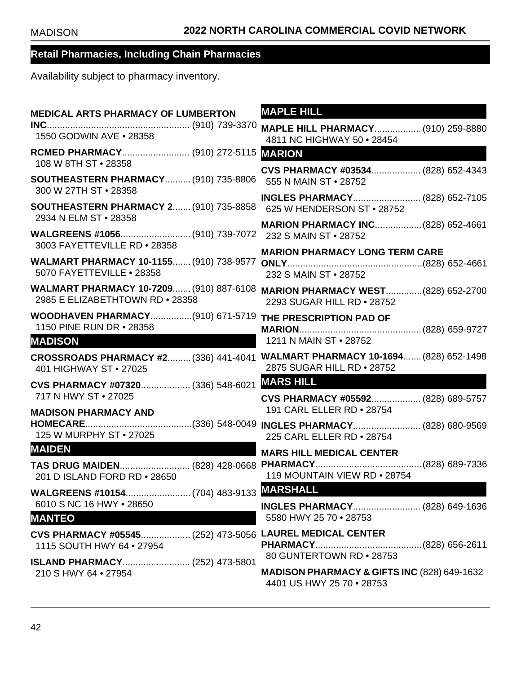| <b>MEDICAL ARTS PHARMACY OF LUMBERTON</b>                                                                               | <b>MAPLE HILL</b>                                                                                           |
|-------------------------------------------------------------------------------------------------------------------------|-------------------------------------------------------------------------------------------------------------|
| 1550 GODWIN AVE . 28358                                                                                                 | <b>MAPLE HILL PHARMACY (910) 259-8880</b><br>4811 NC HIGHWAY 50 . 28454                                     |
| 108 W 8TH ST · 28358                                                                                                    | <b>MARION</b>                                                                                               |
| <b>SOUTHEASTERN PHARMACY (910) 735-8806</b><br>300 W 27TH ST · 28358                                                    | CVS PHARMACY #03534 (828) 652-4343<br>555 N MAIN ST . 28752                                                 |
| <b>SOUTHEASTERN PHARMACY 2 (910) 735-8858</b>                                                                           | INGLES PHARMACY (828) 652-7105<br>625 W HENDERSON ST . 28752                                                |
| 2934 N ELM ST • 28358                                                                                                   | <b>MARION PHARMACY INC (828) 652-4661</b>                                                                   |
| 3003 FAYETTEVILLE RD . 28358<br><b>WALMART PHARMACY 10-1155 (910) 738-9577</b><br>5070 FAYETTEVILLE . 28358             | <b>MARION PHARMACY LONG TERM CARE</b><br>232 S MAIN ST • 28752                                              |
| WALMART PHARMACY 10-7209 (910) 887-6108<br>2985 E ELIZABETHTOWN RD . 28358                                              | <b>MARION PHARMACY WEST (828) 652-2700</b><br>2293 SUGAR HILL RD . 28752                                    |
| WOODHAVEN PHARMACY(910) 671-5719 THE PRESCRIPTION PAD OF<br>1150 PINE RUN DR • 28358                                    |                                                                                                             |
| <b>MADISON</b>                                                                                                          | 1211 N MAIN ST • 28752                                                                                      |
| 401 HIGHWAY ST . 27025                                                                                                  | CROSSROADS PHARMACY #2 (336) 441-4041 WALMART PHARMACY 10-1694 (828) 652-1498<br>2875 SUGAR HILL RD . 28752 |
| CVS PHARMACY #07320 (336) 548-6021<br>717 N HWY ST • 27025                                                              | <b>MARS HILL</b><br>CVS PHARMACY #05592 (828) 689-5757                                                      |
|                                                                                                                         |                                                                                                             |
|                                                                                                                         | 191 CARL ELLER RD . 28754                                                                                   |
| <b>MADISON PHARMACY AND</b><br>125 W MURPHY ST • 27025                                                                  | 225 CARL ELLER RD . 28754                                                                                   |
| <b>MAIDEN</b>                                                                                                           |                                                                                                             |
| 201 D ISLAND FORD RD . 28650                                                                                            | <b>MARS HILL MEDICAL CENTER</b><br>119 MOUNTAIN VIEW RD . 28754                                             |
|                                                                                                                         |                                                                                                             |
| 6010 S NC 16 HWY . 28650<br><b>MANTEO</b>                                                                               | INGLES PHARMACY (828) 649-1636<br>5580 HWY 25 70 . 28753                                                    |
| CVS PHARMACY #05545 (252) 473-5056 LAUREL MEDICAL CENTER<br>1115 SOUTH HWY 64 . 27954<br>ISLAND PHARMACY (252) 473-5801 | 80 GUNTERTOWN RD . 28753                                                                                    |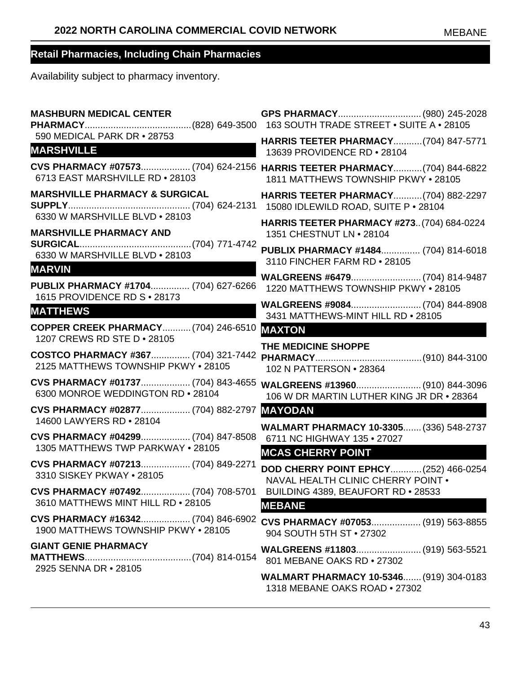| <b>MASHBURN MEDICAL CENTER</b>                                             |                                                                                                                 |
|----------------------------------------------------------------------------|-----------------------------------------------------------------------------------------------------------------|
| 590 MEDICAL PARK DR . 28753<br><b>MARSHVILLE</b>                           | <b>HARRIS TEETER PHARMACY (704) 847-5771</b><br>13639 PROVIDENCE RD . 28104                                     |
| 6713 EAST MARSHVILLE RD . 28103                                            | CVS PHARMACY #07573 (704) 624-2156 HARRIS TEETER PHARMACY (704) 844-6822<br>1811 MATTHEWS TOWNSHIP PKWY . 28105 |
| <b>MARSHVILLE PHARMACY &amp; SURGICAL</b>                                  | <b>HARRIS TEETER PHARMACY (704) 882-2297</b><br>15080 IDLEWILD ROAD, SUITE P . 28104                            |
| 6330 W MARSHVILLE BLVD . 28103<br><b>MARSHVILLE PHARMACY AND</b>           | <b>HARRIS TEETER PHARMACY #273 (704) 684-0224</b><br>1351 CHESTNUT LN • 28104                                   |
| 6330 W MARSHVILLE BLVD . 28103                                             | PUBLIX PHARMACY #1484 (704) 814-6018<br>3110 FINCHER FARM RD . 28105                                            |
| <b>MARVIN</b>                                                              |                                                                                                                 |
| PUBLIX PHARMACY #1704 (704) 627-6266<br>1615 PROVIDENCE RD S . 28173       | 1220 MATTHEWS TOWNSHIP PKWY . 28105                                                                             |
| <b>MATTHEWS</b>                                                            | 3431 MATTHEWS-MINT HILL RD . 28105                                                                              |
| <b>COPPER CREEK PHARMACY (704) 246-6510</b><br>1207 CREWS RD STE D · 28105 | <b>MAXTON</b>                                                                                                   |
| COSTCO PHARMACY #367 (704) 321-7442<br>2125 MATTHEWS TOWNSHIP PKWY . 28105 | THE MEDICINE SHOPPE<br>102 N PATTERSON . 28364                                                                  |
| CVS PHARMACY #01737 (704) 843-4655<br>6300 MONROE WEDDINGTON RD . 28104    | WALGREENS #13960 (910) 844-3096<br>106 W DR MARTIN LUTHER KING JR DR . 28364                                    |
| CVS PHARMACY #02877 (704) 882-2797<br>14600 LAWYERS RD . 28104             | <b>MAYODAN</b>                                                                                                  |
| CVS PHARMACY #04299 (704) 847-8508                                         | <b>WALMART PHARMACY 10-3305 (336) 548-2737</b><br>6711 NC HIGHWAY 135 . 27027                                   |
| 1305 MATTHEWS TWP PARKWAY . 28105                                          | <b>MCAS CHERRY POINT</b>                                                                                        |
| CVS PHARMACY #07213 (704) 849-2271<br>3310 SISKEY PKWAY . 28105            | DOD CHERRY POINT EPHCY (252) 466-0254<br>NAVAL HEALTH CLINIC CHERRY POINT .                                     |
| CVS PHARMACY #07492 (704) 708-5701<br>3610 MATTHEWS MINT HILL RD . 28105   | BUILDING 4389, BEAUFORT RD . 28533<br><b>MEBANE</b>                                                             |
| CVS PHARMACY #16342 (704) 846-6902<br>1900 MATTHEWS TOWNSHIP PKWY • 28105  | CVS PHARMACY #07053 (919) 563-8855<br>904 SOUTH 5TH ST . 27302                                                  |
| <b>GIANT GENIE PHARMACY</b>                                                | WALGREENS #11803 (919) 563-5521<br>801 MEBANE OAKS RD . 27302                                                   |
| 2925 SENNA DR • 28105                                                      | <b>WALMART PHARMACY 10-5346 (919) 304-0183</b><br>1318 MEBANE OAKS ROAD . 27302                                 |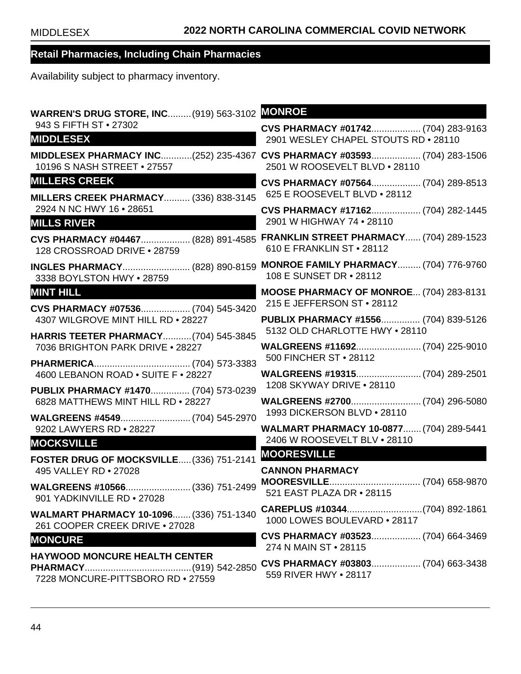| <b>WARREN'S DRUG STORE, INC (919) 563-3102</b>                              | <b>MONROE</b>                                                                                            |
|-----------------------------------------------------------------------------|----------------------------------------------------------------------------------------------------------|
| 943 S FIFTH ST . 27302<br><b>MIDDLESEX</b>                                  | CVS PHARMACY #01742 (704) 283-9163<br>2901 WESLEY CHAPEL STOUTS RD . 28110                               |
| 10196 S NASH STREET . 27557                                                 | MIDDLESEX PHARMACY INC(252) 235-4367 CVS PHARMACY #03593 (704) 283-1506<br>2501 W ROOSEVELT BLVD . 28110 |
| <b>MILLERS CREEK</b><br><b>MILLERS CREEK PHARMACY (336) 838-3145</b>        | CVS PHARMACY #07564 (704) 289-8513<br>625 E ROOSEVELT BLVD . 28112                                       |
| 2924 N NC HWY 16 . 28651<br><b>MILLS RIVER</b>                              | CVS PHARMACY #17162 (704) 282-1445<br>2901 W HIGHWAY 74 . 28110                                          |
| 128 CROSSROAD DRIVE . 28759                                                 | CVS PHARMACY #04467 (828) 891-4585 FRANKLIN STREET PHARMACY (704) 289-1523<br>610 E FRANKLIN ST . 28112  |
| 3338 BOYLSTON HWY . 28759                                                   | INGLES PHARMACY (828) 890-8159 MONROE FAMILY PHARMACY (704) 776-9760<br>108 E SUNSET DR • 28112          |
| <b>MINT HILL</b><br>CVS PHARMACY #07536 (704) 545-3420                      | MOOSE PHARMACY OF MONROE (704) 283-8131<br>215 E JEFFERSON ST • 28112                                    |
| 4307 WILGROVE MINT HILL RD . 28227<br>HARRIS TEETER PHARMACY (704) 545-3845 | PUBLIX PHARMACY #1556 (704) 839-5126<br>5132 OLD CHARLOTTE HWY . 28110                                   |
| 7036 BRIGHTON PARK DRIVE . 28227                                            | WALGREENS #11692 (704) 225-9010<br>500 FINCHER ST • 28112                                                |
| 4600 LEBANON ROAD . SUITE F . 28227                                         | WALGREENS #19315 (704) 289-2501<br>1208 SKYWAY DRIVE . 28110                                             |
| PUBLIX PHARMACY #1470 (704) 573-0239<br>6828 MATTHEWS MINT HILL RD . 28227  | 1993 DICKERSON BLVD . 28110                                                                              |
| 9202 LAWYERS RD . 28227                                                     | <b>WALMART PHARMACY 10-0877 (704) 289-5441</b><br>2406 W ROOSEVELT BLV . 28110                           |
| <b>MOCKSVILLE</b><br>FOSTER DRUG OF MOCKSVILLE (336) 751-2141               | <b>MOORESVILLE</b>                                                                                       |
| 495 VALLEY RD . 27028                                                       | <b>CANNON PHARMACY</b>                                                                                   |
| 901 YADKINVILLE RD . 27028                                                  | 521 EAST PLAZA DR • 28115                                                                                |
| WALMART PHARMACY 10-1096 (336) 751-1340<br>261 COOPER CREEK DRIVE . 27028   | 1000 LOWES BOULEVARD . 28117                                                                             |
| <b>MONCURE</b>                                                              | CVS PHARMACY #03523 (704) 664-3469<br>274 N MAIN ST • 28115                                              |
| <b>HAYWOOD MONCURE HEALTH CENTER</b><br>7228 MONCURE-PITTSBORO RD . 27559   | CVS PHARMACY #03803 (704) 663-3438<br>559 RIVER HWY • 28117                                              |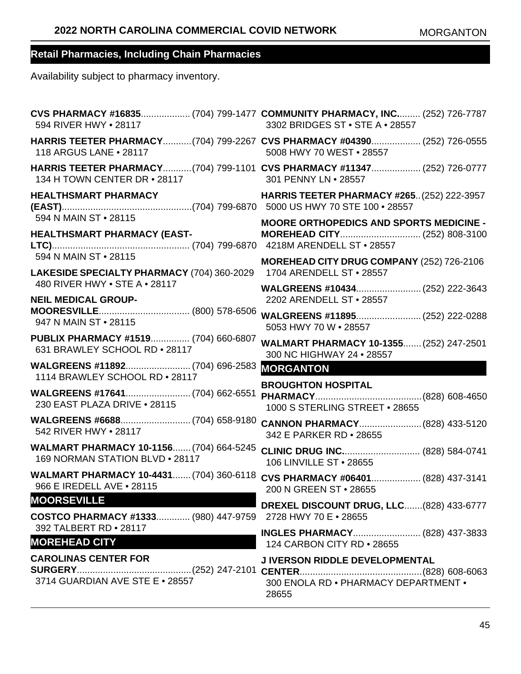| 594 RIVER HWY . 28117                                                            | CVS PHARMACY #16835 (704) 799-1477 COMMUNITY PHARMACY, INC (252) 726-7787<br>3302 BRIDGES ST . STE A . 28557 |
|----------------------------------------------------------------------------------|--------------------------------------------------------------------------------------------------------------|
| 118 ARGUS LANE . 28117                                                           | HARRIS TEETER PHARMACY(704) 799-2267 CVS PHARMACY #04390 (252) 726-0555<br>5008 HWY 70 WEST . 28557          |
| 134 H TOWN CENTER DR • 28117                                                     | HARRIS TEETER PHARMACY(704) 799-1101 CVS PHARMACY #11347 (252) 726-0777<br>301 PENNY LN . 28557              |
| <b>HEALTHSMART PHARMACY</b><br>594 N MAIN ST • 28115                             | <b>HARRIS TEETER PHARMACY #265(252) 222-3957</b>                                                             |
| <b>HEALTHSMART PHARMACY (EAST-</b><br>594 N MAIN ST . 28115                      | <b>MOORE ORTHOPEDICS AND SPORTS MEDICINE -</b>                                                               |
| LAKESIDE SPECIALTY PHARMACY (704) 360-2029                                       | MOREHEAD CITY DRUG COMPANY (252) 726-2106<br>1704 ARENDELL ST . 28557                                        |
| 480 RIVER HWY . STE A . 28117<br><b>NEIL MEDICAL GROUP-</b>                      | 2202 ARENDELL ST . 28557                                                                                     |
| 947 N MAIN ST • 28115                                                            | WALGREENS #11895 (252) 222-0288<br>5053 HWY 70 W . 28557                                                     |
| PUBLIX PHARMACY #1519 (704) 660-6807<br>631 BRAWLEY SCHOOL RD . 28117            | WALMART PHARMACY 10-1355 (252) 247-2501<br>300 NC HIGHWAY 24 . 28557                                         |
| 1114 BRAWLEY SCHOOL RD . 28117                                                   | <b>MORGANTON</b>                                                                                             |
| 230 EAST PLAZA DRIVE . 28115                                                     | <b>BROUGHTON HOSPITAL</b><br>1000 S STERLING STREET . 28655                                                  |
| 542 RIVER HWY • 28117                                                            | 342 E PARKER RD • 28655                                                                                      |
| WALMART PHARMACY 10-1156 (704) 664-5245<br>169 NORMAN STATION BLVD . 28117       | 106 LINVILLE ST . 28655                                                                                      |
| WALMART PHARMACY 10-4431 (704) 360-6118<br>966 E IREDELL AVE . 28115             | CVS PHARMACY #06401 (828) 437-3141<br>200 N GREEN ST • 28655                                                 |
| <b>MOORSEVILLE</b><br>COSTCO PHARMACY #1333 (980) 447-9759 2728 HWY 70 E · 28655 | <b>DREXEL DISCOUNT DRUG, LLC(828) 433-6777</b>                                                               |
| 392 TALBERT RD . 28117<br><b>MOREHEAD CITY</b>                                   | 124 CARBON CITY RD . 28655                                                                                   |
| <b>CAROLINAS CENTER FOR</b><br>3714 GUARDIAN AVE STE E . 28557                   | J IVERSON RIDDLE DEVELOPMENTAL<br>300 ENOLA RD . PHARMACY DEPARTMENT .<br>28655                              |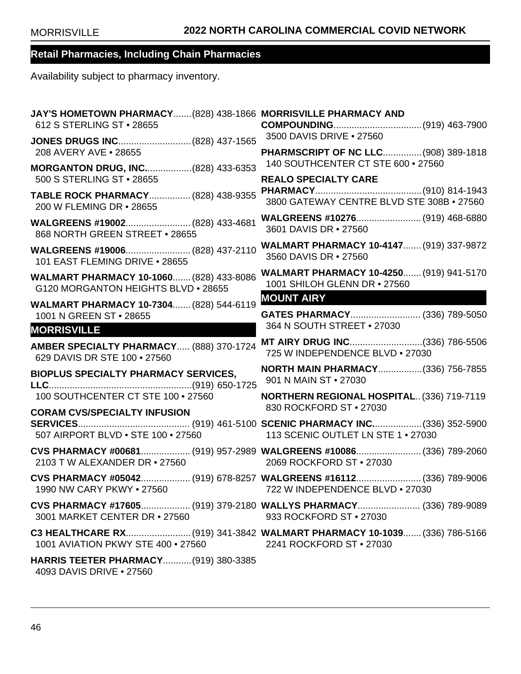| JAY'S HOMETOWN PHARMACY (828) 438-1866 MORRISVILLE PHARMACY AND<br>612 S STERLING ST . 28655 |                                                                                                |
|----------------------------------------------------------------------------------------------|------------------------------------------------------------------------------------------------|
| 208 AVERY AVE . 28655                                                                        | 3500 DAVIS DRIVE . 27560<br>PHARMSCRIPT OF NC LLC (908) 389-1818                               |
| MORGANTON DRUG, INC(828) 433-6353                                                            | 140 SOUTHCENTER CT STE 600 . 27560                                                             |
| 500 S STERLING ST · 28655                                                                    | <b>REALO SPECIALTY CARE</b>                                                                    |
| TABLE ROCK PHARMACY (828) 438-9355<br>200 W FLEMING DR • 28655                               | 3800 GATEWAY CENTRE BLVD STE 308B . 27560                                                      |
| 868 NORTH GREEN STREET . 28655                                                               | 3601 DAVIS DR • 27560                                                                          |
| WALGREENS #19006 (828) 437-2110<br>101 EAST FLEMING DRIVE . 28655                            | WALMART PHARMACY 10-4147 (919) 337-9872<br>3560 DAVIS DR • 27560                               |
| WALMART PHARMACY 10-1060 (828) 433-8086<br>G120 MORGANTON HEIGHTS BLVD . 28655               | WALMART PHARMACY 10-4250 (919) 941-5170<br>1001 SHILOH GLENN DR • 27560                        |
| WALMART PHARMACY 10-7304 (828) 544-6119                                                      | <b>MOUNT AIRY</b>                                                                              |
| 1001 N GREEN ST • 28655                                                                      | GATES PHARMACY (336) 789-5050<br>364 N SOUTH STREET . 27030                                    |
| <b>MORRISVILLE</b>                                                                           |                                                                                                |
| AMBER SPECIALTY PHARMACY (888) 370-1724<br>629 DAVIS DR STE 100 . 27560                      | MT AIRY DRUG INC(336) 786-5506<br>725 W INDEPENDENCE BLVD . 27030                              |
| <b>BIOPLUS SPECIALTY PHARMACY SERVICES,</b>                                                  | <b>NORTH MAIN PHARMACY(336) 756-7855</b><br>901 N MAIN ST • 27030                              |
| 100 SOUTHCENTER CT STE 100 • 27560                                                           | <b>NORTHERN REGIONAL HOSPITAL (336) 719-7119</b><br>830 ROCKFORD ST . 27030                    |
| <b>CORAM CVS/SPECIALTY INFUSION</b>                                                          |                                                                                                |
| 507 AIRPORT BLVD . STE 100 . 27560                                                           | 113 SCENIC OUTLET LN STE 1 . 27030                                                             |
| 2103 T W ALEXANDER DR • 27560                                                                | CVS PHARMACY #00681 (919) 957-2989 WALGREENS #10086 (336) 789-2060<br>2069 ROCKFORD ST • 27030 |
| 1990 NW CARY PKWY • 27560 722 W INDEPENDENCE BLVD • 27030                                    | CVS PHARMACY #05042 (919) 678-8257 WALGREENS #16112 (336) 789-9006                             |
| 3001 MARKET CENTER DR • 27560                                                                | CVS PHARMACY #17605 (919) 379-2180 WALLYS PHARMACY (336) 789-9089<br>933 ROCKFORD ST . 27030   |
| 1001 AVIATION PKWY STE 400 • 27560 2241 ROCKFORD ST • 27030                                  | C3 HEALTHCARE RX(919) 341-3842 WALMART PHARMACY 10-1039 (336) 786-5166                         |
| HARRIS TEETER PHARMACY (919) 380-3385<br>4093 DAVIS DRIVE • 27560                            |                                                                                                |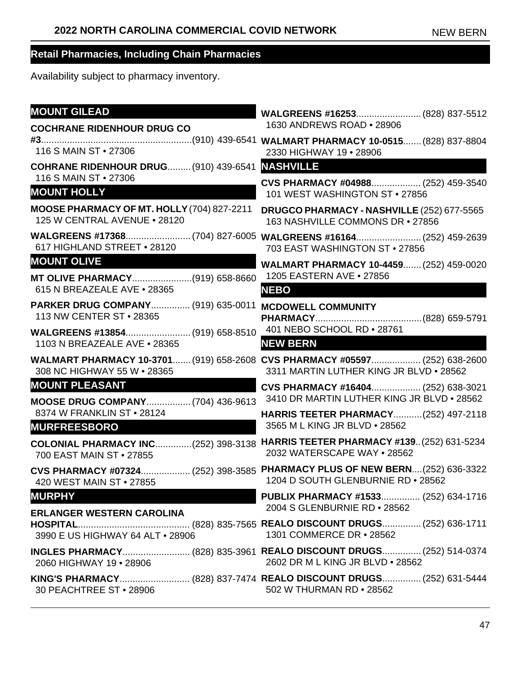| <b>MOUNT GILEAD</b>                                                                                                                                                                                                                                        |                                                                                                                       |
|------------------------------------------------------------------------------------------------------------------------------------------------------------------------------------------------------------------------------------------------------------|-----------------------------------------------------------------------------------------------------------------------|
| <b>COCHRANE RIDENHOUR DRUG CO</b>                                                                                                                                                                                                                          | 1630 ANDREWS ROAD . 28906                                                                                             |
| 116 S MAIN ST • 27306                                                                                                                                                                                                                                      | 2330 HIGHWAY 19 . 28906                                                                                               |
| <b>COHRANE RIDENHOUR DRUG (910) 439-6541</b>                                                                                                                                                                                                               | <b>NASHVILLE</b>                                                                                                      |
| 116 S MAIN ST • 27306<br><b>MOUNT HOLLY</b>                                                                                                                                                                                                                | CVS PHARMACY #04988 (252) 459-3540<br>101 WEST WASHINGTON ST . 27856                                                  |
| MOOSE PHARMACY OF MT. HOLLY (704) 827-2211<br>125 W CENTRAL AVENUE . 28120                                                                                                                                                                                 | DRUGCO PHARMACY - NASHVILLE (252) 677-5565<br>163 NASHVILLE COMMONS DR . 27856                                        |
| 617 HIGHLAND STREET . 28120                                                                                                                                                                                                                                | 703 EAST WASHINGTON ST . 27856                                                                                        |
| <b>MOUNT OLIVE</b><br><u> De Santa Carlos de Santa Carlos de Santa Carlos de Santa Carlos de Santa Carlos de Santa Carlos de Santa Carlos de Santa Carlos de Santa Carlos de Santa Carlos de Santa Carlos de Santa Carlos de Santa Carlos de Santa Car</u> | WALMART PHARMACY 10-4459 (252) 459-0020                                                                               |
| MT OLIVE PHARMACY(919) 658-8660<br>615 N BREAZEALE AVE . 28365                                                                                                                                                                                             | 1205 EASTERN AVE • 27856<br><b>NEBO</b>                                                                               |
| <b>PARKER DRUG COMPANY (919) 635-0011</b><br>113 NW CENTER ST • 28365                                                                                                                                                                                      | <b>MCDOWELL COMMUNITY</b>                                                                                             |
| WALGREENS #13854 (919) 658-8510<br>1103 N BREAZEALE AVE . 28365                                                                                                                                                                                            | 401 NEBO SCHOOL RD . 28761<br><b>NEW BERN</b>                                                                         |
| 308 NC HIGHWAY 55 W . 28365                                                                                                                                                                                                                                | WALMART PHARMACY 10-3701 (919) 658-2608 CVS PHARMACY #05597 (252) 638-2600<br>3311 MARTIN LUTHER KING JR BLVD . 28562 |
| <b>MOUNT PLEASANT</b>                                                                                                                                                                                                                                      | CVS PHARMACY #16404 (252) 638-3021                                                                                    |
| <b>MOOSE DRUG COMPANY (704) 436-9613</b>                                                                                                                                                                                                                   | 3410 DR MARTIN LUTHER KING JR BLVD . 28562                                                                            |
| 8374 W FRANKLIN ST . 28124<br><b>MURFREESBORO</b>                                                                                                                                                                                                          | HARRIS TEETER PHARMACY(252) 497-2118<br>3565 M L KING JR BLVD . 28562                                                 |
| 700 EAST MAIN ST . 27855                                                                                                                                                                                                                                   | COLONIAL PHARMACY INC(252) 398-3138 HARRIS TEETER PHARMACY #139(252) 631-5234<br>2032 WATERSCAPE WAY . 28562          |
| CVS PHARMACY #07324 (252) 398-3585<br>420 WEST MAIN ST • 27855                                                                                                                                                                                             | PHARMACY PLUS OF NEW BERN(252) 636-3322<br>1204 D SOUTH GLENBURNIE RD . 28562                                         |
| <b>MURPHY</b>                                                                                                                                                                                                                                              | <b>PUBLIX PHARMACY #1533 (252) 634-1716</b><br>2004 S GLENBURNIE RD . 28562                                           |
| <b>ERLANGER WESTERN CAROLINA</b><br>3990 E US HIGHWAY 64 ALT . 28906                                                                                                                                                                                       | 1301 COMMERCE DR • 28562                                                                                              |
| 2060 HIGHWAY 19 . 28906                                                                                                                                                                                                                                    | INGLES PHARMACY (828) 835-3961 REALO DISCOUNT DRUGS (252) 514-0374<br>2602 DR M L KING JR BLVD . 28562                |
| 30 PEACHTREE ST • 28906                                                                                                                                                                                                                                    | KING'S PHARMACY (828) 837-7474 REALO DISCOUNT DRUGS (252) 631-5444<br>502 W THURMAN RD • 28562                        |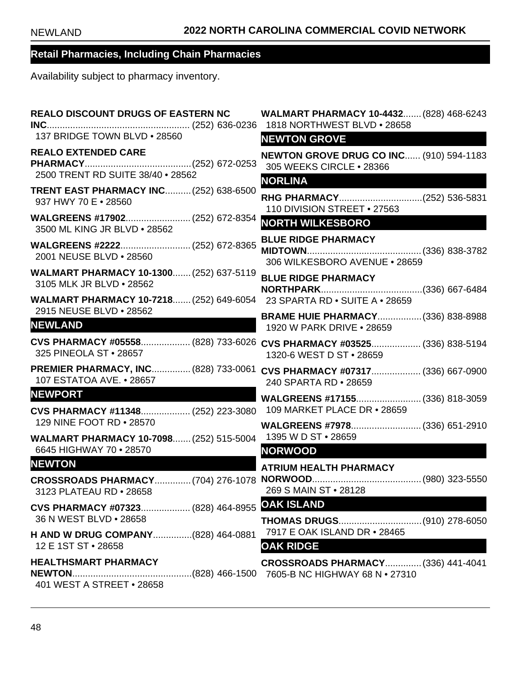| <b>REALO DISCOUNT DRUGS OF EASTERN NC</b>                                                         | <b>WALMART PHARMACY 10-4432 (828) 468-6243</b><br>1818 NORTHWEST BLVD . 28658                     |
|---------------------------------------------------------------------------------------------------|---------------------------------------------------------------------------------------------------|
| 137 BRIDGE TOWN BLVD . 28560                                                                      | <b>NEWTON GROVE</b>                                                                               |
| <b>REALO EXTENDED CARE</b><br>2500 TRENT RD SUITE 38/40 . 28562                                   | <b>NEWTON GROVE DRUG CO INC (910) 594-1183</b><br>305 WEEKS CIRCLE . 28366<br><b>NORLINA</b>      |
| <b>TRENT EAST PHARMACY INC (252) 638-6500</b><br>937 HWY 70 E . 28560                             | RHG PHARMACY(252) 536-5831<br>110 DIVISION STREET . 27563                                         |
| WALGREENS #17902 (252) 672-8354<br>3500 ML KING JR BLVD . 28562                                   | <b>NORTH WILKESBORO</b>                                                                           |
| 2001 NEUSE BLVD . 28560                                                                           | <b>BLUE RIDGE PHARMACY</b><br>306 WILKESBORO AVENUE . 28659                                       |
| WALMART PHARMACY 10-1300 (252) 637-5119<br>3105 MLK JR BLVD . 28562                               | <b>BLUE RIDGE PHARMACY</b>                                                                        |
| WALMART PHARMACY 10-7218 (252) 649-6054 23 SPARTA RD . SUITE A . 28659<br>2915 NEUSE BLVD . 28562 | <b>BRAME HUIE PHARMACY (336) 838-8988</b>                                                         |
| <b>NEWLAND</b>                                                                                    | 1920 W PARK DRIVE . 28659                                                                         |
| 325 PINEOLA ST . 28657                                                                            | CVS PHARMACY #05558 (828) 733-6026 CVS PHARMACY #03525 (336) 838-5194<br>1320-6 WEST D ST • 28659 |
| 107 ESTATOA AVE. • 28657                                                                          | PREMIER PHARMACY, INC (828) 733-0061 CVS PHARMACY #07317 (336) 667-0900<br>240 SPARTA RD . 28659  |
| <b>NEWPORT</b>                                                                                    |                                                                                                   |
| CVS PHARMACY #11348 (252) 223-3080                                                                | 109 MARKET PLACE DR • 28659                                                                       |
| 129 NINE FOOT RD . 28570<br>WALMART PHARMACY 10-7098 (252) 515-5004 1395 W D ST · 28659           | WALGREENS #7978 (336) 651-2910                                                                    |
| 6645 HIGHWAY 70 . 28570                                                                           | <b>NORWOOD</b>                                                                                    |
| <b>NEWTON</b>                                                                                     | <b>ATRIUM HEALTH PHARMACY</b>                                                                     |
| 3123 PLATEAU RD • 28658                                                                           | 269 S MAIN ST . 28128                                                                             |
| CVS PHARMACY #07323 (828) 464-8955<br>36 N WEST BLVD • 28658                                      | <b>OAK ISLAND</b>                                                                                 |
| H AND W DRUG COMPANY(828) 464-0881<br>12 E 1ST ST • 28658                                         | 7917 E OAK ISLAND DR • 28465<br><b>OAK RIDGE</b>                                                  |
| <b>HEALTHSMART PHARMACY</b><br>401 WEST A STREET . 28658                                          | CROSSROADS PHARMACY (336) 441-4041                                                                |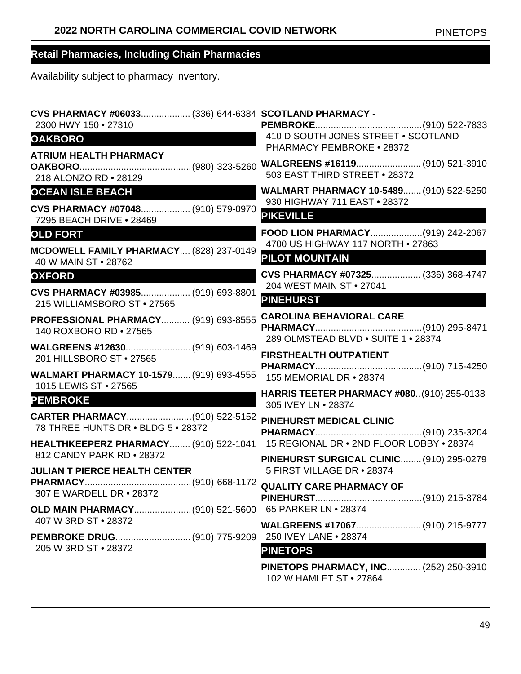Availability subject to pharmacy inventory.

| CVS PHARMACY #06033 (336) 644-6384 SCOTLAND PHARMACY -<br>2300 HWY 150 . 27310 |                                                                          |
|--------------------------------------------------------------------------------|--------------------------------------------------------------------------|
| <b>OAKBORO</b>                                                                 | 410 D SOUTH JONES STREET . SCOTLAND<br><b>PHARMACY PEMBROKE • 28372</b>  |
| <b>ATRIUM HEALTH PHARMACY</b><br>218 ALONZO RD . 28129                         | 503 EAST THIRD STREET . 28372                                            |
| <b>OCEAN ISLE BEACH</b><br><u> Maria Alemania de Santa Arab</u>                | <b>WALMART PHARMACY 10-5489 (910) 522-5250</b>                           |
| CVS PHARMACY #07048 (910) 579-0970<br>7295 BEACH DRIVE . 28469                 | 930 HIGHWAY 711 EAST . 28372<br><b>PIKEVILLE</b>                         |
| <b>OLD FORT</b>                                                                | FOOD LION PHARMACY(919) 242-2067<br>4700 US HIGHWAY 117 NORTH . 27863    |
| MCDOWELL FAMILY PHARMACY (828) 237-0149<br>40 W MAIN ST . 28762                | <b>PILOT MOUNTAIN</b>                                                    |
| <b>OXFORD</b>                                                                  | CVS PHARMACY #07325 (336) 368-4747<br>204 WEST MAIN ST . 27041           |
| CVS PHARMACY #03985 (919) 693-8801<br>215 WILLIAMSBORO ST . 27565              | <b>PINEHURST</b>                                                         |
| <b>PROFESSIONAL PHARMACY (919) 693-8555</b><br>140 ROXBORO RD . 27565          | <b>CAROLINA BEHAVIORAL CARE</b><br>289 OLMSTEAD BLVD . SUITE 1 . 28374   |
| WALGREENS #12630 (919) 603-1469<br>201 HILLSBORO ST . 27565                    | <b>FIRSTHEALTH OUTPATIENT</b>                                            |
| WALMART PHARMACY 10-1579 (919) 693-4555<br>1015 LEWIS ST • 27565               | 155 MEMORIAL DR • 28374                                                  |
| <b>PEMBROKE</b>                                                                | <b>HARRIS TEETER PHARMACY #080 (910) 255-0138</b><br>305 IVEY LN . 28374 |
| 78 THREE HUNTS DR . BLDG 5 . 28372                                             | PINEHURST MEDICAL CLINIC                                                 |
| HEALTHKEEPERZ PHARMACY (910) 522-1041                                          | 15 REGIONAL DR . 2ND FLOOR LOBBY . 28374                                 |
| 812 CANDY PARK RD . 28372<br><b>JULIAN T PIERCE HEALTH CENTER</b>              | PINEHURST SURGICAL CLINIC (910) 295-0279<br>5 FIRST VILLAGE DR . 28374   |
| 307 E WARDELL DR . 28372                                                       |                                                                          |
| OLD MAIN PHARMACY(910) 521-5600 65 PARKER LN · 28374                           |                                                                          |
| 407 W 3RD ST • 28372                                                           |                                                                          |
| 205 W 3RD ST . 28372                                                           | 250 IVEY LANE . 28374<br><b>PINETOPS</b>                                 |
|                                                                                | PINETOPS PHARMACY, INC (252) 250-3910<br>102 W HAMLET ST • 27864         |

49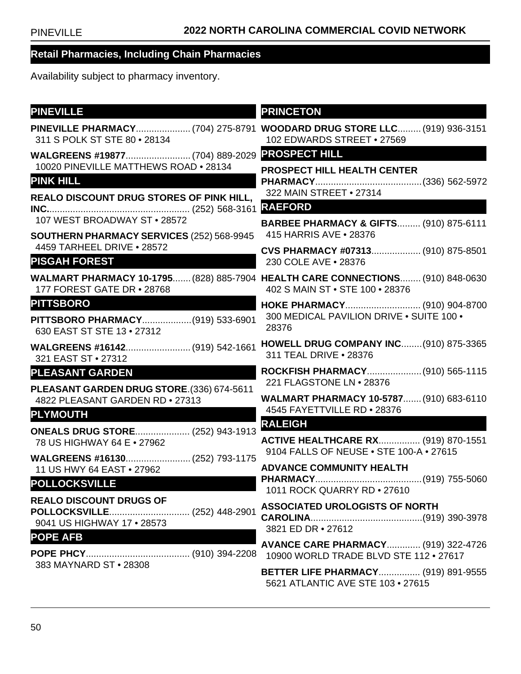| <b>PINEVILLE</b>                                                                             | <b>PRINCETON</b>                                                                                                  |
|----------------------------------------------------------------------------------------------|-------------------------------------------------------------------------------------------------------------------|
| 311 S POLK ST STE 80 . 28134                                                                 | PINEVILLE PHARMACY (704) 275-8791 WOODARD DRUG STORE LLC (919) 936-3151<br>102 EDWARDS STREET . 27569             |
| WALGREENS #19877 (704) 889-2029                                                              | <b>PROSPECT HILL</b>                                                                                              |
| 10020 PINEVILLE MATTHEWS ROAD . 28134<br><b>PINK HILL</b>                                    | <b>PROSPECT HILL HEALTH CENTER</b><br>322 MAIN STREET . 27314                                                     |
| <b>REALO DISCOUNT DRUG STORES OF PINK HILL,</b>                                              | <b>RAEFORD</b>                                                                                                    |
| 107 WEST BROADWAY ST . 28572                                                                 | <b>BARBEE PHARMACY &amp; GIFTS (910) 875-6111</b>                                                                 |
| SOUTHERN PHARMACY SERVICES (252) 568-9945<br>4459 TARHEEL DRIVE . 28572                      | 415 HARRIS AVE • 28376<br>CVS PHARMACY #07313 (910) 875-8501                                                      |
| <b>PISGAH FOREST</b>                                                                         | 230 COLE AVE . 28376                                                                                              |
| 177 FOREST GATE DR . 28768                                                                   | WALMART PHARMACY 10-1795 (828) 885-7904 HEALTH CARE CONNECTIONS (910) 848-0630<br>402 S MAIN ST . STE 100 . 28376 |
| <b>PITTSBORO</b>                                                                             | HOKE PHARMACY (910) 904-8700                                                                                      |
| PITTSBORO PHARMACY(919) 533-6901<br>630 EAST ST STE 13 . 27312                               | 300 MEDICAL PAVILION DRIVE . SUITE 100 .<br>28376                                                                 |
| WALGREENS #16142 (919) 542-1661<br>321 EAST ST • 27312                                       | <b>HOWELL DRUG COMPANY INC (910) 875-3365</b><br>311 TEAL DRIVE . 28376                                           |
| <b>PLEASANT GARDEN</b>                                                                       | ROCKFISH PHARMACY (910) 565-1115<br>221 FLAGSTONE LN • 28376                                                      |
| PLEASANT GARDEN DRUG STORE. (336) 674-5611<br>4822 PLEASANT GARDEN RD . 27313                | WALMART PHARMACY 10-5787 (910) 683-6110                                                                           |
| <b>PLYMOUTH</b>                                                                              | 4545 FAYETTVILLE RD . 28376<br><b>RALEIGH</b>                                                                     |
| <b>ONEALS DRUG STORE (252) 943-1913</b><br>78 US HIGHWAY 64 E . 27962                        | <b>ACTIVE HEALTHCARE RX (919) 870-1551</b><br>9104 FALLS OF NEUSE . STE 100-A . 27615                             |
| WALGREENS #16130 (252) 793-1175<br>11 US HWY 64 EAST . 27962                                 | <b>ADVANCE COMMUNITY HEALTH</b>                                                                                   |
| <b>POLLOCKSVILLE</b>                                                                         | 1011 ROCK QUARRY RD . 27610                                                                                       |
| <b>REALO DISCOUNT DRUGS OF</b><br>POLLOCKSVILLE (252) 448-2901<br>9041 US HIGHWAY 17 . 28573 | <b>ASSOCIATED UROLOGISTS OF NORTH</b><br>3821 ED DR • 27612                                                       |
| <b>POPE AFB</b>                                                                              | <b>AVANCE CARE PHARMACY (919) 322-4726</b><br>10900 WORLD TRADE BLVD STE 112 . 27617                              |
| 383 MAYNARD ST . 28308                                                                       | <b>BETTER LIFE PHARMACY (919) 891-9555</b><br>5621 ATLANTIC AVE STE 103 • 27615                                   |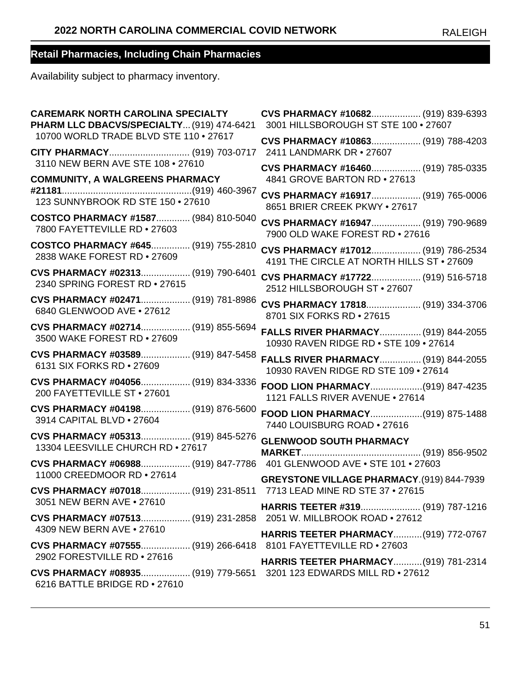| <b>CAREMARK NORTH CAROLINA SPECIALTY</b>                                                            | CVS PHARMACY #10682 (919) 839-6393        |
|-----------------------------------------------------------------------------------------------------|-------------------------------------------|
| PHARM LLC DBACVS/SPECIALTY (919) 474-6421                                                           | 3001 HILLSBOROUGH ST STE 100 . 27607      |
| 10700 WORLD TRADE BLVD STE 110 . 27617                                                              | CVS PHARMACY #10863 (919) 788-4203        |
| CITY PHARMACY (919) 703-0717                                                                        | 2411 LANDMARK DR . 27607                  |
| 3110 NEW BERN AVE STE 108 . 27610                                                                   | CVS PHARMACY #16460 (919) 785-0335        |
| <b>COMMUNITY, A WALGREENS PHARMACY</b>                                                              | 4841 GROVE BARTON RD . 27613              |
|                                                                                                     | CVS PHARMACY #16917 (919) 765-0006        |
| 123 SUNNYBROOK RD STE 150 . 27610                                                                   | 8651 BRIER CREEK PKWY . 27617             |
| COSTCO PHARMACY #1587 (984) 810-5040                                                                | CVS PHARMACY #16947 (919) 790-9689        |
| 7800 FAYETTEVILLE RD . 27603                                                                        | 7900 OLD WAKE FOREST RD . 27616           |
| COSTCO PHARMACY #645 (919) 755-2810                                                                 | CVS PHARMACY #17012 (919) 786-2534        |
| 2838 WAKE FOREST RD . 27609                                                                         | 4191 THE CIRCLE AT NORTH HILLS ST . 27609 |
| CVS PHARMACY #02313 (919) 790-6401                                                                  | CVS PHARMACY #17722 (919) 516-5718        |
| 2340 SPRING FOREST RD . 27615                                                                       | 2512 HILLSBOROUGH ST . 27607              |
| CVS PHARMACY #02471 (919) 781-8986                                                                  | CVS PHARMACY 17818 (919) 334-3706         |
| 6840 GLENWOOD AVE . 27612                                                                           | 8701 SIX FORKS RD . 27615                 |
| CVS PHARMACY #02714 (919) 855-5694                                                                  | FALLS RIVER PHARMACY (919) 844-2055       |
| 3500 WAKE FOREST RD . 27609                                                                         | 10930 RAVEN RIDGE RD . STE 109 . 27614    |
| CVS PHARMACY #03589 (919) 847-5458                                                                  | FALLS RIVER PHARMACY (919) 844-2055       |
| 6131 SIX FORKS RD . 27609                                                                           | 10930 RAVEN RIDGE RD STE 109 . 27614      |
| CVS PHARMACY #04056 (919) 834-3336                                                                  | FOOD LION PHARMACY(919) 847-4235          |
| 200 FAYETTEVILLE ST . 27601                                                                         | 1121 FALLS RIVER AVENUE . 27614           |
| CVS PHARMACY #04198 (919) 876-5600                                                                  | FOOD LION PHARMACY(919) 875-1488          |
| 3914 CAPITAL BLVD . 27604                                                                           | 7440 LOUISBURG ROAD . 27616               |
| CVS PHARMACY #05313 (919) 845-5276                                                                  | <b>GLENWOOD SOUTH PHARMACY</b>            |
| 13304 LEESVILLE CHURCH RD . 27617                                                                   |                                           |
| CVS PHARMACY #06988 (919) 847-7786 401 GLENWOOD AVE . STE 101 . 27603<br>11000 CREEDMOOR RD . 27614 | GREYSTONE VILLAGE PHARMACY.(919) 844-7939 |
| CVS PHARMACY #07018 (919) 231-8511 7713 LEAD MINE RD STE 37 . 27615<br>3051 NEW BERN AVE • 27610    |                                           |
| CVS PHARMACY #07513 (919) 231-2858 2051 W. MILLBROOK ROAD . 27612<br>4309 NEW BERN AVE • 27610      |                                           |
| CVS PHARMACY #07555 (919) 266-6418 8101 FAYETTEVILLE RD · 27603<br>2902 FORESTVILLE RD . 27616      | HARRIS TEETER PHARMACY(919) 772-0767      |
| 6216 BATTLE BRIDGE RD . 27610                                                                       | HARRIS TEETER PHARMACY(919) 781-2314      |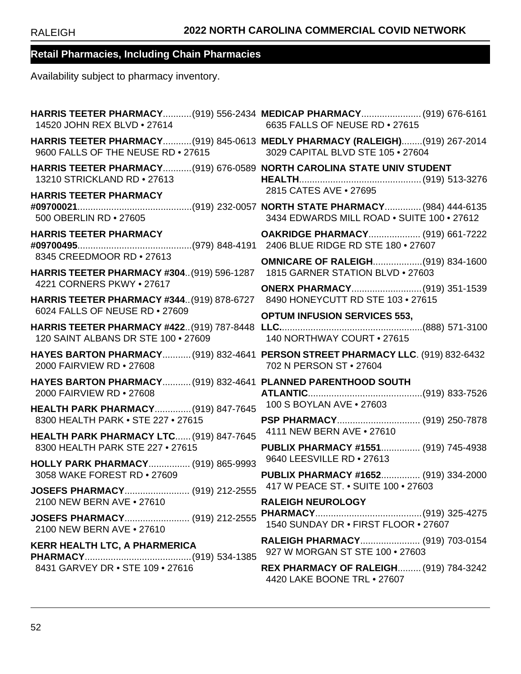| 14520 JOHN REX BLVD . 27614                                                                                 | HARRIS TEETER PHARMACY(919) 556-2434 MEDICAP PHARMACY (919) 676-6161<br>6635 FALLS OF NEUSE RD . 27615           |
|-------------------------------------------------------------------------------------------------------------|------------------------------------------------------------------------------------------------------------------|
| 9600 FALLS OF THE NEUSE RD . 27615                                                                          | HARRIS TEETER PHARMACY(919) 845-0613 MEDLY PHARMACY (RALEIGH)(919) 267-2014<br>3029 CAPITAL BLVD STE 105 . 27604 |
| HARRIS TEETER PHARMACY(919) 676-0589 NORTH CAROLINA STATE UNIV STUDENT<br>13210 STRICKLAND RD . 27613       |                                                                                                                  |
| <b>HARRIS TEETER PHARMACY</b><br>500 OBERLIN RD . 27605                                                     | 2815 CATES AVE . 27695<br>3434 EDWARDS MILL ROAD . SUITE 100 . 27612                                             |
| <b>HARRIS TEETER PHARMACY</b>                                                                               | OAKRIDGE PHARMACY (919) 661-7222                                                                                 |
| 8345 CREEDMOOR RD . 27613<br><b>HARRIS TEETER PHARMACY #304 (919) 596-1287</b>                              | <b>OMNICARE OF RALEIGH(919) 834-1600</b><br>1815 GARNER STATION BLVD . 27603                                     |
| 4221 CORNERS PKWY . 27617<br><b>HARRIS TEETER PHARMACY #344 (919) 878-6727</b>                              | ONERX PHARMACY (919) 351-1539<br>8490 HONEYCUTT RD STE 103 . 27615                                               |
| 6024 FALLS OF NEUSE RD . 27609                                                                              | <b>OPTUM INFUSION SERVICES 553,</b>                                                                              |
| 120 SAINT ALBANS DR STE 100 . 27609                                                                         | 140 NORTHWAY COURT . 27615                                                                                       |
|                                                                                                             |                                                                                                                  |
| HAYES BARTON PHARMACY (919) 832-4641 PERSON STREET PHARMACY LLC. (919) 832-6432<br>2000 FAIRVIEW RD . 27608 | 702 N PERSON ST • 27604                                                                                          |
| HAYES BARTON PHARMACY (919) 832-4641 PLANNED PARENTHOOD SOUTH<br>2000 FAIRVIEW RD . 27608                   |                                                                                                                  |
| <b>HEALTH PARK PHARMACY (919) 847-7645</b>                                                                  | 100 S BOYLAN AVE . 27603                                                                                         |
| 8300 HEALTH PARK . STE 227 . 27615<br>HEALTH PARK PHARMACY LTC (919) 847-7645                               | 4111 NEW BERN AVE . 27610                                                                                        |
| 8300 HEALTH PARK STE 227 . 27615                                                                            | PUBLIX PHARMACY #1551 (919) 745-4938                                                                             |
| HOLLY PARK PHARMACY (919) 865-9993<br>3058 WAKE FOREST RD . 27609                                           | 9640 LEESVILLE RD . 27613<br>PUBLIX PHARMACY #1652 (919) 334-2000                                                |
|                                                                                                             |                                                                                                                  |
| 2100 NEW BERN AVE . 27610<br>JOSEFS PHARMACY (919) 212-2555<br>2100 NEW BERN AVE • 27610                    | <b>RALEIGH NEUROLOGY</b><br>1540 SUNDAY DR . FIRST FLOOR . 27607                                                 |
| <b>KERR HEALTH LTC, A PHARMERICA</b>                                                                        | RALEIGH PHARMACY (919) 703-0154<br>927 W MORGAN ST STE 100 • 27603                                               |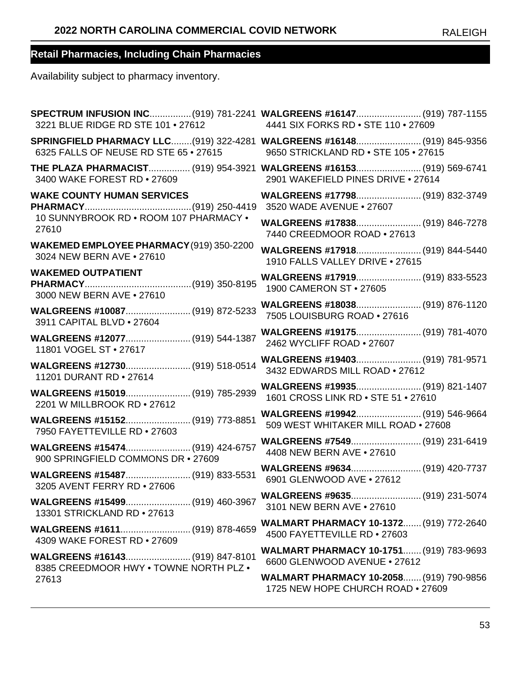| SPECTRUM INFUSION INC(919) 781-2241 WALGREENS #16147 (919) 787-1155<br>4441 SIX FORKS RD . STE 110 . 27609     |
|----------------------------------------------------------------------------------------------------------------|
| SPRINGFIELD PHARMACY LLC(919) 322-4281 WALGREENS #16148 (919) 845-9356<br>9650 STRICKLAND RD . STE 105 . 27615 |
| THE PLAZA PHARMACIST (919) 954-3921 WALGREENS #16153 (919) 569-6741<br>2901 WAKEFIELD PINES DRIVE . 27614      |
| WALGREENS #17798 (919) 832-3749<br>3520 WADE AVENUE . 27607                                                    |
| WALGREENS #17838 (919) 846-7278<br>7440 CREEDMOOR ROAD . 27613                                                 |
| WALGREENS #17918 (919) 844-5440<br>1910 FALLS VALLEY DRIVE . 27615                                             |
| WALGREENS #17919 (919) 833-5523<br>1900 CAMERON ST . 27605                                                     |
| 7505 LOUISBURG ROAD . 27616                                                                                    |
| 2462 WYCLIFF ROAD . 27607                                                                                      |
| WALGREENS #19403 (919) 781-9571<br>3432 EDWARDS MILL ROAD . 27612                                              |
| WALGREENS #19935 (919) 821-1407<br>1601 CROSS LINK RD . STE 51 . 27610                                         |
| WALGREENS #19942 (919) 546-9664<br>509 WEST WHITAKER MILL ROAD . 27608                                         |
| 4408 NEW BERN AVE . 27610                                                                                      |
| WALGREENS #9634 (919) 420-7737<br>6901 GLENWOOD AVE . 27612                                                    |
| 3101 NEW BERN AVE . 27610                                                                                      |
| <b>WALMART PHARMACY 10-1372 (919) 772-2640</b><br>4500 FAYETTEVILLE RD • 27603                                 |
| WALMART PHARMACY 10-1751 (919) 783-9693<br>6600 GLENWOOD AVENUE . 27612                                        |
| <b>WALMART PHARMACY 10-2058 (919) 790-9856</b><br>1725 NEW HOPE CHURCH ROAD . 27609                            |
|                                                                                                                |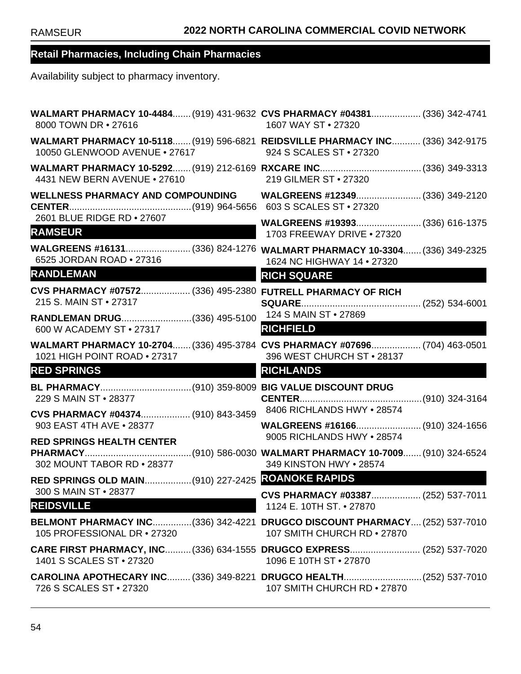| 8000 TOWN DR • 27616                                                                                       | WALMART PHARMACY 10-4484 (919) 431-9632 CVS PHARMACY #04381 (336) 342-4741<br>1607 WAY ST • 27320         |
|------------------------------------------------------------------------------------------------------------|-----------------------------------------------------------------------------------------------------------|
| 10050 GLENWOOD AVENUE . 27617                                                                              | WALMART PHARMACY 10-5118 (919) 596-6821 REIDSVILLE PHARMACY INC (336) 342-9175<br>924 S SCALES ST • 27320 |
| 4431 NEW BERN AVENUE • 27610                                                                               | 219 GILMER ST . 27320                                                                                     |
| <b>WELLNESS PHARMACY AND COMPOUNDING</b>                                                                   |                                                                                                           |
| 2601 BLUE RIDGE RD . 27607<br><b>RAMSEUR</b>                                                               | 1703 FREEWAY DRIVE . 27320                                                                                |
| 6525 JORDAN ROAD . 27316                                                                                   | WALGREENS #16131 (336) 824-1276 WALMART PHARMACY 10-3304 (336) 349-2325<br>1624 NC HIGHWAY 14 . 27320     |
| <b>RANDLEMAN</b>                                                                                           | <b>RICH SQUARE</b>                                                                                        |
| CVS PHARMACY #07572 (336) 495-2380 FUTRELL PHARMACY OF RICH<br>215 S. MAIN ST • 27317                      |                                                                                                           |
| 600 W ACADEMY ST • 27317                                                                                   | <b>RICHFIELD</b>                                                                                          |
| WALMART PHARMACY 10-2704 (336) 495-3784 CVS PHARMACY #07696 (704) 463-0501<br>1021 HIGH POINT ROAD . 27317 | 396 WEST CHURCH ST . 28137                                                                                |
| <b>RED SPRINGS</b>                                                                                         | <b>RICHLANDS</b>                                                                                          |
| 229 S MAIN ST • 28377                                                                                      |                                                                                                           |
| <b>CVS PHARMACY #04374</b> (910) 843-3459 8406 RICHLANDS HWY • 28574<br>903 EAST 4TH AVE . 28377           | WALGREENS #16166 (910) 324-1656                                                                           |
| <b>RED SPRINGS HEALTH CENTER</b>                                                                           | 9005 RICHLANDS HWY . 28574                                                                                |
| 302 MOUNT TABOR RD . 28377                                                                                 | 349 KINSTON HWY . 28574                                                                                   |
|                                                                                                            |                                                                                                           |
| 300 S MAIN ST • 28377<br><b>REIDSVILLE</b>                                                                 | CVS PHARMACY #03387 (252) 537-7011<br>1124 E. 10TH ST. • 27870                                            |
| 105 PROFESSIONAL DR • 27320                                                                                | BELMONT PHARMACY INC(336) 342-4221 DRUGCO DISCOUNT PHARMACY(252) 537-7010<br>107 SMITH CHURCH RD . 27870  |
| 1401 S SCALES ST • 27320                                                                                   | CARE FIRST PHARMACY, INC (336) 634-1555 DRUGCO EXPRESS (252) 537-7020<br>1096 E 10TH ST • 27870           |
| 726 S SCALES ST • 27320                                                                                    | CAROLINA APOTHECARY INC (336) 349-8221 DRUGCO HEALTH (252) 537-7010<br>107 SMITH CHURCH RD . 27870        |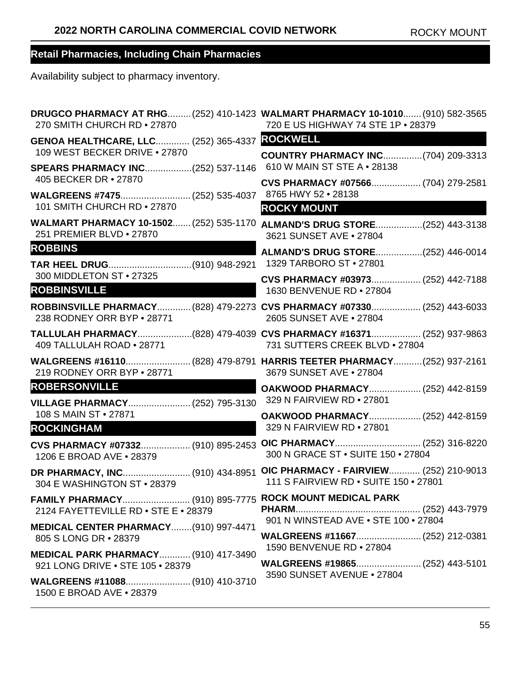| 270 SMITH CHURCH RD . 27870                                                     | DRUGCO PHARMACY AT RHG (252) 410-1423 WALMART PHARMACY 10-1010 (910) 582-3565<br>720 E US HIGHWAY 74 STE 1P . 28379 |
|---------------------------------------------------------------------------------|---------------------------------------------------------------------------------------------------------------------|
| GENOA HEALTHCARE, LLC (252) 365-4337 ROCKWELL                                   |                                                                                                                     |
| 109 WEST BECKER DRIVE . 27870<br>SPEARS PHARMACY INC(252) 537-1146              | <b>COUNTRY PHARMACY INC(704) 209-3313</b><br>610 W MAIN ST STE A • 28138                                            |
| 405 BECKER DR • 27870                                                           | CVS PHARMACY #07566 (704) 279-2581                                                                                  |
| WALGREENS #7475 (252) 535-4037<br>101 SMITH CHURCH RD • 27870                   | 8765 HWY 52 . 28138<br><b>ROCKY MOUNT</b>                                                                           |
| 251 PREMIER BLVD . 27870                                                        | WALMART PHARMACY 10-1502 (252) 535-1170 ALMAND'S DRUG STORE (252) 443-3138<br>3621 SUNSET AVE . 27804               |
| <b>ROBBINS</b>                                                                  | ALMAND'S DRUG STORE(252) 446-0014<br>1329 TARBORO ST • 27801                                                        |
| 300 MIDDLETON ST . 27325<br><b>ROBBINSVILLE</b>                                 | CVS PHARMACY #03973 (252) 442-7188<br>1630 BENVENUE RD . 27804                                                      |
| 238 RODNEY ORR BYP • 28771                                                      | ROBBINSVILLE PHARMACY (828) 479-2273 CVS PHARMACY #07330 (252) 443-6033<br>2605 SUNSET AVE . 27804                  |
| 409 TALLULAH ROAD . 28771                                                       | TALLULAH PHARMACY(828) 479-4039 CVS PHARMACY #16371 (252) 937-9863<br>731 SUTTERS CREEK BLVD . 27804                |
| 219 RODNEY ORR BYP . 28771                                                      | WALGREENS #16110(828) 479-8791 HARRIS TEETER PHARMACY(252) 937-2161<br>3679 SUNSET AVE . 27804                      |
| <b>ROBERSONVILLE</b>                                                            | OAKWOOD PHARMACY (252) 442-8159<br>329 N FAIRVIEW RD . 27801                                                        |
| 108 S MAIN ST • 27871                                                           | OAKWOOD PHARMACY (252) 442-8159                                                                                     |
| <b>ROCKINGHAM</b>                                                               | 329 N FAIRVIEW RD . 27801                                                                                           |
| CVS PHARMACY #07332 (910) 895-2453<br>1206 E BROAD AVE . 28379                  | 300 N GRACE ST . SUITE 150 . 27804                                                                                  |
| 304 E WASHINGTON ST . 28379                                                     | OIC PHARMACY - FAIRVIEW (252) 210-9013<br>111 S FAIRVIEW RD . SUITE 150 . 27801                                     |
| 2124 FAYETTEVILLE RD • STE E • 28379                                            |                                                                                                                     |
| MEDICAL CENTER PHARMACY(910) 997-4471<br>805 S LONG DR • 28379                  | 901 N WINSTEAD AVE . STE 100 . 27804                                                                                |
| <b>MEDICAL PARK PHARMACY (910) 417-3490</b><br>921 LONG DRIVE . STE 105 . 28379 | 1590 BENVENUE RD . 27804                                                                                            |
| 1500 E BROAD AVE • 28379                                                        | 3590 SUNSET AVENUE • 27804                                                                                          |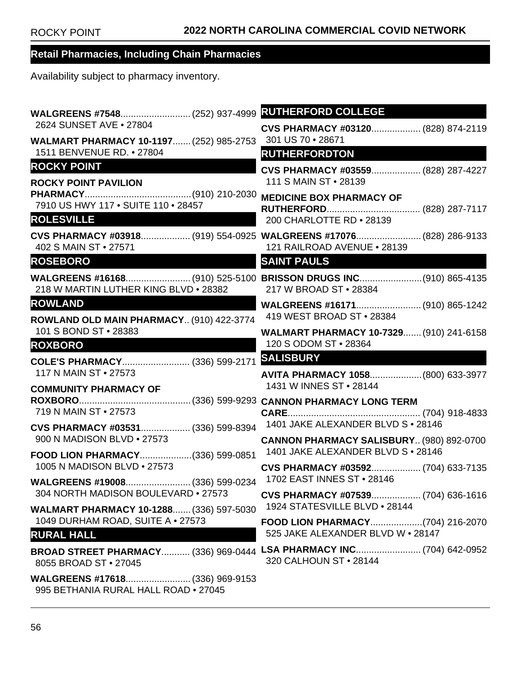| 2624 SUNSET AVE . 27804                                              | CVS PHARMACY #03120 (828) 874-2119                                                                |
|----------------------------------------------------------------------|---------------------------------------------------------------------------------------------------|
| WALMART PHARMACY 10-1197 (252) 985-2753<br>1511 BENVENUE RD. • 27804 | 301 US 70 • 28671                                                                                 |
| <b>ROCKY POINT</b>                                                   | <b>RUTHERFORDTON</b>                                                                              |
| <b>ROCKY POINT PAVILION</b>                                          | CVS PHARMACY #03559 (828) 287-4227<br>111 S MAIN ST · 28139                                       |
|                                                                      | <b>MEDICINE BOX PHARMACY OF</b>                                                                   |
| 7910 US HWY 117 . SUITE 110 . 28457                                  |                                                                                                   |
| <b>ROLESVILLE</b>                                                    | 200 CHARLOTTE RD . 28139                                                                          |
| 402 S MAIN ST . 27571                                                | CVS PHARMACY #03918 (919) 554-0925 WALGREENS #17076 (828) 286-9133<br>121 RAILROAD AVENUE . 28139 |
| <b>ROSEBORO</b>                                                      | <b>SAINT PAULS</b>                                                                                |
| 218 W MARTIN LUTHER KING BLVD . 28382                                | WALGREENS #16168 (910) 525-5100 BRISSON DRUGS INC (910) 865-4135<br>217 W BROAD ST . 28384        |
| <b>ROWLAND</b>                                                       |                                                                                                   |
| ROWLAND OLD MAIN PHARMACY (910) 422-3774                             | 419 WEST BROAD ST . 28384                                                                         |
| 101 S BOND ST · 28383                                                | WALMART PHARMACY 10-7329 (910) 241-6158<br>120 S ODOM ST . 28364                                  |
| <b>ROXBORO</b>                                                       | <b>SALISBURY</b>                                                                                  |
| COLE'S PHARMACY (336) 599-2171<br>117 N MAIN ST • 27573              | AVITA PHARMACY 1058(800) 633-3977                                                                 |
| <b>COMMUNITY PHARMACY OF</b>                                         | 1431 W INNES ST . 28144                                                                           |
|                                                                      |                                                                                                   |
| 719 N MAIN ST • 27573                                                |                                                                                                   |
| 900 N MADISON BLVD . 27573                                           |                                                                                                   |
| FOOD LION PHARMACY(336) 599-0851                                     | CANNON PHARMACY SALISBURY (980) 892-0700<br>1401 JAKE ALEXANDER BLVD S . 28146                    |
| 1005 N MADISON BLVD . 27573                                          | CVS PHARMACY #03592 (704) 633-7135                                                                |
|                                                                      |                                                                                                   |
| 304 NORTH MADISON BOULEVARD . 27573                                  | CVS PHARMACY #07539 (704) 636-1616                                                                |
| <b>WALMART PHARMACY 10-1288 (336) 597-5030</b>                       | 1924 STATESVILLE BLVD . 28144                                                                     |
| 1049 DURHAM ROAD, SUITE A . 27573<br><b>RURAL HALL</b>               | 525 JAKE ALEXANDER BLVD W . 28147                                                                 |
| 8055 BROAD ST • 27045                                                | BROAD STREET PHARMACY (336) 969-0444 LSA PHARMACY INC (704) 642-0952<br>320 CALHOUN ST . 28144    |
| 995 BETHANIA RURAL HALL ROAD . 27045                                 |                                                                                                   |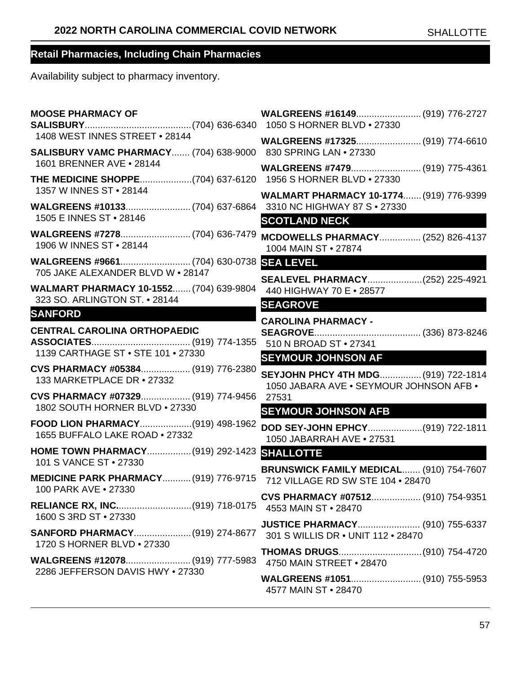| <b>MOOSE PHARMACY OF</b>                                                                        |                                                                                |
|-------------------------------------------------------------------------------------------------|--------------------------------------------------------------------------------|
| 1408 WEST INNES STREET . 28144<br>SALISBURY VAMC PHARMACY (704) 638-9000 830 SPRING LAN . 27330 |                                                                                |
| 1601 BRENNER AVE . 28144<br>THE MEDICINE SHOPPE(704) 637-6120 1956 S HORNER BLVD . 27330        | WALGREENS #7479 (919) 775-4361                                                 |
| 1357 W INNES ST • 28144                                                                         | <b>WALMART PHARMACY 10-1774 (919) 776-9399</b>                                 |
| 1505 E INNES ST • 28146<br>1906 W INNES ST • 28144                                              | <b>SCOTLAND NECK</b><br><b>MCDOWELLS PHARMACY (252) 826-4137</b>               |
| 705 JAKE ALEXANDER BLVD W . 28147                                                               | 1004 MAIN ST . 27874<br><b>SEA LEVEL</b>                                       |
| <b>WALMART PHARMACY 10-1552 (704) 639-9804</b><br>323 SO. ARLINGTON ST. • 28144                 | SEALEVEL PHARMACY(252) 225-4921<br>440 HIGHWAY 70 E . 28577                    |
| <b>SANFORD</b>                                                                                  | <b>SEAGROVE</b><br><b>CAROLINA PHARMACY -</b>                                  |
| <b>CENTRAL CAROLINA ORTHOPAEDIC</b><br>1139 CARTHAGE ST . STE 101 . 27330                       | 510 N BROAD ST • 27341                                                         |
| CVS PHARMACY #05384 (919) 776-2380<br>133 MARKETPLACE DR • 27332                                | <b>SEYMOUR JOHNSON AF</b><br>SEYJOHN PHCY 4TH MDG (919) 722-1814               |
| CVS PHARMACY #07329 (919) 774-9456<br>1802 SOUTH HORNER BLVD . 27330                            | 1050 JABARA AVE . SEYMOUR JOHNSON AFB .<br>27531<br><b>SEYMOUR JOHNSON AFB</b> |
| FOOD LION PHARMACY(919) 498-1962<br>1655 BUFFALO LAKE ROAD . 27332                              | DOD SEY-JOHN EPHCY(919) 722-1811<br>1050 JABARRAH AVE . 27531                  |
| HOME TOWN PHARMACY (919) 292-1423<br>101 S VANCE ST • 27330                                     | <b>SHALLOTTE</b>                                                               |
| <b>MEDICINE PARK PHARMACY (919) 776-9715</b><br>100 PARK AVE . 27330                            | BRUNSWICK FAMILY MEDICAL (910) 754-7607<br>712 VILLAGE RD SW STE 104 . 28470   |
| 1600 S 3RD ST . 27330                                                                           | CVS PHARMACY #07512 (910) 754-9351                                             |
| SANFORD PHARMACY (919) 274-8677<br>1720 S HORNER BLVD • 27330                                   | <b>JUSTICE PHARMACY (910) 755-6337</b><br>301 S WILLIS DR . UNIT 112 . 28470   |
| 2286 JEFFERSON DAVIS HWY . 27330                                                                | THOMAS DRUGS(910) 754-4720<br>4750 MAIN STREET . 28470                         |
|                                                                                                 | WALGREENS #1051 (910) 755-5953<br>4577 MAIN ST . 28470                         |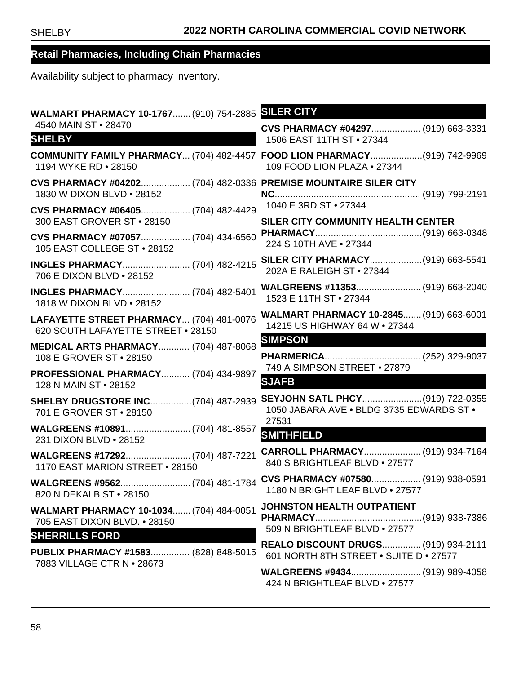| WALMART PHARMACY 10-1767 (910) 754-2885                                                      | <b>SILER CITY</b>                                                                                        |
|----------------------------------------------------------------------------------------------|----------------------------------------------------------------------------------------------------------|
| 4540 MAIN ST . 28470                                                                         | CVS PHARMACY #04297 (919) 663-3331                                                                       |
| <b>SHELBY</b>                                                                                | 1506 EAST 11TH ST . 27344                                                                                |
| 1194 WYKE RD . 28150                                                                         | COMMUNITY FAMILY PHARMACY (704) 482-4457 FOOD LION PHARMACY(919) 742-9969<br>109 FOOD LION PLAZA . 27344 |
| CVS PHARMACY #04202 (704) 482-0336 PREMISE MOUNTAIRE SILER CITY<br>1830 W DIXON BLVD . 28152 |                                                                                                          |
| CVS PHARMACY #06405 (704) 482-4429                                                           | 1040 E 3RD ST • 27344                                                                                    |
| 300 EAST GROVER ST . 28150                                                                   | SILER CITY COMMUNITY HEALTH CENTER                                                                       |
| CVS PHARMACY #07057 (704) 434-6560                                                           |                                                                                                          |
| 105 EAST COLLEGE ST . 28152                                                                  | 224 S 10TH AVE . 27344                                                                                   |
| <b>INGLES PHARMACY (704) 482-4215</b>                                                        |                                                                                                          |
| 706 E DIXON BLVD . 28152                                                                     | 202A E RALEIGH ST . 27344                                                                                |
| <b>INGLES PHARMACY (704) 482-5401</b>                                                        |                                                                                                          |
| 1818 W DIXON BLVD . 28152                                                                    | 1523 E 11TH ST • 27344                                                                                   |
| LAFAYETTE STREET PHARMACY (704) 481-0076                                                     | WALMART PHARMACY 10-2845 (919) 663-6001                                                                  |
| 620 SOUTH LAFAYETTE STREET . 28150                                                           | 14215 US HIGHWAY 64 W . 27344                                                                            |
| <b>MEDICAL ARTS PHARMACY (704) 487-8068</b>                                                  | <b>SIMPSON</b>                                                                                           |
| 108 E GROVER ST • 28150                                                                      |                                                                                                          |
| <b>PROFESSIONAL PHARMACY (704) 434-9897</b>                                                  | 749 A SIMPSON STREET . 27879                                                                             |
| 128 N MAIN ST • 28152                                                                        | <b>SJAFB</b>                                                                                             |
| <b>SHELBY DRUGSTORE INC(704) 487-2939</b>                                                    | SEYJOHN SATL PHCY(919) 722-0355                                                                          |
| 701 E GROVER ST • 28150                                                                      | 1050 JABARA AVE . BLDG 3735 EDWARDS ST .                                                                 |
| WALGREENS #10891 (704) 481-8557                                                              | 27531                                                                                                    |
| 231 DIXON BLVD . 28152                                                                       | <b>SMITHFIELD</b>                                                                                        |
|                                                                                              | CARROLL PHARMACY (919) 934-7164                                                                          |
| 1170 EAST MARION STREET . 28150                                                              | 840 S BRIGHTLEAF BLVD . 27577                                                                            |
| 820 N DEKALB ST • 28150                                                                      | 1180 N BRIGHT LEAF BLVD . 27577                                                                          |
| <b>WALMART PHARMACY 10-1034 (704) 484-0051</b>                                               | JOHNSTON HEALTH OUTPATIENT                                                                               |
| 705 EAST DIXON BLVD. • 28150                                                                 |                                                                                                          |
| <b>SHERRILLS FORD</b>                                                                        | 509 N BRIGHTLEAF BLVD . 27577                                                                            |
| PUBLIX PHARMACY #1583 (828) 848-5015                                                         | REALO DISCOUNT DRUGS (919) 934-2111<br>601 NORTH 8TH STREET . SUITE D . 27577                            |
| 7883 VILLAGE CTR N • 28673                                                                   | 424 N BRIGHTLEAF BLVD . 27577                                                                            |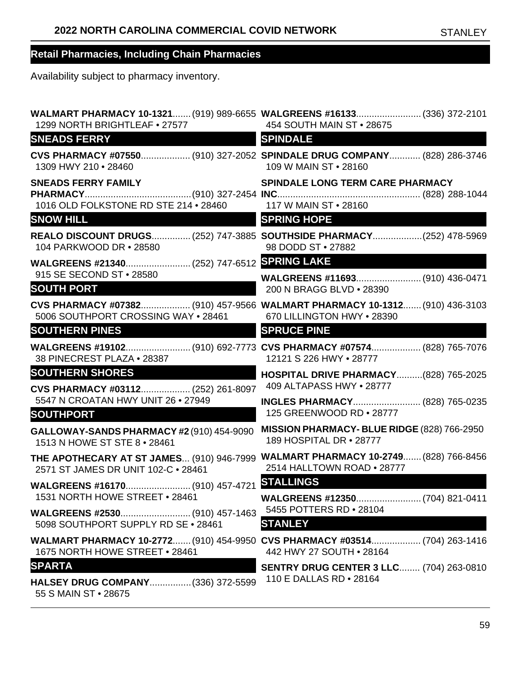| 1299 NORTH BRIGHTLEAF . 27577                                                             | WALMART PHARMACY 10-1321 (919) 989-6655 WALGREENS #16133 (336) 372-2101<br>454 SOUTH MAIN ST . 28675            |
|-------------------------------------------------------------------------------------------|-----------------------------------------------------------------------------------------------------------------|
| <b>SNEADS FERRY</b>                                                                       | <b>SPINDALE</b>                                                                                                 |
| 1309 HWY 210 . 28460                                                                      | CVS PHARMACY #07550 (910) 327-2052 SPINDALE DRUG COMPANY (828) 286-3746<br>109 W MAIN ST • 28160                |
| <b>SNEADS FERRY FAMILY</b><br>1016 OLD FOLKSTONE RD STE 214 · 28460 117 W MAIN ST · 28160 | <b>SPINDALE LONG TERM CARE PHARMACY</b>                                                                         |
| <b>SNOW HILL</b>                                                                          | <b>SPRING HOPE</b>                                                                                              |
| 104 PARKWOOD DR • 28580                                                                   | REALO DISCOUNT DRUGS (252) 747-3885 SOUTHSIDE PHARMACY (252) 478-5969<br>98 DODD ST · 27882                     |
|                                                                                           |                                                                                                                 |
| 915 SE SECOND ST . 28580<br><b>SOUTH PORT</b>                                             | WALGREENS #11693 (910) 436-0471<br>200 N BRAGG BLVD . 28390                                                     |
| 5006 SOUTHPORT CROSSING WAY . 28461                                                       | CVS PHARMACY #07382 (910) 457-9566 WALMART PHARMACY 10-1312 (910) 436-3103<br>670 LILLINGTON HWY . 28390        |
| <b>SOUTHERN PINES</b>                                                                     | <b>SPRUCE PINE</b>                                                                                              |
| 38 PINECREST PLAZA . 28387                                                                | WALGREENS #19102 (910) 692-7773 CVS PHARMACY #07574 (828) 765-7076<br>12121 S 226 HWY . 28777                   |
| <b>SOUTHERN SHORES</b>                                                                    | <b>HOSPITAL DRIVE PHARMACY(828) 765-2025</b><br>409 ALTAPASS HWY . 28777                                        |
| CVS PHARMACY #03112 (252) 261-8097<br>5547 N CROATAN HWY UNIT 26 . 27949                  | <b>INGLES PHARMACY (828) 765-0235</b>                                                                           |
| <b>SOUTHPORT</b>                                                                          | 125 GREENWOOD RD . 28777                                                                                        |
| GALLOWAY-SANDS PHARMACY #2 (910) 454-9090<br>1513 N HOWE ST STE 8 . 28461                 | MISSION PHARMACY-BLUE RIDGE (828) 766-2950<br>189 HOSPITAL DR . 28777                                           |
| 2571 ST JAMES DR UNIT 102-C · 28461                                                       | THE APOTHECARY AT ST JAMES (910) 946-7999 WALMART PHARMACY 10-2749 (828) 766-8456<br>2514 HALLTOWN ROAD . 28777 |
|                                                                                           |                                                                                                                 |
| 1531 NORTH HOWE STREET . 28461                                                            |                                                                                                                 |
| 5098 SOUTHPORT SUPPLY RD SE . 28461                                                       | 5455 POTTERS RD • 28104<br><b>STANLEY</b>                                                                       |
| 1675 NORTH HOWE STREET . 28461                                                            | WALMART PHARMACY 10-2772 (910) 454-9950 CVS PHARMACY #03514 (704) 263-1416<br>442 HWY 27 SOUTH • 28164          |
| <b>SPARTA</b>                                                                             | <b>SENTRY DRUG CENTER 3 LLC (704) 263-0810</b>                                                                  |
| HALSEY DRUG COMPANY (336) 372-5599<br>55 S MAIN ST • 28675                                | 110 E DALLAS RD • 28164                                                                                         |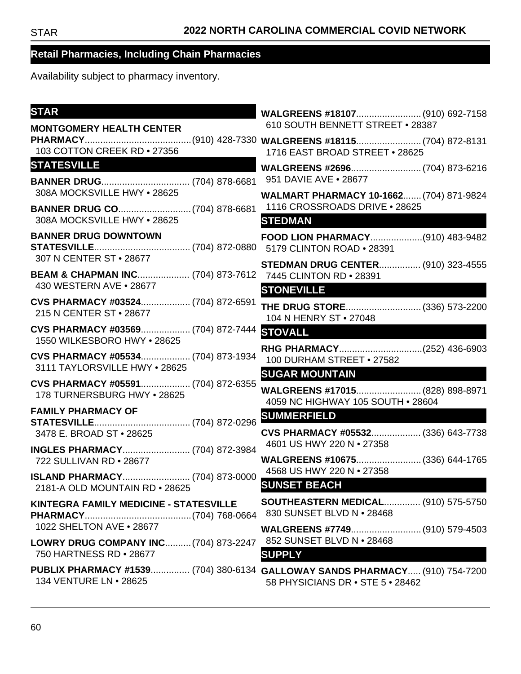| <b>STAR</b>                                                               |                                                                                                                 |  |
|---------------------------------------------------------------------------|-----------------------------------------------------------------------------------------------------------------|--|
| <b>MONTGOMERY HEALTH CENTER</b>                                           | 610 SOUTH BENNETT STREET . 28387                                                                                |  |
| 103 COTTON CREEK RD . 27356                                               | 1716 EAST BROAD STREET . 28625                                                                                  |  |
| <b>STATESVILLE</b>                                                        |                                                                                                                 |  |
| 308A MOCKSVILLE HWY . 28625                                               | 951 DAVIE AVE . 28677<br>WALMART PHARMACY 10-1662 (704) 871-9824                                                |  |
| 308A MOCKSVILLE HWY . 28625                                               | 1116 CROSSROADS DRIVE . 28625<br><b>STEDMAN</b>                                                                 |  |
|                                                                           |                                                                                                                 |  |
| <b>BANNER DRUG DOWNTOWN</b><br>307 N CENTER ST • 28677                    | FOOD LION PHARMACY(910) 483-9482                                                                                |  |
| BEAM & CHAPMAN INC (704) 873-7612 7445 CLINTON RD . 28391                 | <b>STEDMAN DRUG CENTER (910) 323-4555</b>                                                                       |  |
| 430 WESTERN AVE • 28677                                                   | <b>STONEVILLE</b>                                                                                               |  |
| CVS PHARMACY #03524 (704) 872-6591<br>215 N CENTER ST . 28677             | 104 N HENRY ST • 27048                                                                                          |  |
| CVS PHARMACY #03569 (704) 872-7444 STOVALL<br>1550 WILKESBORO HWY . 28625 |                                                                                                                 |  |
| CVS PHARMACY #05534 (704) 873-1934<br>3111 TAYLORSVILLE HWY . 28625       | 100 DURHAM STREET . 27582<br><b>SUGAR MOUNTAIN</b>                                                              |  |
| CVS PHARMACY #05591 (704) 872-6355<br>178 TURNERSBURG HWY . 28625         | WALGREENS #17015 (828) 898-8971<br>4059 NC HIGHWAY 105 SOUTH . 28604                                            |  |
| <b>FAMILY PHARMACY OF</b>                                                 | <b>SUMMERFIELD</b>                                                                                              |  |
| 3478 E. BROAD ST . 28625                                                  | CVS PHARMACY #05532 (336) 643-7738<br>4601 US HWY 220 N · 27358                                                 |  |
| 722 SULLIVAN RD . 28677                                                   | WALGREENS #10675 (336) 644-1765                                                                                 |  |
| ISLAND PHARMACY (704) 873-0000<br>2181-A OLD MOUNTAIN RD . 28625          | 4568 US HWY 220 N • 27358<br><b>SUNSET BEACH</b>                                                                |  |
| <b>KINTEGRA FAMILY MEDICINE - STATESVILLE</b>                             | <b>SOUTHEASTERN MEDICAL (910) 575-5750</b><br>830 SUNSET BLVD N • 28468                                         |  |
| 1022 SHELTON AVE . 28677                                                  | WALGREENS #7749 (910) 579-4503                                                                                  |  |
| LOWRY DRUG COMPANY INC (704) 873-2247<br>750 HARTNESS RD . 28677          | 852 SUNSET BLVD N • 28468<br><b>SUPPLY</b>                                                                      |  |
| 134 VENTURE LN • 28625                                                    | PUBLIX PHARMACY #1539 (704) 380-6134 GALLOWAY SANDS PHARMACY (910) 754-7200<br>58 PHYSICIANS DR • STE 5 • 28462 |  |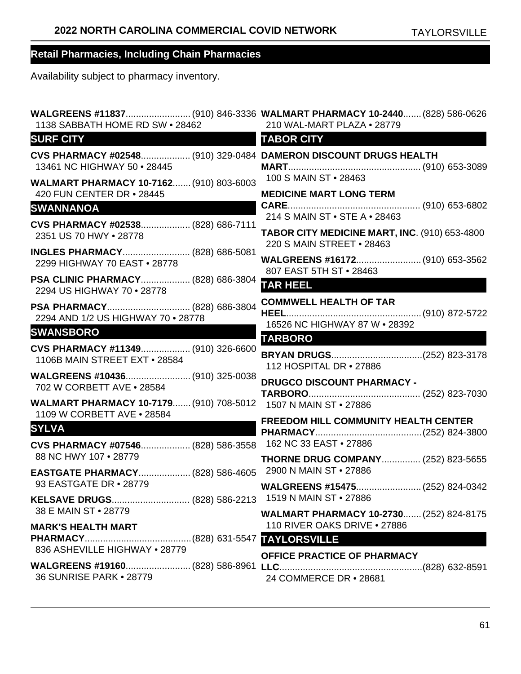| 1138 SABBATH HOME RD SW . 28462                                                                 | 210 WAL-MART PLAZA . 28779                                                     |
|-------------------------------------------------------------------------------------------------|--------------------------------------------------------------------------------|
| <b>SURF CITY</b>                                                                                | <b>TABOR CITY</b>                                                              |
| CVS PHARMACY #02548 (910) 329-0484 DAMERON DISCOUNT DRUGS HEALTH<br>13461 NC HIGHWAY 50 . 28445 |                                                                                |
| WALMART PHARMACY 10-7162 (910) 803-6003<br>420 FUN CENTER DR • 28445                            | 100 S MAIN ST . 28463<br><b>MEDICINE MART LONG TERM</b>                        |
| <b>SWANNANOA</b>                                                                                |                                                                                |
| CVS PHARMACY #02538 (828) 686-7111<br>2351 US 70 HWY . 28778                                    | 214 S MAIN ST . STE A . 28463<br>TABOR CITY MEDICINE MART, INC. (910) 653-4800 |
| INGLES PHARMACY (828) 686-5081<br>2299 HIGHWAY 70 EAST . 28778                                  | 220 S MAIN STREET . 28463                                                      |
| PSA CLINIC PHARMACY (828) 686-3804<br>2294 US HIGHWAY 70 . 28778                                | 807 EAST 5TH ST . 28463<br><b>TAR HEEL</b>                                     |
| 2294 AND 1/2 US HIGHWAY 70 . 28778                                                              | <b>COMMWELL HEALTH OF TAR</b><br>16526 NC HIGHWAY 87 W . 28392                 |
| <b>SWANSBORO</b>                                                                                | <b>TARBORO</b>                                                                 |
| CVS PHARMACY #11349 (910) 326-6600<br>1106B MAIN STREET EXT . 28584                             | 112 HOSPITAL DR • 27886                                                        |
| 702 W CORBETT AVE . 28584                                                                       | <b>DRUGCO DISCOUNT PHARMACY -</b>                                              |
| WALMART PHARMACY 10-7179 (910) 708-5012 1507 N MAIN ST . 27886<br>1109 W CORBETT AVE . 28584    | <b>FREEDOM HILL COMMUNITY HEALTH CENTER</b>                                    |
| <b>SYLVA</b>                                                                                    |                                                                                |
| CVS PHARMACY #07546 (828) 586-3558                                                              | 162 NC 33 EAST . 27886                                                         |
| 88 NC HWY 107 . 28779                                                                           | <b>THORNE DRUG COMPANY (252) 823-5655</b>                                      |
| <b>EASTGATE PHARMACY (828) 586-4605</b><br>93 EASTGATE DR • 28779                               | 2900 N MAIN ST • 27886                                                         |
|                                                                                                 |                                                                                |
| 38 E MAIN ST • 28779                                                                            | <b>WALMART PHARMACY 10-2730 (252) 824-8175</b>                                 |
| <b>MARK'S HEALTH MART</b>                                                                       | 110 RIVER OAKS DRIVE . 27886                                                   |
| 836 ASHEVILLE HIGHWAY . 28779                                                                   |                                                                                |
| 36 SUNRISE PARK • 28779                                                                         | OFFICE PRACTICE OF PHARMACY<br>24 COMMERCE DR • 28681                          |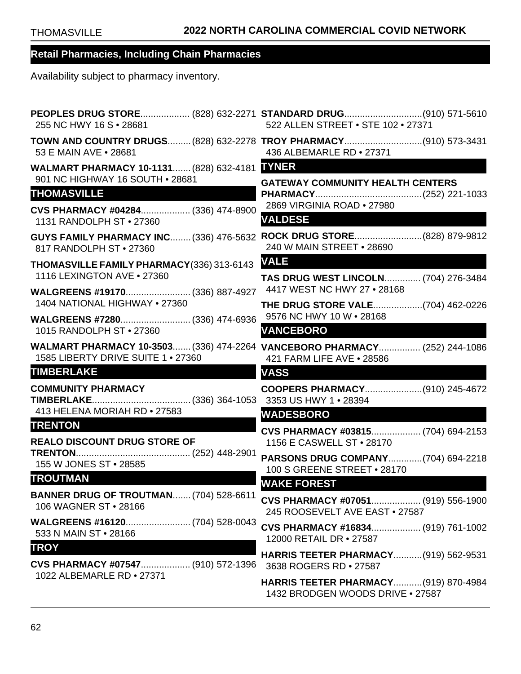| 255 NC HWY 16 S · 28681                                                         | PEOPLES DRUG STORE (828) 632-2271 STANDARD DRUG(910) 571-5610<br>522 ALLEN STREET . STE 102 . 27371    |
|---------------------------------------------------------------------------------|--------------------------------------------------------------------------------------------------------|
| 53 E MAIN AVE . 28681                                                           | TOWN AND COUNTRY DRUGS (828) 632-2278 TROY PHARMACY (910) 573-3431<br>436 ALBEMARLE RD . 27371         |
| WALMART PHARMACY 10-1131 (828) 632-4181 NNER<br>901 NC HIGHWAY 16 SOUTH . 28681 |                                                                                                        |
| <b>THOMASVILLE</b>                                                              | <b>GATEWAY COMMUNITY HEALTH CENTERS</b>                                                                |
| CVS PHARMACY #04284 (336) 474-8900<br>1131 RANDOLPH ST . 27360                  | 2869 VIRGINIA ROAD . 27980<br><b>VALDESE</b>                                                           |
| <b>GUYS FAMILY PHARMACY INC (336) 476-5632</b><br>817 RANDOLPH ST . 27360       | 240 W MAIN STREET . 28690                                                                              |
| THOMASVILLE FAMILY PHARMACY(336) 313-6143<br>1116 LEXINGTON AVE . 27360         | <b>VALE</b>                                                                                            |
| WALGREENS #19170 (336) 887-4927                                                 | <b>TAS DRUG WEST LINCOLN (704) 276-3484</b><br>4417 WEST NC HWY 27 . 28168                             |
| 1404 NATIONAL HIGHWAY . 27360                                                   | <b>THE DRUG STORE VALE(704) 462-0226</b>                                                               |
| WALGREENS #7280 (336) 474-6936<br>1015 RANDOLPH ST • 27360                      | 9576 NC HWY 10 W • 28168<br><b>VANCEBORO</b>                                                           |
| 1585 LIBERTY DRIVE SUITE 1 . 27360                                              | WALMART PHARMACY 10-3503 (336) 474-2264 VANCEBORO PHARMACY (252) 244-1086<br>421 FARM LIFE AVE . 28586 |
| <b>TIMBERLAKE</b>                                                               | <b>VASS</b>                                                                                            |
| <b>COMMUNITY PHARMACY</b>                                                       |                                                                                                        |
| 413 HELENA MORIAH RD . 27583<br><b>TRENTON</b>                                  | <b>WADESBORO</b>                                                                                       |
| <b>REALO DISCOUNT DRUG STORE OF</b>                                             | CVS PHARMACY #03815 (704) 694-2153<br>1156 E CASWELL ST . 28170                                        |
| 155 W JONES ST . 28585                                                          | PARSONS DRUG COMPANY(704) 694-2218<br>100 S GREENE STREET . 28170                                      |
| <b>TROUTMAN</b>                                                                 | <b>WAKE FOREST</b>                                                                                     |
| <b>BANNER DRUG OF TROUTMAN (704) 528-6611</b><br>106 WAGNER ST • 28166          | CVS PHARMACY #07051 (919) 556-1900<br>245 ROOSEVELT AVE EAST . 27587                                   |
| 533 N MAIN ST • 28166                                                           | CVS PHARMACY #16834 (919) 761-1002<br>12000 RETAIL DR • 27587                                          |
| <b>TROY</b><br>CVS PHARMACY #07547 (910) 572-1396                               | <b>HARRIS TEETER PHARMACY (919) 562-9531</b><br>3638 ROGERS RD . 27587                                 |
| 1022 ALBEMARLE RD . 27371                                                       | <b>HARRIS TEETER PHARMACY (919) 870-4984</b><br>1432 BRODGEN WOODS DRIVE . 27587                       |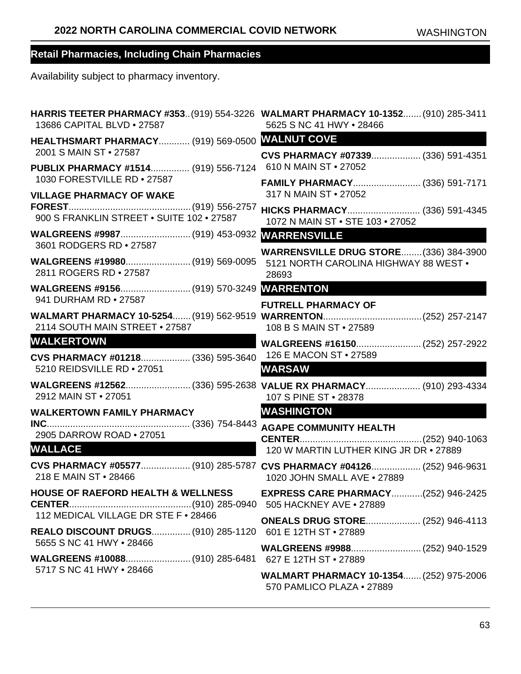| HARRIS TEETER PHARMACY #353 (919) 554-3226 WALMART PHARMACY 10-1352 (910) 285-3411<br>13686 CAPITAL BLVD . 27587 | 5625 S NC 41 HWY . 28466                                                                        |
|------------------------------------------------------------------------------------------------------------------|-------------------------------------------------------------------------------------------------|
| HEALTHSMART PHARMACY (919) 569-0500 WALNUT COVE<br>2001 S MAIN ST • 27587                                        |                                                                                                 |
| PUBLIX PHARMACY #1514 (919) 556-7124                                                                             | CVS PHARMACY #07339 (336) 591-4351<br>610 N MAIN ST • 27052                                     |
| 1030 FORESTVILLE RD • 27587<br><b>VILLAGE PHARMACY OF WAKE</b>                                                   | FAMILY PHARMACY (336) 591-7171<br>317 N MAIN ST • 27052                                         |
| 900 S FRANKLIN STREET . SUITE 102 . 27587                                                                        | HICKS PHARMACY (336) 591-4345<br>1072 N MAIN ST . STE 103 . 27052                               |
| 3601 RODGERS RD . 27587                                                                                          |                                                                                                 |
| WALGREENS #19980 (919) 569-0095<br>2811 ROGERS RD . 27587                                                        | <b>WARRENSVILLE DRUG STORE (336) 384-3900</b><br>5121 NORTH CAROLINA HIGHWAY 88 WEST .<br>28693 |
| 941 DURHAM RD • 27587                                                                                            |                                                                                                 |
| 2114 SOUTH MAIN STREET . 27587                                                                                   | <b>FUTRELL PHARMACY OF</b><br>108 B S MAIN ST • 27589                                           |
| <b>WALKERTOWN</b><br><u> La manara de la f</u>                                                                   |                                                                                                 |
| CVS PHARMACY #01218 (336) 595-3640<br>5210 REIDSVILLE RD . 27051                                                 | 126 E MACON ST • 27589<br><b>WARSAW</b>                                                         |
| 2912 MAIN ST . 27051                                                                                             | WALGREENS #12562(336) 595-2638 VALUE RX PHARMACY (910) 293-4334<br>107 S PINE ST . 28378        |
| <b>WALKERTOWN FAMILY PHARMACY</b>                                                                                | <b>WASHINGTON</b>                                                                               |
| 2905 DARROW ROAD . 27051                                                                                         | <b>AGAPE COMMUNITY HEALTH</b>                                                                   |
| <b>WALLACE</b>                                                                                                   | 120 W MARTIN LUTHER KING JR DR . 27889                                                          |
| CVS PHARMACY #05577 (910) 285-5787 CVS PHARMACY #04126 (252) 946-9631<br>218 E MAIN ST • 28466                   | 1020 JOHN SMALL AVE . 27889                                                                     |
| <b>HOUSE OF RAEFORD HEALTH &amp; WELLNESS</b>                                                                    | <b>EXPRESS CARE PHARMACY(252) 946-2425</b>                                                      |
| 112 MEDICAL VILLAGE DR STE F . 28466<br>REALO DISCOUNT DRUGS (910) 285-1120  601 E 12TH ST · 27889               | <b>ONEALS DRUG STORE (252) 946-4113</b>                                                         |
| 5655 S NC 41 HWY • 28466                                                                                         |                                                                                                 |
|                                                                                                                  |                                                                                                 |
| 5717 S NC 41 HWY • 28466                                                                                         | WALMART PHARMACY 10-1354 (252) 975-2006<br>570 PAMLICO PLAZA • 27889                            |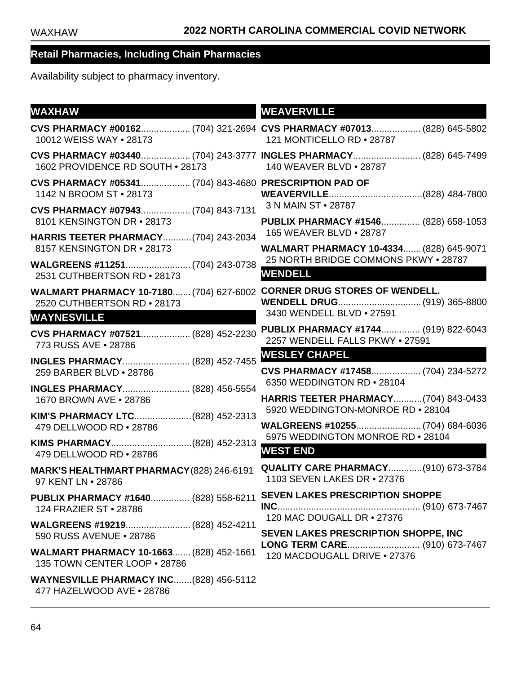| <b>WAXHAW</b>                                                                     | <b>WEAVERVILLE</b>                                                                                 |
|-----------------------------------------------------------------------------------|----------------------------------------------------------------------------------------------------|
| 10012 WEISS WAY . 28173                                                           | CVS PHARMACY #00162 (704) 321-2694 CVS PHARMACY #07013 (828) 645-5802<br>121 MONTICELLO RD . 28787 |
| 1602 PROVIDENCE RD SOUTH • 28173                                                  | CVS PHARMACY #03440 (704) 243-3777 INGLES PHARMACY (828) 645-7499<br>140 WEAVER BLVD • 28787       |
| CVS PHARMACY #05341 (704) 843-4680 PRESCRIPTION PAD OF<br>1142 N BROOM ST • 28173 |                                                                                                    |
| CVS PHARMACY #07943 (704) 843-7131<br>8101 KENSINGTON DR • 28173                  | 3 N MAIN ST • 28787                                                                                |
| <b>HARRIS TEETER PHARMACY (704) 243-2034</b>                                      | PUBLIX PHARMACY #1546 (828) 658-1053<br>165 WEAVER BLVD . 28787                                    |
| 8157 KENSINGTON DR · 28173                                                        | WALMART PHARMACY 10-4334 (828) 645-9071                                                            |
| 2531 CUTHBERTSON RD . 28173                                                       | 25 NORTH BRIDGE COMMONS PKWY . 28787<br><b>WENDELL</b>                                             |
| <b>WALMART PHARMACY 10-7180 (704) 627-6002</b><br>2520 CUTHBERTSON RD . 28173     | <b>CORNER DRUG STORES OF WENDELL.</b><br>WENDELL DRUG (919) 365-8800                               |
| <b>WAYNESVILLE</b>                                                                | 3430 WENDELL BLVD . 27591                                                                          |
| CVS PHARMACY #07521 (828) 452-2230<br>773 RUSS AVE . 28786                        | PUBLIX PHARMACY #1744 (919) 822-6043<br>2257 WENDELL FALLS PKWY . 27591                            |
| INGLES PHARMACY (828) 452-7455                                                    | <b>WESLEY CHAPEL</b>                                                                               |
| 259 BARBER BLVD . 28786                                                           | CVS PHARMACY #17458 (704) 234-5272<br>6350 WEDDINGTON RD . 28104                                   |
| <b>INGLES PHARMACY (828) 456-5554</b><br>1670 BROWN AVE . 28786                   | HARRIS TEETER PHARMACY(704) 843-0433                                                               |
| KIM'S PHARMACY LTC(828) 452-2313                                                  | 5920 WEDDINGTON-MONROE RD . 28104                                                                  |
| 479 DELLWOOD RD . 28786                                                           | WALGREENS #10255 (704) 684-6036<br>5975 WEDDINGTON MONROE RD . 28104                               |
| KIMS PHARMACY(828) 452-2313<br>479 DELLWOOD RD . 28786                            | <b>WEST END</b>                                                                                    |
| MARK'S HEALTHMART PHARMACY (828) 246-6191<br>97 KENT LN • 28786                   | <b>QUALITY CARE PHARMACY (910) 673-3784</b><br>1103 SEVEN LAKES DR • 27376                         |
| PUBLIX PHARMACY #1640 (828) 558-6211<br>124 FRAZIER ST · 28786                    | <b>SEVEN LAKES PRESCRIPTION SHOPPE</b><br>120 MAC DOUGALL DR • 27376                               |
| WALGREENS #19219 (828) 452-4211<br>590 RUSS AVENUE . 28786                        | SEVEN LAKES PRESCRIPTION SHOPPE, INC                                                               |
| WALMART PHARMACY 10-1663 (828) 452-1661<br>135 TOWN CENTER LOOP . 28786           | LONG TERM CARE (910) 673-7467<br>120 MACDOUGALL DRIVE . 27376                                      |
| WAYNESVILLE PHARMACY INC(828) 456-5112<br>477 HAZELWOOD AVE . 28786               |                                                                                                    |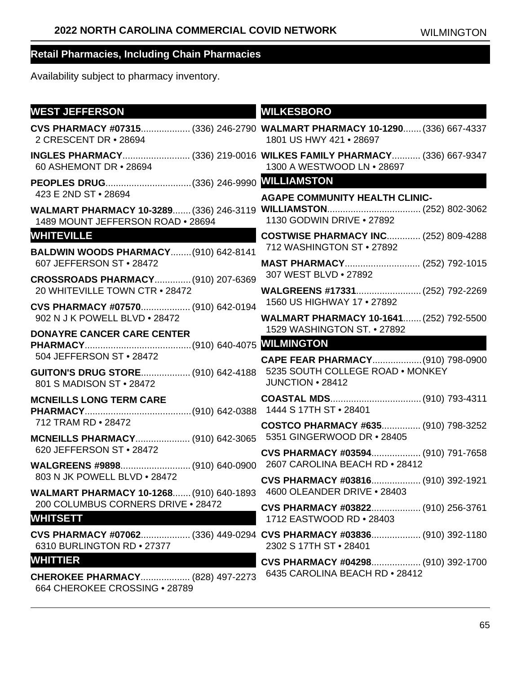| <b>WEST JEFFERSON</b>                                                 | <b>WILKESBORO</b>                                                                                     |
|-----------------------------------------------------------------------|-------------------------------------------------------------------------------------------------------|
| 2 CRESCENT DR . 28694                                                 | CVS PHARMACY #07315 (336) 246-2790 WALMART PHARMACY 10-1290 (336) 667-4337<br>1801 US HWY 421 . 28697 |
| 60 ASHEMONT DR • 28694                                                | INGLES PHARMACY (336) 219-0016 WILKES FAMILY PHARMACY (336) 667-9347<br>1300 A WESTWOOD LN . 28697    |
|                                                                       |                                                                                                       |
| 423 E 2ND ST • 28694                                                  | <b>AGAPE COMMUNITY HEALTH CLINIC-</b>                                                                 |
| 1489 MOUNT JEFFERSON ROAD . 28694                                     | WALMART PHARMACY 10-3289 (336) 246-3119 WILLIAMSTON (252) 802-3062<br>1130 GODWIN DRIVE . 27892       |
| <b>WHITEVILLE</b>                                                     | <b>COSTWISE PHARMACY INC (252) 809-4288</b>                                                           |
| <b>BALDWIN WOODS PHARMACY (910) 642-8141</b>                          | 712 WASHINGTON ST • 27892                                                                             |
| 607 JEFFERSON ST . 28472                                              | 307 WEST BLVD . 27892                                                                                 |
| CROSSROADS PHARMACY (910) 207-6369<br>20 WHITEVILLE TOWN CTR . 28472  | WALGREENS #17331 (252) 792-2269                                                                       |
| CVS PHARMACY #07570 (910) 642-0194                                    | 1560 US HIGHWAY 17 . 27892                                                                            |
| 902 N J K POWELL BLVD . 28472                                         | <b>WALMART PHARMACY 10-1641 (252) 792-5500</b>                                                        |
| <b>DONAYRE CANCER CARE CENTER</b>                                     | 1529 WASHINGTON ST. • 27892                                                                           |
|                                                                       |                                                                                                       |
| 504 JEFFERSON ST • 28472                                              | CAPE FEAR PHARMACY (910) 798-0900                                                                     |
| <b>GUITON'S DRUG STORE (910) 642-4188</b><br>801 S MADISON ST . 28472 | 5235 SOUTH COLLEGE ROAD . MONKEY<br>JUNCTION • 28412                                                  |
| <b>MCNEILLS LONG TERM CARE</b>                                        |                                                                                                       |
|                                                                       |                                                                                                       |
| 712 TRAM RD . 28472                                                   | COSTCO PHARMACY #635 (910) 798-3252                                                                   |
| MCNEILLS PHARMACY (910) 642-3065 5351 GINGERWOOD DR · 28405           |                                                                                                       |
| 620 JEFFERSON ST . 28472                                              | CVS PHARMACY #03594 (910) 791-7658                                                                    |
| 803 N JK POWELL BLVD . 28472                                          |                                                                                                       |
| WALMART PHARMACY 10-1268 (910) 640-1893                               | CVS PHARMACY #03816 (910) 392-1921<br>4600 OLEANDER DRIVE . 28403                                     |
| 200 COLUMBUS CORNERS DRIVE . 28472                                    | CVS PHARMACY #03822 (910) 256-3761                                                                    |
| <b>WHITSETT</b>                                                       | 1712 EASTWOOD RD . 28403                                                                              |
| 6310 BURLINGTON RD . 27377                                            | CVS PHARMACY #07062 (336) 449-0294 CVS PHARMACY #03836 (910) 392-1180<br>2302 S 17TH ST • 28401       |
| <b>WHITTIER</b>                                                       | CVS PHARMACY #04298 (910) 392-1700                                                                    |
| <b>CHEROKEE PHARMACY (828) 497-2273</b>                               | 6435 CAROLINA BEACH RD . 28412                                                                        |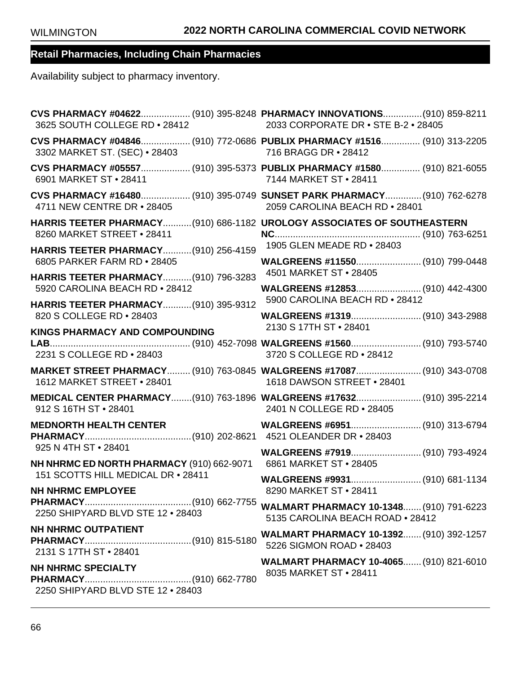| 3625 SOUTH COLLEGE RD . 28412                                                                         | CVS PHARMACY #04622 (910) 395-8248 PHARMACY INNOVATIONS (910) 859-8211<br>2033 CORPORATE DR • STE B-2 • 28405 |
|-------------------------------------------------------------------------------------------------------|---------------------------------------------------------------------------------------------------------------|
| 3302 MARKET ST. (SEC) • 28403                                                                         | CVS PHARMACY #04846 (910) 772-0686 PUBLIX PHARMACY #1516 (910) 313-2205<br>716 BRAGG DR • 28412               |
| 6901 MARKET ST • 28411                                                                                | CVS PHARMACY #05557 (910) 395-5373 PUBLIX PHARMACY #1580 (910) 821-6055<br>7144 MARKET ST • 28411             |
| 4711 NEW CENTRE DR . 28405                                                                            | CVS PHARMACY #16480 (910) 395-0749 SUNSET PARK PHARMACY (910) 762-6278<br>2059 CAROLINA BEACH RD . 28401      |
| HARRIS TEETER PHARMACY(910) 686-1182 UROLOGY ASSOCIATES OF SOUTHEASTERN<br>8260 MARKET STREET . 28411 |                                                                                                               |
| HARRIS TEETER PHARMACY (910) 256-4159                                                                 | 1905 GLEN MEADE RD . 28403                                                                                    |
| 6805 PARKER FARM RD . 28405<br>HARRIS TEETER PHARMACY(910) 796-3283                                   | WALGREENS #11550 (910) 799-0448<br>4501 MARKET ST • 28405                                                     |
| 5920 CAROLINA BEACH RD . 28412                                                                        | WALGREENS #12853 (910) 442-4300                                                                               |
| HARRIS TEETER PHARMACY (910) 395-9312                                                                 | 5900 CAROLINA BEACH RD . 28412                                                                                |
| 820 S COLLEGE RD . 28403<br><b>KINGS PHARMACY AND COMPOUNDING</b>                                     | 2130 S 17TH ST · 28401                                                                                        |
| 2231 S COLLEGE RD . 28403                                                                             | 3720 S COLLEGE RD . 28412                                                                                     |
| 1612 MARKET STREET . 28401                                                                            | MARKET STREET PHARMACY (910) 763-0845 WALGREENS #17087 (910) 343-0708<br>1618 DAWSON STREET . 28401           |
| 912 S 16TH ST • 28401                                                                                 | MEDICAL CENTER PHARMACY(910) 763-1896 WALGREENS #17632 (910) 395-2214<br>2401 N COLLEGE RD . 28405            |
| <b>MEDNORTH HEALTH CENTER</b>                                                                         |                                                                                                               |
| 925 N 4TH ST • 28401<br>NH NHRMC ED NORTH PHARMACY (910) 662-9071                                     | WALGREENS #7919 (910) 793-4924<br>6861 MARKET ST · 28405                                                      |
| 151 SCOTTS HILL MEDICAL DR . 28411                                                                    | WALGREENS #9931 (910) 681-1134<br>8290 MARKET ST . 28411                                                      |
| <b>NH NHRMC EMPLOYEE</b><br>2250 SHIPYARD BLVD STE 12 . 28403                                         | WALMART PHARMACY 10-1348 (910) 791-6223<br>5135 CAROLINA BEACH ROAD . 28412                                   |
| <b>NH NHRMC OUTPATIENT</b><br>2131 S 17TH ST · 28401                                                  | <b>WALMART PHARMACY 10-1392 (910) 392-1257</b><br>5226 SIGMON ROAD . 28403                                    |
| <b>NH NHRMC SPECIALTY</b><br>2250 SHIPYARD BLVD STE 12 . 28403                                        | WALMART PHARMACY 10-4065 (910) 821-6010<br>8035 MARKET ST · 28411                                             |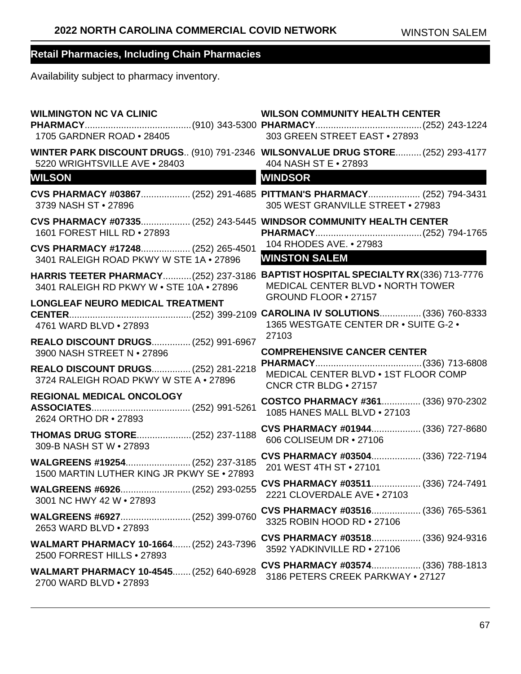| <b>WILMINGTON NC VA CLINIC</b><br>1705 GARDNER ROAD • 28405                                       | <b>WILSON COMMUNITY HEALTH CENTER</b><br>303 GREEN STREET EAST . 27893                                    |
|---------------------------------------------------------------------------------------------------|-----------------------------------------------------------------------------------------------------------|
| 5220 WRIGHTSVILLE AVE . 28403                                                                     | WINTER PARK DISCOUNT DRUGS (910) 791-2346 WILSONVALUE DRUG STORE (252) 293-4177<br>404 NASH ST E • 27893  |
| <b>WILSON</b>                                                                                     | <b>WINDSOR</b>                                                                                            |
| 3739 NASH ST · 27896                                                                              | CVS PHARMACY #03867 (252) 291-4685 PITTMAN'S PHARMACY (252) 794-3431<br>305 WEST GRANVILLE STREET . 27983 |
| CVS PHARMACY #07335 (252) 243-5445 WINDSOR COMMUNITY HEALTH CENTER<br>1601 FOREST HILL RD . 27893 |                                                                                                           |
| CVS PHARMACY #17248 (252) 265-4501<br>3401 RALEIGH ROAD PKWY W STE 1A . 27896                     | 104 RHODES AVE. • 27983<br><b>WINSTON SALEM</b>                                                           |
| <b>HARRIS TEETER PHARMACY (252) 237-3186</b><br>3401 RALEIGH RD PKWY W . STE 10A . 27896          | BAPTIST HOSPITAL SPECIALTY RX(336) 713-7776<br><b>MEDICAL CENTER BLVD . NORTH TOWER</b>                   |
| LONGLEAF NEURO MEDICAL TREATMENT                                                                  | GROUND FLOOR . 27157                                                                                      |
| 4761 WARD BLVD . 27893                                                                            | 1365 WESTGATE CENTER DR . SUITE G-2 .<br>27103                                                            |
| REALO DISCOUNT DRUGS (252) 991-6967<br>3900 NASH STREET N • 27896                                 | <b>COMPREHENSIVE CANCER CENTER</b>                                                                        |
| REALO DISCOUNT DRUGS (252) 281-2218<br>3724 RALEIGH ROAD PKWY W STE A . 27896                     | MEDICAL CENTER BLVD . 1ST FLOOR COMP<br>CNCR CTR BLDG . 27157                                             |
| REGIONAL MEDICAL ONCOLOGY<br>2624 ORTHO DR • 27893                                                | COSTCO PHARMACY #361 (336) 970-2302<br>1085 HANES MALL BLVD . 27103                                       |
| THOMAS DRUG STORE(252) 237-1188<br>309-B NASH ST W . 27893                                        | CVS PHARMACY #01944 (336) 727-8680<br>606 COLISEUM DR • 27106                                             |
| WALGREENS #19254 (252) 237-3185<br>1500 MARTIN LUTHER KING JR PKWY SE . 27893                     | CVS PHARMACY #03504 (336) 722-7194<br>201 WEST 4TH ST . 27101                                             |
| 3001 NC HWY 42 W • 27893                                                                          |                                                                                                           |
| 2653 WARD BLVD . 27893                                                                            | CVS PHARMACY #03516 (336) 765-5361<br>3325 ROBIN HOOD RD . 27106                                          |
| WALMART PHARMACY 10-1664 (252) 243-7396<br>2500 FORREST HILLS . 27893                             | CVS PHARMACY #03518 (336) 924-9316<br>3592 YADKINVILLE RD . 27106                                         |
| WALMART PHARMACY 10-4545 (252) 640-6928<br>2700 WARD BLVD . 27893                                 | CVS PHARMACY #03574 (336) 788-1813<br>3186 PETERS CREEK PARKWAY . 27127                                   |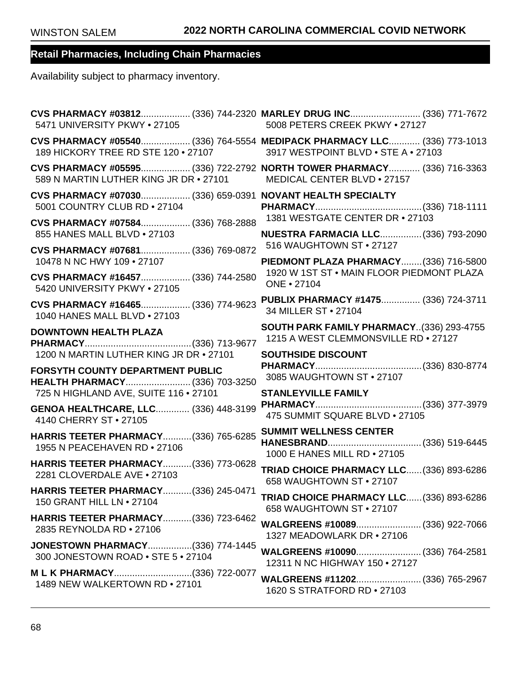| 5471 UNIVERSITY PKWY . 27105                                                                                   | CVS PHARMACY #03812 (336) 744-2320 MARLEY DRUG INC (336) 771-7672<br>5008 PETERS CREEK PKWY . 27127   |
|----------------------------------------------------------------------------------------------------------------|-------------------------------------------------------------------------------------------------------|
| CVS PHARMACY #05540 (336) 764-5554 MEDIPACK PHARMACY LLC (336) 773-1013<br>189 HICKORY TREE RD STE 120 . 27107 | 3917 WESTPOINT BLVD . STE A . 27103                                                                   |
| 589 N MARTIN LUTHER KING JR DR • 27101                                                                         | CVS PHARMACY #05595 (336) 722-2792 NORTH TOWER PHARMACY (336) 716-3363<br>MEDICAL CENTER BLVD . 27157 |
| CVS PHARMACY #07030 (336) 659-0391 NOVANT HEALTH SPECIALTY<br>5001 COUNTRY CLUB RD . 27104                     |                                                                                                       |
| CVS PHARMACY #07584 (336) 768-2888                                                                             | 1381 WESTGATE CENTER DR . 27103                                                                       |
| 855 HANES MALL BLVD . 27103                                                                                    | <b>NUESTRA FARMACIA LLC (336) 793-2090</b>                                                            |
| CVS PHARMACY #07681 (336) 769-0872                                                                             | 516 WAUGHTOWN ST • 27127                                                                              |
| 10478 N NC HWY 109 . 27107                                                                                     | PIEDMONT PLAZA PHARMACY (336) 716-5800                                                                |
| CVS PHARMACY #16457 (336) 744-2580                                                                             | 1920 W 1ST ST . MAIN FLOOR PIEDMONT PLAZA                                                             |
| 5420 UNIVERSITY PKWY . 27105                                                                                   | ONE • 27104                                                                                           |
| CVS PHARMACY #16465 (336) 774-9623                                                                             | PUBLIX PHARMACY #1475 (336) 724-3711                                                                  |
| 1040 HANES MALL BLVD . 27103                                                                                   | 34 MILLER ST • 27104                                                                                  |
| <b>DOWNTOWN HEALTH PLAZA</b>                                                                                   | SOUTH PARK FAMILY PHARMACY(336) 293-4755                                                              |
|                                                                                                                | 1215 A WEST CLEMMONSVILLE RD . 27127                                                                  |
|                                                                                                                |                                                                                                       |
| 1200 N MARTIN LUTHER KING JR DR . 27101                                                                        | <b>SOUTHSIDE DISCOUNT</b>                                                                             |
| FORSYTH COUNTY DEPARTMENT PUBLIC                                                                               | 3085 WAUGHTOWN ST . 27107                                                                             |
| HEALTH PHARMACY (336) 703-3250<br>725 N HIGHLAND AVE, SUITE 116 . 27101                                        | <b>STANLEYVILLE FAMILY</b>                                                                            |
| GENOA HEALTHCARE, LLC (336) 448-3199                                                                           |                                                                                                       |
| 4140 CHERRY ST • 27105                                                                                         | 475 SUMMIT SQUARE BLVD . 27105                                                                        |
| HARRIS TEETER PHARMACY (336) 765-6285                                                                          | <b>SUMMIT WELLNESS CENTER</b>                                                                         |
| 1955 N PEACEHAVEN RD • 27106                                                                                   |                                                                                                       |
| HARRIS TEETER PHARMACY(336) 773-0628                                                                           | 1000 E HANES MILL RD . 27105                                                                          |
| 2281 CLOVERDALE AVE . 27103                                                                                    | TRIAD CHOICE PHARMACY LLC (336) 893-6286                                                              |
| HARRIS TEETER PHARMACY(336) 245-0471                                                                           | 658 WAUGHTOWN ST • 27107                                                                              |
| 150 GRANT HILL LN . 27104                                                                                      | TRIAD CHOICE PHARMACY LLC (336) 893-6286                                                              |
| HARRIS TEETER PHARMACY(336) 723-6462<br>2835 REYNOLDA RD . 27106                                               | 658 WAUGHTOWN ST . 27107<br>WALGREENS #10089 (336) 922-7066<br>1327 MEADOWLARK DR • 27106             |
| <b>JONESTOWN PHARMACY(336) 774-1445</b>                                                                        | WALGREENS #10090 (336) 764-2581                                                                       |
| 300 JONESTOWN ROAD . STE 5 . 27104                                                                             | 12311 N NC HIGHWAY 150 . 27127                                                                        |